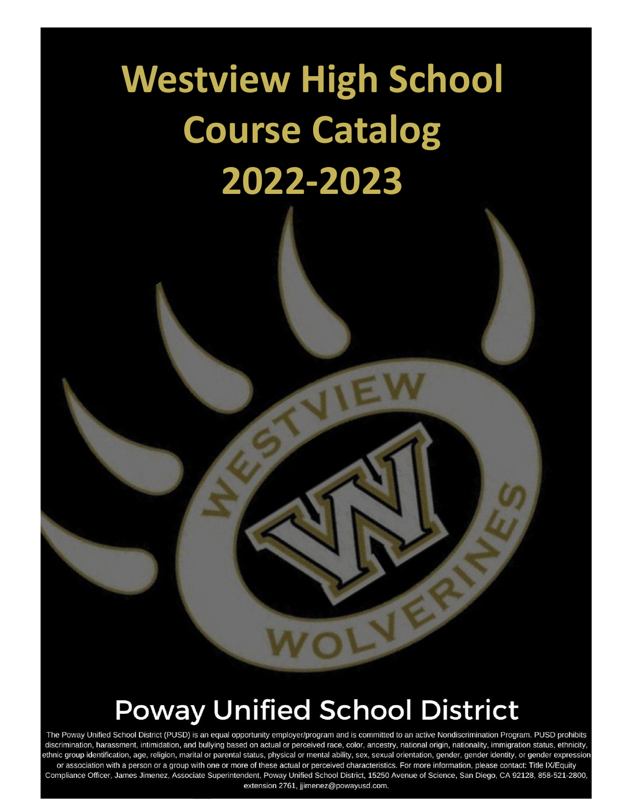# **Westview High School Course Catalog 2022-2023**

## **Poway Unified School District**

The Poway Unified School District (PUSD) is an equal opportunity employer/program and is committed to an active Nondiscrimination Program. PUSD prohibits discrimination, harassment, intimidation, and bullying based on actual or perceived race, color, ancestry, national origin, nationality, immigration status, ethnicity, ethnic group identification, age, religion, marital or parental status, physical or mental ability, sex, sexual orientation, gender, gender identity, or gender expression or association with a person or a group with one or more of these actual or perceived characteristics. For more information, please contact: Title IX/Equity Compliance Officer, James Jimenez, Associate Superintendent, Poway Unified School District, 15250 Avenue of Science, San Diego, CA 92128, 858-521-2800, extension 2761, jjimenez@powayusd.com.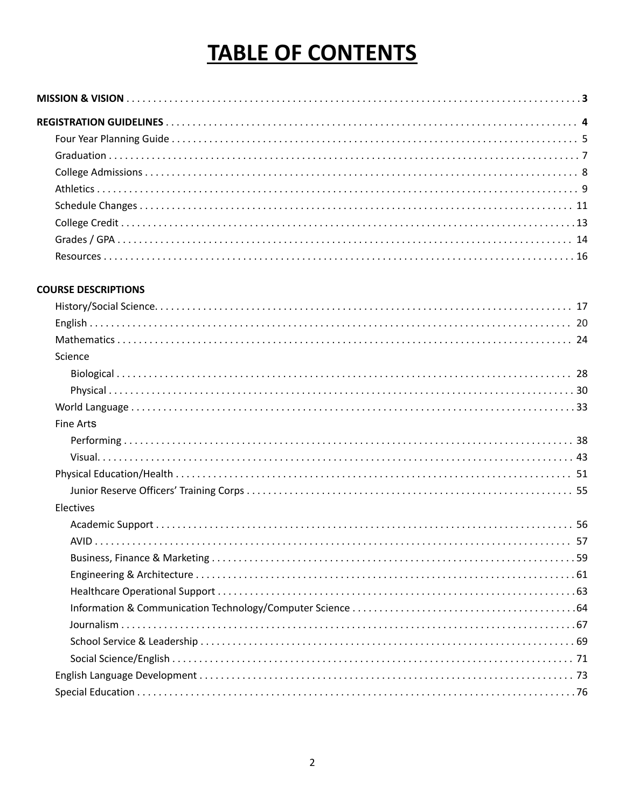### **TABLE OF CONTENTS**

#### **COURSE DESCRIPTIONS**

| Science          |
|------------------|
|                  |
|                  |
|                  |
| <b>Fine Arts</b> |
|                  |
|                  |
|                  |
|                  |
| Electives        |
|                  |
|                  |
|                  |
|                  |
|                  |
|                  |
|                  |
|                  |
|                  |
|                  |
|                  |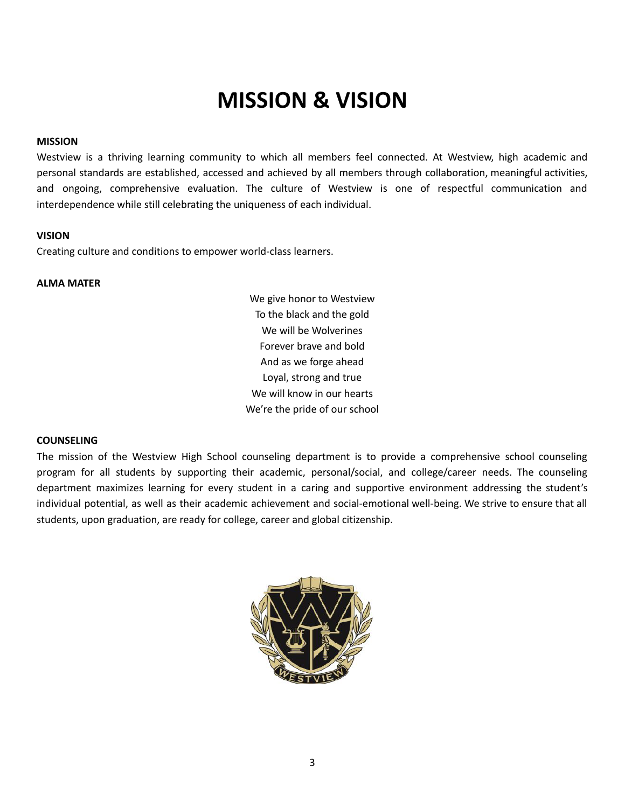### **MISSION & VISION**

#### <span id="page-2-0"></span>**MISSION**

Westview is a thriving learning community to which all members feel connected. At Westview, high academic and personal standards are established, accessed and achieved by all members through collaboration, meaningful activities, and ongoing, comprehensive evaluation. The culture of Westview is one of respectful communication and interdependence while still celebrating the uniqueness of each individual.

#### **VISION**

Creating culture and conditions to empower world-class learners.

#### **ALMA MATER**

We give honor to Westview To the black and the gold We will be Wolverines Forever brave and bold And as we forge ahead Loyal, strong and true We will know in our hearts We're the pride of our school

#### **COUNSELING**

The mission of the Westview High School counseling department is to provide a comprehensive school counseling program for all students by supporting their academic, personal/social, and college/career needs. The counseling department maximizes learning for every student in a caring and supportive environment addressing the student's individual potential, as well as their academic achievement and social-emotional well-being. We strive to ensure that all students, upon graduation, are ready for college, career and global citizenship.

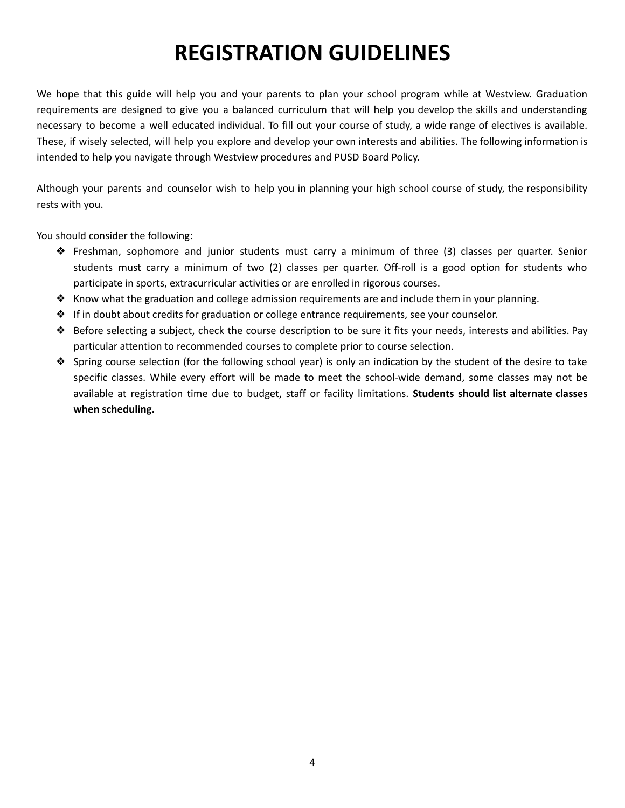### **REGISTRATION GUIDELINES**

<span id="page-3-0"></span>We hope that this guide will help you and your parents to plan your school program while at Westview. Graduation requirements are designed to give you a balanced curriculum that will help you develop the skills and understanding necessary to become a well educated individual. To fill out your course of study, a wide range of electives is available. These, if wisely selected, will help you explore and develop your own interests and abilities. The following information is intended to help you navigate through Westview procedures and PUSD Board Policy.

Although your parents and counselor wish to help you in planning your high school course of study, the responsibility rests with you.

You should consider the following:

- ❖ Freshman, sophomore and junior students must carry a minimum of three (3) classes per quarter. Senior students must carry a minimum of two (2) classes per quarter. Off-roll is a good option for students who participate in sports, extracurricular activities or are enrolled in rigorous courses.
- ❖ Know what the graduation and college admission requirements are and include them in your planning.
- ❖ If in doubt about credits for graduation or college entrance requirements, see your counselor.
- ❖ Before selecting a subject, check the course description to be sure it fits your needs, interests and abilities. Pay particular attention to recommended courses to complete prior to course selection.
- ❖ Spring course selection (for the following school year) is only an indication by the student of the desire to take specific classes. While every effort will be made to meet the school-wide demand, some classes may not be available at registration time due to budget, staff or facility limitations. **Students should list alternate classes when scheduling.**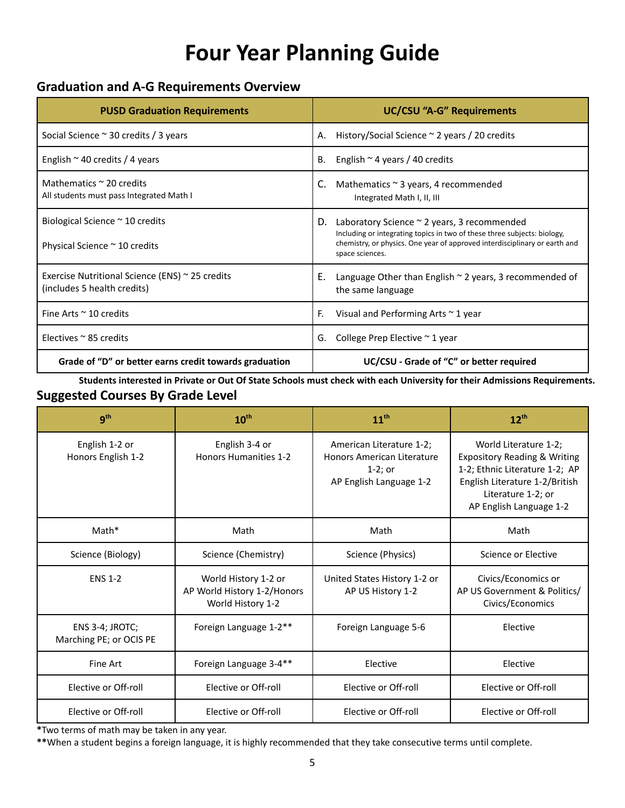### **Four Year Planning Guide**

### <span id="page-4-0"></span>**Graduation and A-G Requirements Overview**

| <b>PUSD Graduation Requirements</b>                                                 | <b>UC/CSU "A-G" Requirements</b>                                                                                                                                                                                               |
|-------------------------------------------------------------------------------------|--------------------------------------------------------------------------------------------------------------------------------------------------------------------------------------------------------------------------------|
| Social Science $\sim$ 30 credits / 3 years                                          | History/Social Science $\sim$ 2 years / 20 credits<br>А.                                                                                                                                                                       |
| English $\sim$ 40 credits / 4 years                                                 | English $\sim$ 4 years / 40 credits<br>В.                                                                                                                                                                                      |
| Mathematics $\sim$ 20 credits<br>All students must pass Integrated Math I           | Mathematics $\sim$ 3 years, 4 recommended<br>C.<br>Integrated Math I, II, III                                                                                                                                                  |
| Biological Science $\sim$ 10 credits<br>Physical Science ~ 10 credits               | Laboratory Science ~ 2 years, 3 recommended<br>D.<br>Including or integrating topics in two of these three subjects: biology,<br>chemistry, or physics. One year of approved interdisciplinary or earth and<br>space sciences. |
| Exercise Nutritional Science (ENS) $\sim$ 25 credits<br>(includes 5 health credits) | Е.<br>Language Other than English $\sim$ 2 years, 3 recommended of<br>the same language                                                                                                                                        |
| Fine Arts $\approx$ 10 credits                                                      | F.<br>Visual and Performing Arts $\sim$ 1 year                                                                                                                                                                                 |
| Electives $\approx$ 85 credits                                                      | College Prep Elective $\sim$ 1 year<br>G.                                                                                                                                                                                      |
| Grade of "D" or better earns credit towards graduation                              | UC/CSU - Grade of "C" or better required                                                                                                                                                                                       |

Students interested in Private or Out Of State Schools must check with each University for their Admissions Requirements. **Suggested Courses By Grade Level**

| 9 <sup>th</sup>                            | 10 <sup>th</sup>                                                         | 11 <sup>th</sup>                                                                                | $12^{th}$                                                                                                                                                                             |
|--------------------------------------------|--------------------------------------------------------------------------|-------------------------------------------------------------------------------------------------|---------------------------------------------------------------------------------------------------------------------------------------------------------------------------------------|
| English 1-2 or<br>Honors English 1-2       | English 3-4 or<br>Honors Humanities 1-2                                  | American Literature 1-2;<br>Honors American Literature<br>$1-2$ ; or<br>AP English Language 1-2 | World Literature 1-2;<br><b>Expository Reading &amp; Writing</b><br>1-2; Ethnic Literature 1-2; AP<br>English Literature 1-2/British<br>Literature 1-2; or<br>AP English Language 1-2 |
| Math*                                      | Math                                                                     | Math                                                                                            | Math                                                                                                                                                                                  |
| Science (Biology)                          | Science (Chemistry)                                                      | Science (Physics)                                                                               | Science or Elective                                                                                                                                                                   |
| <b>ENS 1-2</b>                             | World History 1-2 or<br>AP World History 1-2/Honors<br>World History 1-2 | United States History 1-2 or<br>AP US History 1-2                                               | Civics/Economics or<br>AP US Government & Politics/<br>Civics/Economics                                                                                                               |
| ENS 3-4; JROTC;<br>Marching PE; or OCIS PE | Foreign Language 1-2**                                                   | Foreign Language 5-6                                                                            | Elective                                                                                                                                                                              |
| Fine Art                                   | Foreign Language 3-4**                                                   | Elective                                                                                        | Elective                                                                                                                                                                              |
| Elective or Off-roll                       | Elective or Off-roll                                                     | Elective or Off-roll                                                                            | Elective or Off-roll                                                                                                                                                                  |
| Elective or Off-roll                       | Elective or Off-roll                                                     | Elective or Off-roll                                                                            | Elective or Off-roll                                                                                                                                                                  |

**\***Two terms of math may be taken in any year.

**\*\***When a student begins a foreign language, it is highly recommended that they take consecutive terms until complete.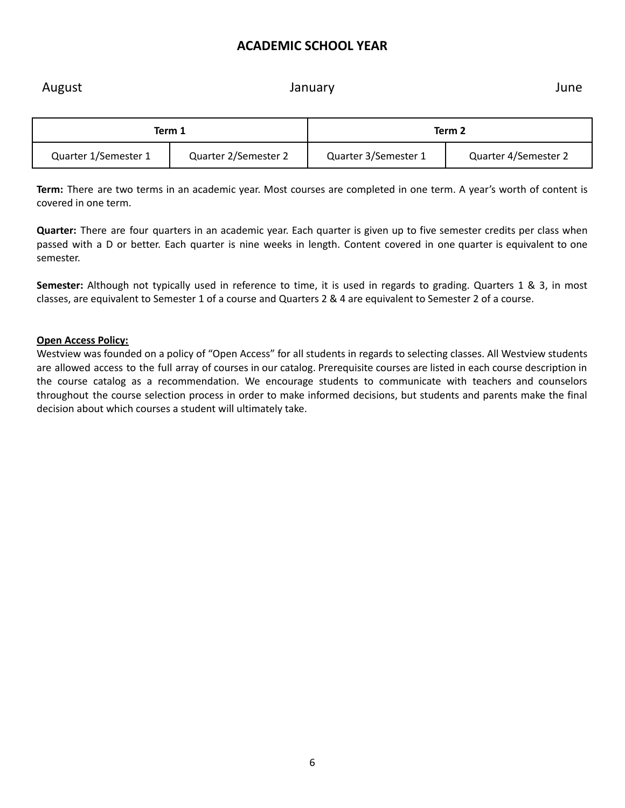### **ACADEMIC SCHOOL YEAR**

August **Contract Contract Contract Contract Contract Contract Contract Contract Contract Contract Contract Contract Contract Contract Contract Contract Contract Contract Contract Contract Contract Contract Contract Contrac** 

|                      | Term 2<br>Term 1     |                      |                      |
|----------------------|----------------------|----------------------|----------------------|
| Quarter 1/Semester 1 | Quarter 2/Semester 2 | Quarter 3/Semester 1 | Quarter 4/Semester 2 |

**Term:** There are two terms in an academic year. Most courses are completed in one term. A year's worth of content is covered in one term.

**Quarter:** There are four quarters in an academic year. Each quarter is given up to five semester credits per class when passed with a D or better. Each quarter is nine weeks in length. Content covered in one quarter is equivalent to one semester.

**Semester:** Although not typically used in reference to time, it is used in regards to grading. Quarters 1 & 3, in most classes, are equivalent to Semester 1 of a course and Quarters 2 & 4 are equivalent to Semester 2 of a course.

#### **Open Access Policy:**

Westview was founded on a policy of "Open Access" for all students in regards to selecting classes. All Westview students are allowed access to the full array of courses in our catalog. Prerequisite courses are listed in each course description in the course catalog as a recommendation. We encourage students to communicate with teachers and counselors throughout the course selection process in order to make informed decisions, but students and parents make the final decision about which courses a student will ultimately take.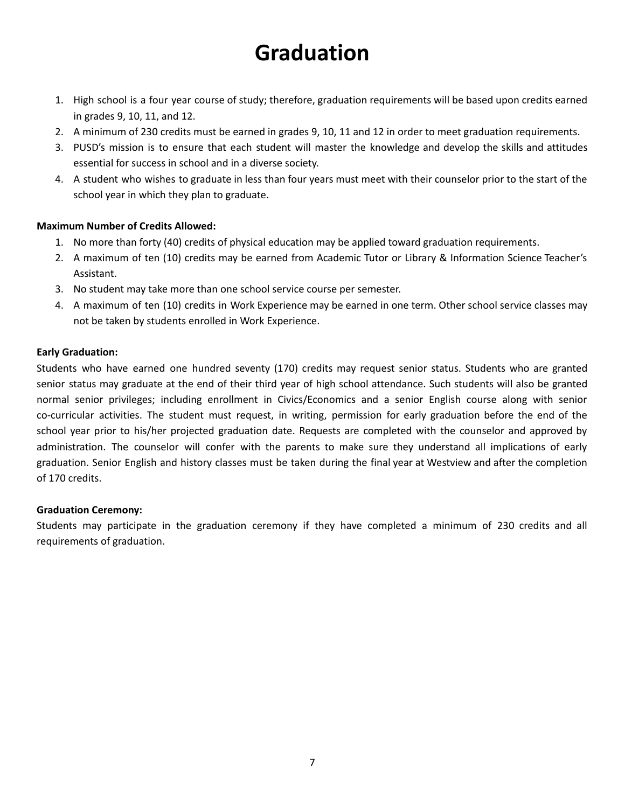### **Graduation**

- <span id="page-6-0"></span>1. High school is a four year course of study; therefore, graduation requirements will be based upon credits earned in grades 9, 10, 11, and 12.
- 2. A minimum of 230 credits must be earned in grades 9, 10, 11 and 12 in order to meet graduation requirements.
- 3. PUSD's mission is to ensure that each student will master the knowledge and develop the skills and attitudes essential for success in school and in a diverse society.
- 4. A student who wishes to graduate in less than four years must meet with their counselor prior to the start of the school year in which they plan to graduate.

#### **Maximum Number of Credits Allowed:**

- 1. No more than forty (40) credits of physical education may be applied toward graduation requirements.
- 2. A maximum of ten (10) credits may be earned from Academic Tutor or Library & Information Science Teacher's Assistant.
- 3. No student may take more than one school service course per semester.
- 4. A maximum of ten (10) credits in Work Experience may be earned in one term. Other school service classes may not be taken by students enrolled in Work Experience.

#### **Early Graduation:**

Students who have earned one hundred seventy (170) credits may request senior status. Students who are granted senior status may graduate at the end of their third year of high school attendance. Such students will also be granted normal senior privileges; including enrollment in Civics/Economics and a senior English course along with senior co-curricular activities. The student must request, in writing, permission for early graduation before the end of the school year prior to his/her projected graduation date. Requests are completed with the counselor and approved by administration. The counselor will confer with the parents to make sure they understand all implications of early graduation. Senior English and history classes must be taken during the final year at Westview and after the completion of 170 credits.

#### **Graduation Ceremony:**

Students may participate in the graduation ceremony if they have completed a minimum of 230 credits and all requirements of graduation.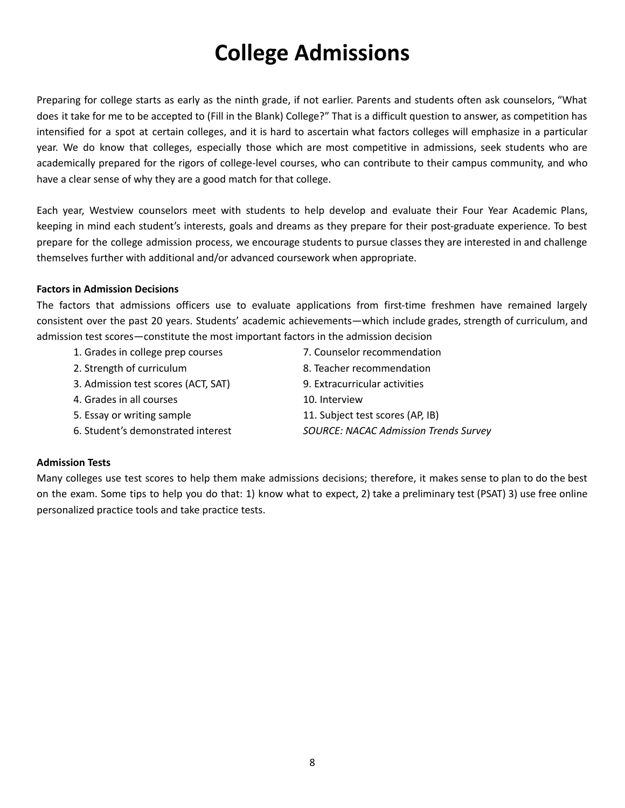### **College Admissions**

<span id="page-7-0"></span>Preparing for college starts as early as the ninth grade, if not earlier. Parents and students often ask counselors, "What does it take for me to be accepted to (Fill in the Blank) College?" That is a difficult question to answer, as competition has intensified for a spot at certain colleges, and it is hard to ascertain what factors colleges will emphasize in a particular year. We do know that colleges, especially those which are most competitive in admissions, seek students who are academically prepared for the rigors of college-level courses, who can contribute to their campus community, and who have a clear sense of why they are a good match for that college.

Each year, Westview counselors meet with students to help develop and evaluate their Four Year Academic Plans, keeping in mind each student's interests, goals and dreams as they prepare for their post-graduate experience. To best prepare for the college admission process, we encourage students to pursue classes they are interested in and challenge themselves further with additional and/or advanced coursework when appropriate.

#### **Factors in Admission Decisions**

The factors that admissions officers use to evaluate applications from first-time freshmen have remained largely consistent over the past 20 years. Students' academic achievements—which include grades, strength of curriculum, and admission test scores—constitute the most important factors in the admission decision

- 1. Grades in college prep courses
- 7. Counselor recommendation
- 8. Teacher recommendation 9. Extracurricular activities
- 3. Admission test scores (ACT, SAT)
- 4. Grades in all courses

2. Strength of curriculum

- 5. Essay or writing sample
	- 6. Student's demonstrated interest
- 10. Interview 11. Subject test scores (AP, IB)
- *SOURCE: NACAC Admission Trends Survey*

#### **Admission Tests**

Many colleges use test scores to help them make admissions decisions; therefore, it makes sense to plan to do the best on the exam. Some tips to help you do that: 1) know what to expect, 2) take a preliminary test (PSAT) 3) use free online personalized practice tools and take practice tests.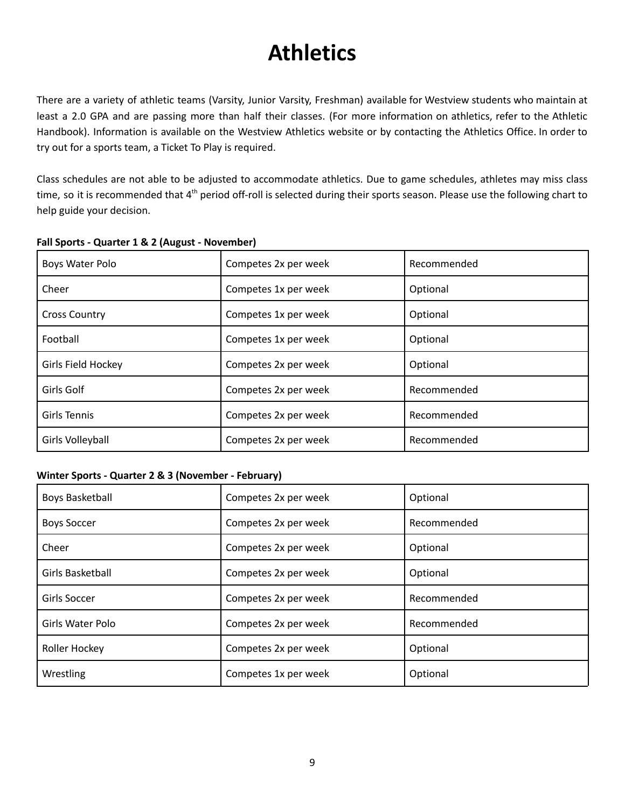### **Athletics**

<span id="page-8-0"></span>There are a variety of athletic teams (Varsity, Junior Varsity, Freshman) available for Westview students who maintain at least a 2.0 GPA and are passing more than half their classes. (For more information on athletics, refer to the Athletic Handbook). Information is available on the Westview Athletics website or by contacting the Athletics Office. In order to try out for a sports team, a Ticket To Play is required.

Class schedules are not able to be adjusted to accommodate athletics. Due to game schedules, athletes may miss class time, so it is recommended that 4<sup>th</sup> period off-roll is selected during their sports season. Please use the following chart to help guide your decision.

| Boys Water Polo      | Competes 2x per week | Recommended |
|----------------------|----------------------|-------------|
| Cheer                | Competes 1x per week | Optional    |
| <b>Cross Country</b> | Competes 1x per week | Optional    |
| Football             | Competes 1x per week | Optional    |
| Girls Field Hockey   | Competes 2x per week | Optional    |
| Girls Golf           | Competes 2x per week | Recommended |
| Girls Tennis         | Competes 2x per week | Recommended |
| Girls Volleyball     | Competes 2x per week | Recommended |

#### **Fall Sports - Quarter 1 & 2 (August - November)**

#### **Winter Sports - Quarter 2 & 3 (November - February)**

| <b>Boys Basketball</b> | Competes 2x per week | Optional    |
|------------------------|----------------------|-------------|
| <b>Boys Soccer</b>     | Competes 2x per week | Recommended |
| Cheer                  | Competes 2x per week | Optional    |
| Girls Basketball       | Competes 2x per week | Optional    |
| Girls Soccer           | Competes 2x per week | Recommended |
| Girls Water Polo       | Competes 2x per week | Recommended |
| Roller Hockey          | Competes 2x per week | Optional    |
| Wrestling              | Competes 1x per week | Optional    |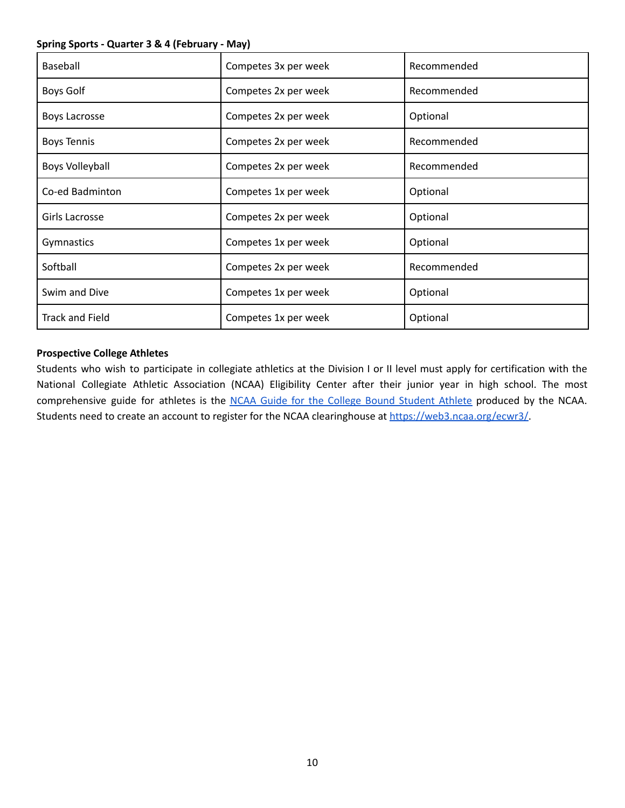#### **Spring Sports - Quarter 3 & 4 (February - May)**

| Baseball               | Competes 3x per week | Recommended |
|------------------------|----------------------|-------------|
| <b>Boys Golf</b>       | Competes 2x per week | Recommended |
| <b>Boys Lacrosse</b>   | Competes 2x per week | Optional    |
| <b>Boys Tennis</b>     | Competes 2x per week | Recommended |
| <b>Boys Volleyball</b> | Competes 2x per week | Recommended |
| Co-ed Badminton        | Competes 1x per week | Optional    |
| Girls Lacrosse         | Competes 2x per week | Optional    |
| Gymnastics             | Competes 1x per week | Optional    |
| Softball               | Competes 2x per week | Recommended |
| Swim and Dive          | Competes 1x per week | Optional    |
| <b>Track and Field</b> | Competes 1x per week | Optional    |

#### **Prospective College Athletes**

Students who wish to participate in collegiate athletics at the Division I or II level must apply for certification with the National Collegiate Athletic Association (NCAA) Eligibility Center after their junior year in high school. The most comprehensive guide for athletes is the NCAA Guide for the College Bound [Student](http://fs.ncaa.org/Docs/eligibility_center/Student_Resources/CBSA.pdf?j=83128040&sfmc_sub=1150419325&l=7822357_HTML&u=722966391&mid=10892399&jb=108) Athlete produced by the NCAA. Students need to create an account to register for the NCAA clearinghouse at [https://web3.ncaa.org/ecwr3/.](https://web3.ncaa.org/ecwr3/)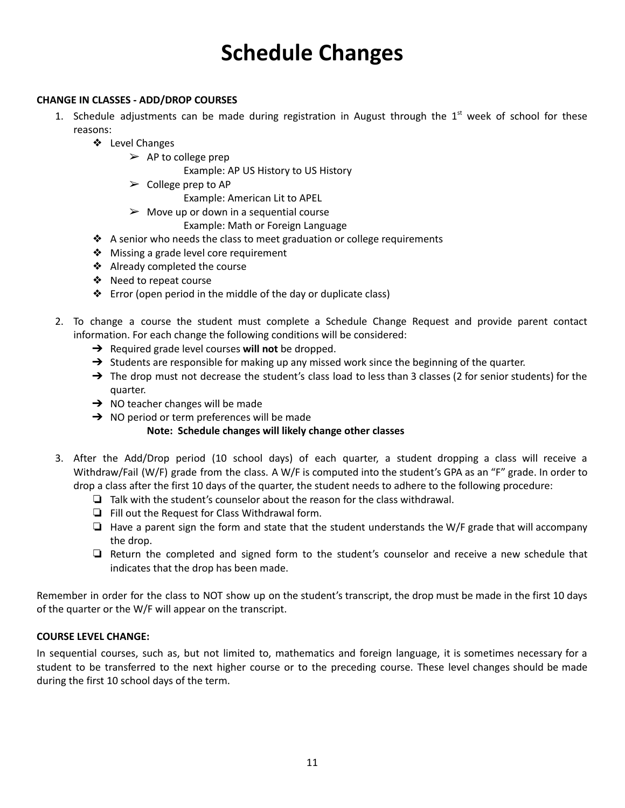### **Schedule Changes**

#### <span id="page-10-0"></span>**CHANGE IN CLASSES - ADD/DROP COURSES**

- 1. Schedule adjustments can be made during registration in August through the  $1<sup>st</sup>$  week of school for these reasons:
	- ❖ Level Changes
		- $\triangleright$  AP to college prep

Example: AP US History to US History

 $\triangleright$  College prep to AP

Example: American Lit to APEL

 $\triangleright$  Move up or down in a sequential course

Example: Math or Foreign Language

- ❖ A senior who needs the class to meet graduation or college requirements
- ❖ Missing a grade level core requirement
- ❖ Already completed the course
- ❖ Need to repeat course
- ❖ Error (open period in the middle of the day or duplicate class)
- 2. To change a course the student must complete a Schedule Change Request and provide parent contact information. For each change the following conditions will be considered:
	- ➔ Required grade level courses **will not** be dropped.
	- $\rightarrow$  Students are responsible for making up any missed work since the beginning of the quarter.
	- → The drop must not decrease the student's class load to less than 3 classes (2 for senior students) for the quarter.
	- $\rightarrow$  NO teacher changes will be made
	- $\rightarrow$  NO period or term preferences will be made

#### **Note: Schedule changes will likely change other classes**

- 3. After the Add/Drop period (10 school days) of each quarter, a student dropping a class will receive a Withdraw/Fail (W/F) grade from the class. A W/F is computed into the student's GPA as an "F" grade. In order to drop a class after the first 10 days of the quarter, the student needs to adhere to the following procedure:
	- ❏ Talk with the student's counselor about the reason for the class withdrawal.
	- ❏ Fill out the Request for Class Withdrawal form.
	- ❏ Have a parent sign the form and state that the student understands the W/F grade that will accompany the drop.
	- ❏ Return the completed and signed form to the student's counselor and receive a new schedule that indicates that the drop has been made.

Remember in order for the class to NOT show up on the student's transcript, the drop must be made in the first 10 days of the quarter or the W/F will appear on the transcript.

#### **COURSE LEVEL CHANGE:**

In sequential courses, such as, but not limited to, mathematics and foreign language, it is sometimes necessary for a student to be transferred to the next higher course or to the preceding course. These level changes should be made during the first 10 school days of the term.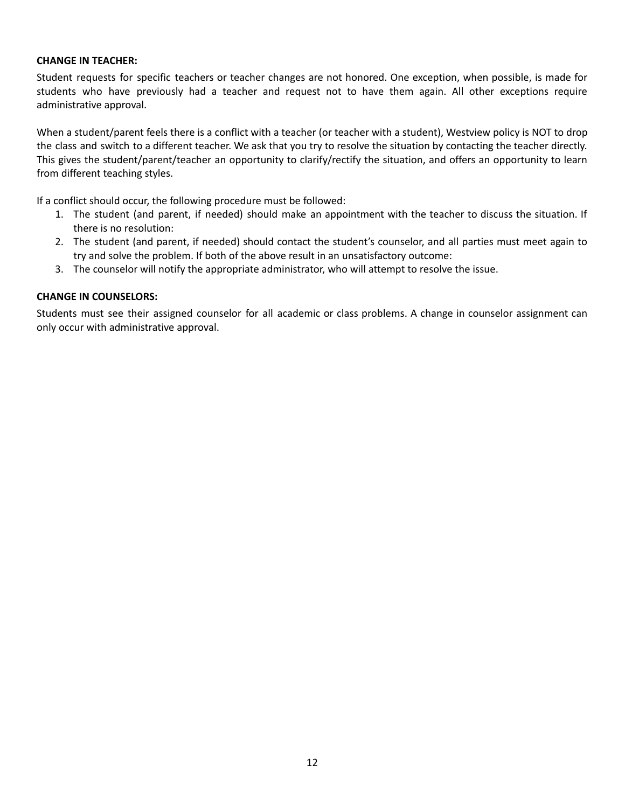#### **CHANGE IN TEACHER:**

Student requests for specific teachers or teacher changes are not honored. One exception, when possible, is made for students who have previously had a teacher and request not to have them again. All other exceptions require administrative approval.

When a student/parent feels there is a conflict with a teacher (or teacher with a student), Westview policy is NOT to drop the class and switch to a different teacher. We ask that you try to resolve the situation by contacting the teacher directly. This gives the student/parent/teacher an opportunity to clarify/rectify the situation, and offers an opportunity to learn from different teaching styles.

If a conflict should occur, the following procedure must be followed:

- 1. The student (and parent, if needed) should make an appointment with the teacher to discuss the situation. If there is no resolution:
- 2. The student (and parent, if needed) should contact the student's counselor, and all parties must meet again to try and solve the problem. If both of the above result in an unsatisfactory outcome:
- 3. The counselor will notify the appropriate administrator, who will attempt to resolve the issue.

#### **CHANGE IN COUNSELORS:**

Students must see their assigned counselor for all academic or class problems. A change in counselor assignment can only occur with administrative approval.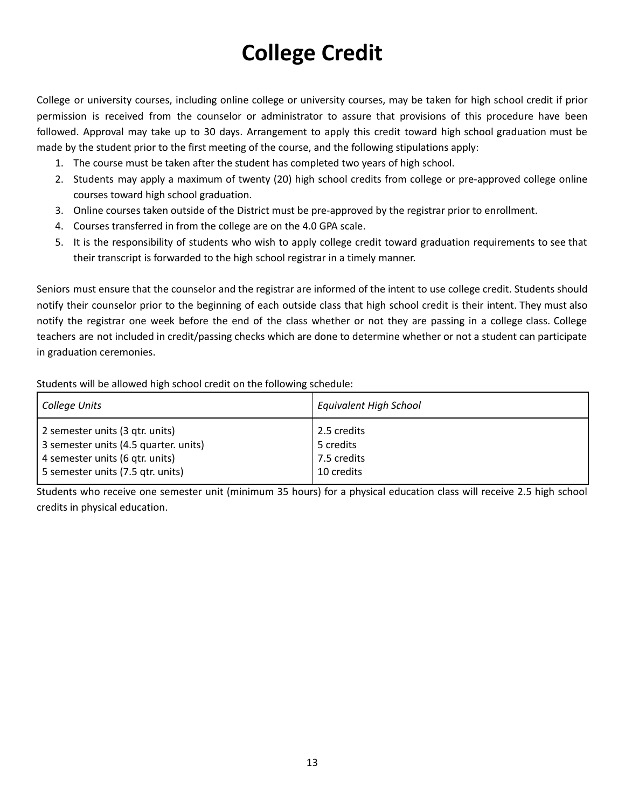### **College Credit**

<span id="page-12-0"></span>College or university courses, including online college or university courses, may be taken for high school credit if prior permission is received from the counselor or administrator to assure that provisions of this procedure have been followed. Approval may take up to 30 days. Arrangement to apply this credit toward high school graduation must be made by the student prior to the first meeting of the course, and the following stipulations apply:

- 1. The course must be taken after the student has completed two years of high school.
- 2. Students may apply a maximum of twenty (20) high school credits from college or pre-approved college online courses toward high school graduation.
- 3. Online courses taken outside of the District must be pre-approved by the registrar prior to enrollment.
- 4. Courses transferred in from the college are on the 4.0 GPA scale.
- 5. It is the responsibility of students who wish to apply college credit toward graduation requirements to see that their transcript is forwarded to the high school registrar in a timely manner.

Seniors must ensure that the counselor and the registrar are informed of the intent to use college credit. Students should notify their counselor prior to the beginning of each outside class that high school credit is their intent. They must also notify the registrar one week before the end of the class whether or not they are passing in a college class. College teachers are not included in credit/passing checks which are done to determine whether or not a student can participate in graduation ceremonies.

Students will be allowed high school credit on the following schedule:

| College Units                         | <b>Equivalent High School</b> |
|---------------------------------------|-------------------------------|
| 2 semester units (3 gtr. units)       | 2.5 credits                   |
| 3 semester units (4.5 quarter. units) | 5 credits                     |
| 4 semester units (6 gtr. units)       | 7.5 credits                   |
| 5 semester units (7.5 gtr. units)     | 10 credits                    |

Students who receive one semester unit (minimum 35 hours) for a physical education class will receive 2.5 high school credits in physical education.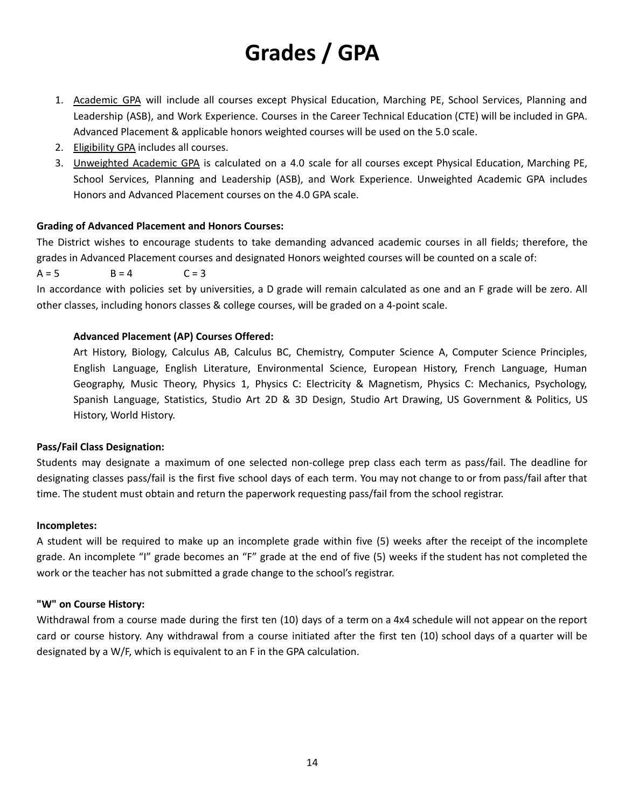### **Grades / GPA**

- <span id="page-13-0"></span>1. Academic GPA will include all courses except Physical Education, Marching PE, School Services, Planning and Leadership (ASB), and Work Experience. Courses in the Career Technical Education (CTE) will be included in GPA. Advanced Placement & applicable honors weighted courses will be used on the 5.0 scale.
- 2. Eligibility GPA includes all courses.
- 3. Unweighted Academic GPA is calculated on a 4.0 scale for all courses except Physical Education, Marching PE, School Services, Planning and Leadership (ASB), and Work Experience. Unweighted Academic GPA includes Honors and Advanced Placement courses on the 4.0 GPA scale.

#### **Grading of Advanced Placement and Honors Courses:**

The District wishes to encourage students to take demanding advanced academic courses in all fields; therefore, the grades in Advanced Placement courses and designated Honors weighted courses will be counted on a scale of:

 $A = 5$   $B = 4$   $C = 3$ 

In accordance with policies set by universities, a D grade will remain calculated as one and an F grade will be zero. All other classes, including honors classes & college courses, will be graded on a 4-point scale.

#### **Advanced Placement (AP) Courses Offered:**

Art History, Biology, Calculus AB, Calculus BC, Chemistry, Computer Science A, Computer Science Principles, English Language, English Literature, Environmental Science, European History, French Language, Human Geography, Music Theory, Physics 1, Physics C: Electricity & Magnetism, Physics C: Mechanics, Psychology, Spanish Language, Statistics, Studio Art 2D & 3D Design, Studio Art Drawing, US Government & Politics, US History, World History.

#### **Pass/Fail Class Designation:**

Students may designate a maximum of one selected non-college prep class each term as pass/fail. The deadline for designating classes pass/fail is the first five school days of each term. You may not change to or from pass/fail after that time. The student must obtain and return the paperwork requesting pass/fail from the school registrar.

#### **Incompletes:**

A student will be required to make up an incomplete grade within five (5) weeks after the receipt of the incomplete grade. An incomplete "I" grade becomes an "F" grade at the end of five (5) weeks if the student has not completed the work or the teacher has not submitted a grade change to the school's registrar.

#### **"W" on Course History:**

Withdrawal from a course made during the first ten (10) days of a term on a 4x4 schedule will not appear on the report card or course history. Any withdrawal from a course initiated after the first ten (10) school days of a quarter will be designated by a W/F, which is equivalent to an F in the GPA calculation.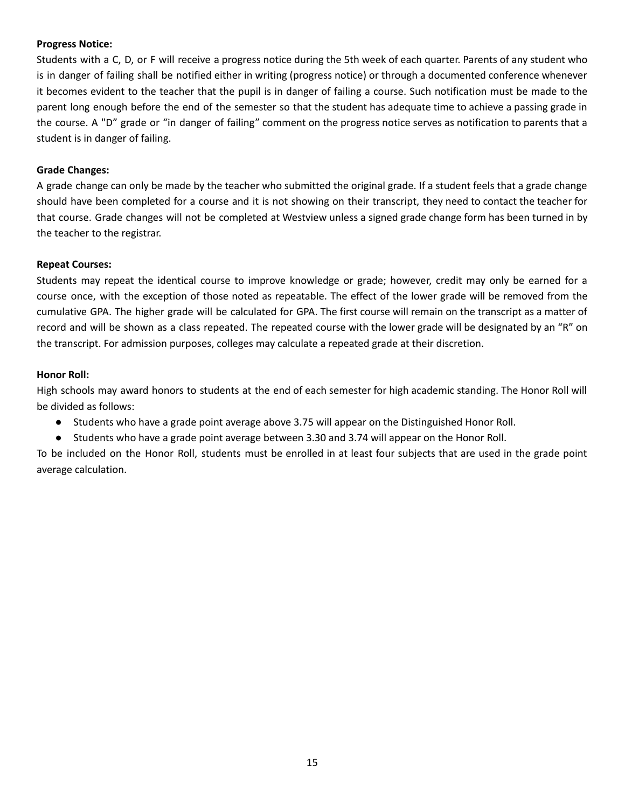#### **Progress Notice:**

Students with a C, D, or F will receive a progress notice during the 5th week of each quarter. Parents of any student who is in danger of failing shall be notified either in writing (progress notice) or through a documented conference whenever it becomes evident to the teacher that the pupil is in danger of failing a course. Such notification must be made to the parent long enough before the end of the semester so that the student has adequate time to achieve a passing grade in the course. A "D" grade or "in danger of failing" comment on the progress notice serves as notification to parents that a student is in danger of failing.

#### **Grade Changes:**

A grade change can only be made by the teacher who submitted the original grade. If a student feels that a grade change should have been completed for a course and it is not showing on their transcript, they need to contact the teacher for that course. Grade changes will not be completed at Westview unless a signed grade change form has been turned in by the teacher to the registrar.

#### **Repeat Courses:**

Students may repeat the identical course to improve knowledge or grade; however, credit may only be earned for a course once, with the exception of those noted as repeatable. The effect of the lower grade will be removed from the cumulative GPA. The higher grade will be calculated for GPA. The first course will remain on the transcript as a matter of record and will be shown as a class repeated. The repeated course with the lower grade will be designated by an "R" on the transcript. For admission purposes, colleges may calculate a repeated grade at their discretion.

#### **Honor Roll:**

High schools may award honors to students at the end of each semester for high academic standing. The Honor Roll will be divided as follows:

- Students who have a grade point average above 3.75 will appear on the Distinguished Honor Roll.
- Students who have a grade point average between 3.30 and 3.74 will appear on the Honor Roll.

To be included on the Honor Roll, students must be enrolled in at least four subjects that are used in the grade point average calculation.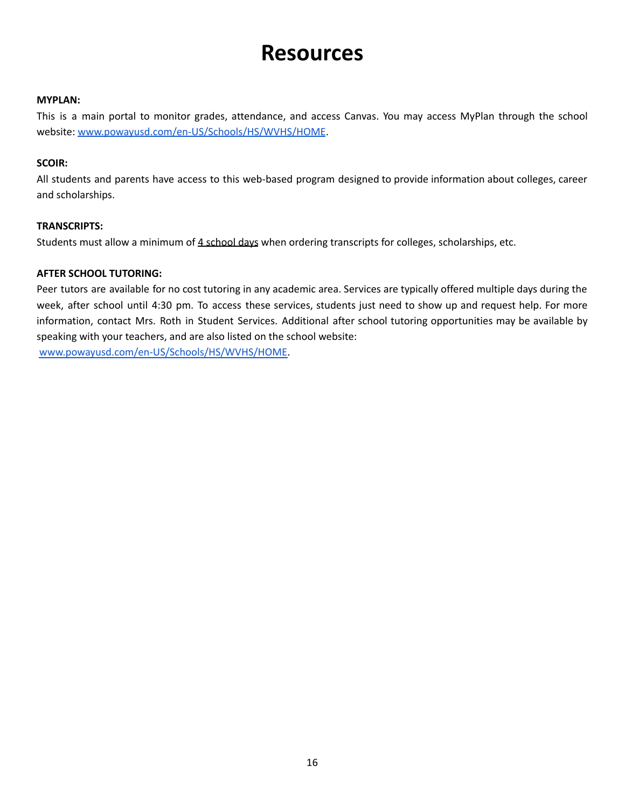### **Resources**

#### <span id="page-15-0"></span>**MYPLAN:**

This is a main portal to monitor grades, attendance, and access Canvas. You may access MyPlan through the school website: [www.powayusd.com/en-US/Schools/HS/WVHS/HOME](http://www.powayusd.com/en-US/Schools/HS/WVHS/HOME).

#### **SCOIR:**

All students and parents have access to this web-based program designed to provide information about colleges, career and scholarships.

#### **TRANSCRIPTS:**

Students must allow a minimum of 4 school days when ordering transcripts for colleges, scholarships, etc.

#### **AFTER SCHOOL TUTORING:**

Peer tutors are available for no cost tutoring in any academic area. Services are typically offered multiple days during the week, after school until 4:30 pm. To access these services, students just need to show up and request help. For more information, contact Mrs. Roth in Student Services. Additional after school tutoring opportunities may be available by speaking with your teachers, and are also listed on the school website: [www.powayusd.com/en-US/Schools/HS/WVHS/HOME.](http://www.powayusd.com/en-US/Schools/HS/WVHS/HOME)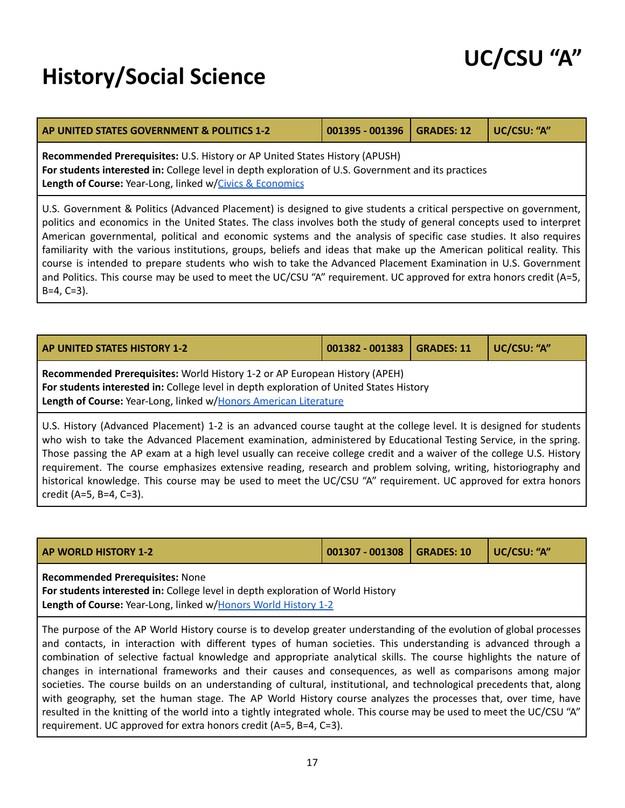### <span id="page-16-0"></span>**History/Social Science**

credit (A=5, B=4, C=3).

| UC/CSU "A" |  |
|------------|--|
|------------|--|

| AP UNITED STATES GOVERNMENT & POLITICS 1-2                                                                                                                                                                                                                                                                                                                                                                                                                                                                                                                                                                                                                                                                                                         | 001395 - 001396 | <b>GRADES: 12</b> | UC/CSU: "A" |
|----------------------------------------------------------------------------------------------------------------------------------------------------------------------------------------------------------------------------------------------------------------------------------------------------------------------------------------------------------------------------------------------------------------------------------------------------------------------------------------------------------------------------------------------------------------------------------------------------------------------------------------------------------------------------------------------------------------------------------------------------|-----------------|-------------------|-------------|
| Recommended Prerequisites: U.S. History or AP United States History (APUSH)<br>For students interested in: College level in depth exploration of U.S. Government and its practices<br>Length of Course: Year-Long, linked w/Civics & Economics                                                                                                                                                                                                                                                                                                                                                                                                                                                                                                     |                 |                   |             |
| U.S. Government & Politics (Advanced Placement) is designed to give students a critical perspective on government,<br>politics and economics in the United States. The class involves both the study of general concepts used to interpret<br>American governmental, political and economic systems and the analysis of specific case studies. It also requires<br>familiarity with the various institutions, groups, beliefs and ideas that make up the American political reality. This<br>course is intended to prepare students who wish to take the Advanced Placement Examination in U.S. Government<br>and Politics. This course may be used to meet the UC/CSU "A" requirement. UC approved for extra honors credit (A=5,<br>$B=4, C=3$ ). |                 |                   |             |

<span id="page-16-2"></span>

| <b>AP UNITED STATES HISTORY 1-2</b>                                                                                                                                                                                                                                                                                                                                                                                                                                                    | 001382 - 001383 | <b>GRADES: 11</b> | UC/CSU: "A" |
|----------------------------------------------------------------------------------------------------------------------------------------------------------------------------------------------------------------------------------------------------------------------------------------------------------------------------------------------------------------------------------------------------------------------------------------------------------------------------------------|-----------------|-------------------|-------------|
| Recommended Prerequisites: World History 1-2 or AP European History (APEH)<br>For students interested in: College level in depth exploration of United States History<br>Length of Course: Year-Long, linked w/Honors American Literature                                                                                                                                                                                                                                              |                 |                   |             |
| U.S. History (Advanced Placement) 1-2 is an advanced course taught at the college level. It is designed for students<br>who wish to take the Advanced Placement examination, administered by Educational Testing Service, in the spring.<br>Those passing the AP exam at a high level usually can receive college credit and a waiver of the college U.S. History  <br>requirement. The course emphasizes extensive reading, research and problem solving, writing, historiography and |                 |                   |             |

<span id="page-16-1"></span>

| <b>AP WORLD HISTORY 1-2</b>            | 001307 - 001308   GRADES: 10 | UC/CSU: "A" |
|----------------------------------------|------------------------------|-------------|
| <b>Recommended Prerequisites: None</b> |                              |             |

historical knowledge. This course may be used to meet the UC/CSU "A" requirement. UC approved for extra honors

**For students interested in:** College level in depth exploration of World History Length of Course: Year-Long, linked w/Honors World [History](#page-17-1) 1-2

The purpose of the AP World History course is to develop greater understanding of the evolution of global processes and contacts, in interaction with different types of human societies. This understanding is advanced through a combination of selective factual knowledge and appropriate analytical skills. The course highlights the nature of changes in international frameworks and their causes and consequences, as well as comparisons among major societies. The course builds on an understanding of cultural, institutional, and technological precedents that, along with geography, set the human stage. The AP World History course analyzes the processes that, over time, have resulted in the knitting of the world into a tightly integrated whole. This course may be used to meet the UC/CSU "A" requirement. UC approved for extra honors credit (A=5, B=4, C=3).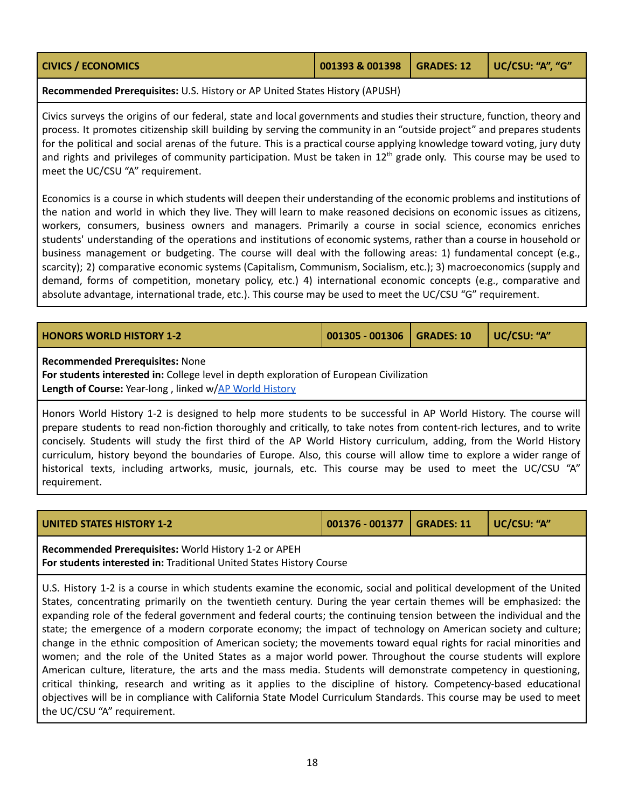<span id="page-17-0"></span>

| <b>CIVICS / ECONOMICS</b> | 001393 & 001398   GRADES: 12   UC/CSU: "A", "G" |  |  |
|---------------------------|-------------------------------------------------|--|--|
|---------------------------|-------------------------------------------------|--|--|

**Recommended Prerequisites:** U.S. History or AP United States History (APUSH)

Civics surveys the origins of our federal, state and local governments and studies their structure, function, theory and process. It promotes citizenship skill building by serving the community in an "outside project" and prepares students for the political and social arenas of the future. This is a practical course applying knowledge toward voting, jury duty and rights and privileges of community participation. Must be taken in 12<sup>th</sup> grade only. This course may be used to meet the UC/CSU "A" requirement.

Economics is a course in which students will deepen their understanding of the economic problems and institutions of the nation and world in which they live. They will learn to make reasoned decisions on economic issues as citizens, workers, consumers, business owners and managers. Primarily a course in social science, economics enriches students' understanding of the operations and institutions of economic systems, rather than a course in household or business management or budgeting. The course will deal with the following areas: 1) fundamental concept (e.g., scarcity); 2) comparative economic systems (Capitalism, Communism, Socialism, etc.); 3) macroeconomics (supply and demand, forms of competition, monetary policy, etc.) 4) international economic concepts (e.g., comparative and absolute advantage, international trade, etc.). This course may be used to meet the UC/CSU "G" requirement.

<span id="page-17-1"></span>

| <b>HONORS WORLD HISTORY 1-2</b>                                                                                                                                                                                                                                                                                                                                                                                                                                                       | 001305 - 001306 | <b>GRADES: 10</b> | UC/CSU: "A" |  |  |  |
|---------------------------------------------------------------------------------------------------------------------------------------------------------------------------------------------------------------------------------------------------------------------------------------------------------------------------------------------------------------------------------------------------------------------------------------------------------------------------------------|-----------------|-------------------|-------------|--|--|--|
| <b>Recommended Prerequisites: None</b><br>For students interested in: College level in depth exploration of European Civilization<br>Length of Course: Year-long, linked w/AP World History                                                                                                                                                                                                                                                                                           |                 |                   |             |  |  |  |
| Honors World History 1-2 is designed to help more students to be successful in AP World History. The course will<br>prepare students to read non-fiction thoroughly and critically, to take notes from content-rich lectures, and to write<br>concisely. Students will study the first third of the AP World History curriculum, adding, from the World History<br>curriculum, history beyond the boundaries of Europe. Also, this course will allow time to explore a wider range of |                 |                   |             |  |  |  |

|              | Carricarum, motory beyond the boandance or Earope. Also, this course will allow thrie to explore a wider range or |  |  |  |  |  |  |  |
|--------------|-------------------------------------------------------------------------------------------------------------------|--|--|--|--|--|--|--|
|              | historical texts, including artworks, music, journals, etc. This course may be used to meet the UC/CSU "A"        |  |  |  |  |  |  |  |
| requirement. |                                                                                                                   |  |  |  |  |  |  |  |

|  |  | <b>UNITED STATES HISTORY 1-2</b> |
|--|--|----------------------------------|

**UNITED STATES HISTORY 1-2 001376 - 001377 GRADES: 11 UC/CSU: "A"**

**Recommended Prerequisites:** World History 1-2 or APEH **For students interested in:** Traditional United States History Course

U.S. History 1-2 is a course in which students examine the economic, social and political development of the United States, concentrating primarily on the twentieth century. During the year certain themes will be emphasized: the expanding role of the federal government and federal courts; the continuing tension between the individual and the state; the emergence of a modern corporate economy; the impact of technology on American society and culture; change in the ethnic composition of American society; the movements toward equal rights for racial minorities and women; and the role of the United States as a major world power. Throughout the course students will explore American culture, literature, the arts and the mass media. Students will demonstrate competency in questioning, critical thinking, research and writing as it applies to the discipline of history. Competency-based educational objectives will be in compliance with California State Model Curriculum Standards. This course may be used to meet the UC/CSU "A" requirement.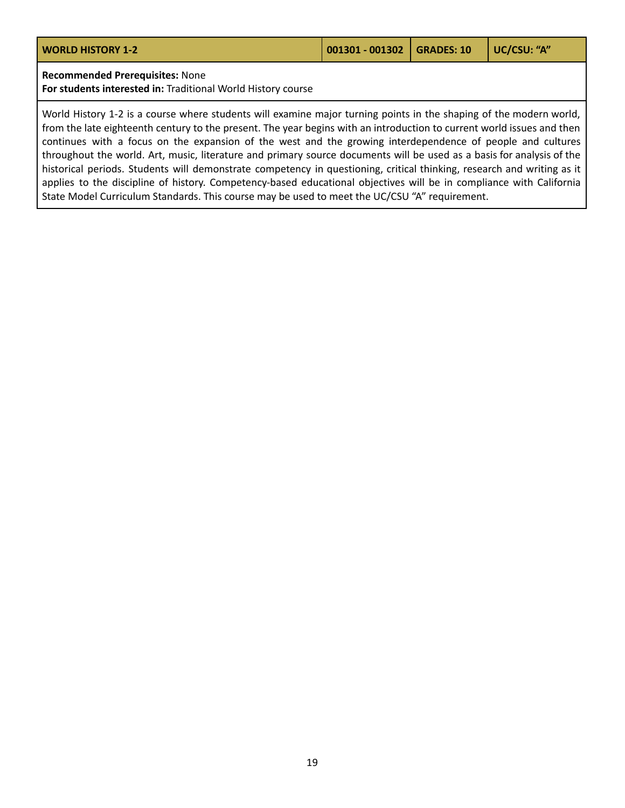| <b>WORLD HISTORY 1-2</b> | $\vert$ 001301 - 001302 GRADES: 10 $\vert$ UC/CSU: "A" |  |
|--------------------------|--------------------------------------------------------|--|
|                          |                                                        |  |

**Recommended Prerequisites:** None

**For students interested in:** Traditional World History course

World History 1-2 is a course where students will examine major turning points in the shaping of the modern world, from the late eighteenth century to the present. The year begins with an introduction to current world issues and then continues with a focus on the expansion of the west and the growing interdependence of people and cultures throughout the world. Art, music, literature and primary source documents will be used as a basis for analysis of the historical periods. Students will demonstrate competency in questioning, critical thinking, research and writing as it applies to the discipline of history. Competency-based educational objectives will be in compliance with California State Model Curriculum Standards. This course may be used to meet the UC/CSU "A" requirement.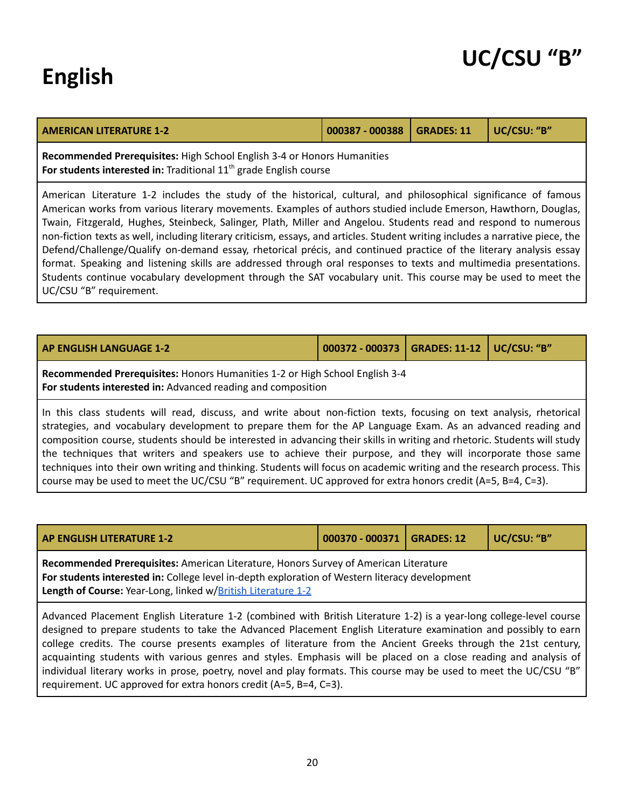## <span id="page-19-0"></span>**English**

### **UC/CSU "B"**

| <b>AMERICAN LITERATURE 1-2</b>                                          | 000387 - 000388   GRADES: 11   UC/CSU: "B" |  |
|-------------------------------------------------------------------------|--------------------------------------------|--|
| Recommended Prerequisites: High School English 3-4 or Honors Humanities |                                            |  |

**For students interested in:** Traditional 11 th grade English course

American Literature 1-2 includes the study of the historical, cultural, and philosophical significance of famous American works from various literary movements. Examples of authors studied include Emerson, Hawthorn, Douglas, Twain, Fitzgerald, Hughes, Steinbeck, Salinger, Plath, Miller and Angelou. Students read and respond to numerous non-fiction texts as well, including literary criticism, essays, and articles. Student writing includes a narrative piece, the Defend/Challenge/Qualify on-demand essay, rhetorical précis, and continued practice of the literary analysis essay format. Speaking and listening skills are addressed through oral responses to texts and multimedia presentations. Students continue vocabulary development through the SAT vocabulary unit. This course may be used to meet the UC/CSU "B" requirement.

| AP ENGLISH LANGUAGE 1-2                                                                                                                                                                                                                                                                                                                                                                                                                                                                                                                                                                                                                                                                                                | 000372 - 000373   GRADES: 11-12 |  | UC/CSU: "B" |  |  |  |  |
|------------------------------------------------------------------------------------------------------------------------------------------------------------------------------------------------------------------------------------------------------------------------------------------------------------------------------------------------------------------------------------------------------------------------------------------------------------------------------------------------------------------------------------------------------------------------------------------------------------------------------------------------------------------------------------------------------------------------|---------------------------------|--|-------------|--|--|--|--|
| Recommended Prerequisites: Honors Humanities 1-2 or High School English 3-4<br>For students interested in: Advanced reading and composition                                                                                                                                                                                                                                                                                                                                                                                                                                                                                                                                                                            |                                 |  |             |  |  |  |  |
| In this class students will read, discuss, and write about non-fiction texts, focusing on text analysis, rhetorical<br>strategies, and vocabulary development to prepare them for the AP Language Exam. As an advanced reading and<br>composition course, students should be interested in advancing their skills in writing and rhetoric. Students will study<br>the techniques that writers and speakers use to achieve their purpose, and they will incorporate those same<br>techniques into their own writing and thinking. Students will focus on academic writing and the research process. This<br>course may be used to meet the UC/CSU "B" requirement. UC approved for extra honors credit (A=5, B=4, C=3). |                                 |  |             |  |  |  |  |

<span id="page-19-1"></span>

| <b>AP ENGLISH LITERATURE 1-2</b>                                                                                                                                                                                                                                                                                                                                                                                                                                            | $000370 - 000371$ | <b>GRADES: 12</b> | UC/CSU: "B" |  |  |  |  |
|-----------------------------------------------------------------------------------------------------------------------------------------------------------------------------------------------------------------------------------------------------------------------------------------------------------------------------------------------------------------------------------------------------------------------------------------------------------------------------|-------------------|-------------------|-------------|--|--|--|--|
| Recommended Prerequisites: American Literature, Honors Survey of American Literature<br>For students interested in: College level in-depth exploration of Western literacy development<br>Length of Course: Year-Long, linked w/British Literature 1-2                                                                                                                                                                                                                      |                   |                   |             |  |  |  |  |
| Advanced Placement English Literature 1-2 (combined with British Literature 1-2) is a year-long college-level course<br>designed to prepare students to take the Advanced Placement English Literature examination and possibly to earn<br>college credits. The course presents examples of literature from the Ancient Greeks through the 21st century,<br>acquainting students with various genres and styles. Emphasis will be placed on a close reading and analysis of |                   |                   |             |  |  |  |  |

acquainting students with various genres and styles. Emphasis will be placed on a close reading and analysis of individual literary works in prose, poetry, novel and play formats. This course may be used to meet the UC/CSU "B" requirement. UC approved for extra honors credit (A=5, B=4, C=3).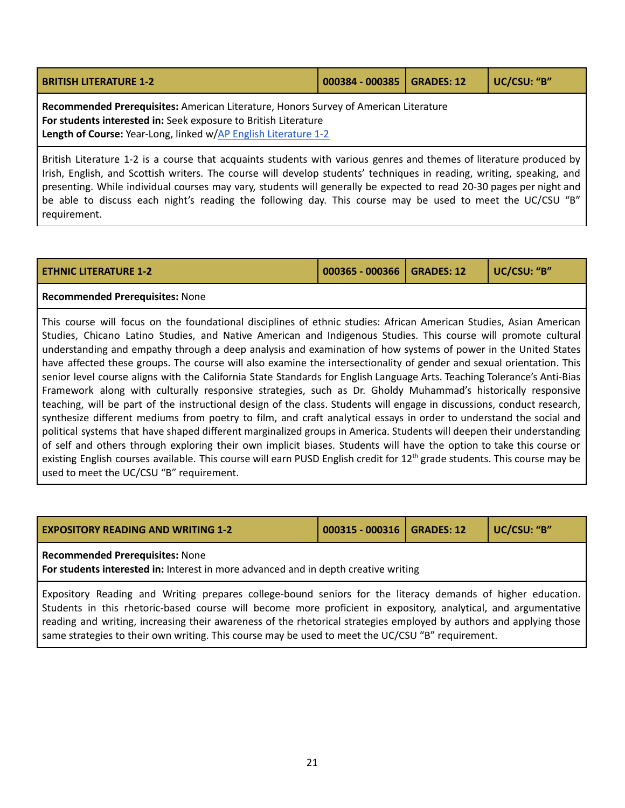<span id="page-20-0"></span>

| <b>BRITISH LITERATURE 1-2</b>                                                                                                                                                                                              | 000384 - 000385   GRADES: 12 | UC/CSU: "B" |
|----------------------------------------------------------------------------------------------------------------------------------------------------------------------------------------------------------------------------|------------------------------|-------------|
| Recommended Prerequisites: American Literature, Honors Survey of American Literature<br>For students interested in: Seek exposure to British Literature<br>Length of Course: Year-Long, linked w/AP English Literature 1-2 |                              |             |

British Literature 1-2 is a course that acquaints students with various genres and themes of literature produced by Irish, English, and Scottish writers. The course will develop students' techniques in reading, writing, speaking, and presenting. While individual courses may vary, students will generally be expected to read 20-30 pages per night and be able to discuss each night's reading the following day. This course may be used to meet the UC/CSU "B" requirement.

| <b>ETHNIC LITERATURE 1-2</b> | 000365 - 000366   GRADES: 12 | UC/CSU: "B" |
|------------------------------|------------------------------|-------------|
|                              |                              |             |

#### **Recommended Prerequisites:** None

This course will focus on the foundational disciplines of ethnic studies: African American Studies, Asian American Studies, Chicano Latino Studies, and Native American and Indigenous Studies. This course will promote cultural understanding and empathy through a deep analysis and examination of how systems of power in the United States have affected these groups. The course will also examine the intersectionality of gender and sexual orientation. This senior level course aligns with the California State Standards for English Language Arts. Teaching Tolerance's Anti-Bias Framework along with culturally responsive strategies, such as Dr. Gholdy Muhammad's historically responsive teaching, will be part of the instructional design of the class. Students will engage in discussions, conduct research, synthesize different mediums from poetry to film, and craft analytical essays in order to understand the social and political systems that have shaped different marginalized groups in America. Students will deepen their understanding of self and others through exploring their own implicit biases. Students will have the option to take this course or existing English courses available. This course will earn PUSD English credit for 12<sup>th</sup> grade students. This course may be used to meet the UC/CSU "B" requirement.

| <b>LEXPOSITORY READING AND WRITING 1-2</b> |  |
|--------------------------------------------|--|
|--------------------------------------------|--|

**EXPOSITORY READING AND WRITING 1-2 000315 - 000316 GRADES: 12 UC/CSU: "B"**

#### **Recommended Prerequisites:** None

**For students interested in:** Interest in more advanced and in depth creative writing

Expository Reading and Writing prepares college-bound seniors for the literacy demands of higher education. Students in this rhetoric-based course will become more proficient in expository, analytical, and argumentative reading and writing, increasing their awareness of the rhetorical strategies employed by authors and applying those same strategies to their own writing. This course may be used to meet the UC/CSU "B" requirement.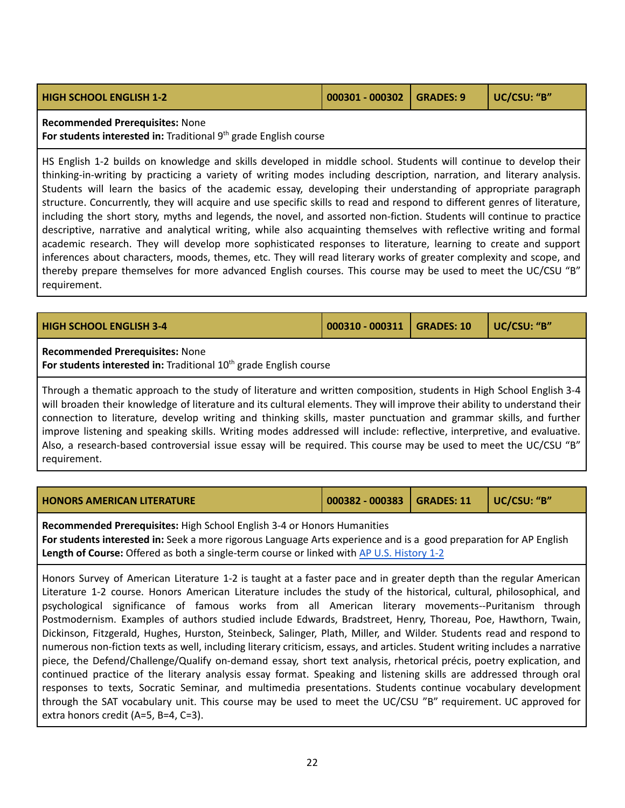| <b>HIGH SCHOOL ENGLISH 1-2</b> | $ 000301 - 000302 $ GRADES: 9 | UC/CSU: "B" |
|--------------------------------|-------------------------------|-------------|
|                                |                               |             |

**Recommended Prerequisites:** None

**For students interested in:** Traditional 9 th grade English course

HS English 1-2 builds on knowledge and skills developed in middle school. Students will continue to develop their thinking-in-writing by practicing a variety of writing modes including description, narration, and literary analysis. Students will learn the basics of the academic essay, developing their understanding of appropriate paragraph structure. Concurrently, they will acquire and use specific skills to read and respond to different genres of literature, including the short story, myths and legends, the novel, and assorted non-fiction. Students will continue to practice descriptive, narrative and analytical writing, while also acquainting themselves with reflective writing and formal academic research. They will develop more sophisticated responses to literature, learning to create and support inferences about characters, moods, themes, etc. They will read literary works of greater complexity and scope, and thereby prepare themselves for more advanced English courses. This course may be used to meet the UC/CSU "B" requirement.

| <b>HIGH SCHOOL ENGLISH 3-4</b>                                                                                                                                                                                                                       | 000310 - 000311 | GRADES: 10 | UC/CSU: "B" |  |
|------------------------------------------------------------------------------------------------------------------------------------------------------------------------------------------------------------------------------------------------------|-----------------|------------|-------------|--|
| <b>Recommended Prerequisites: None</b><br>For students interested in: Traditional $10th$ grade English course                                                                                                                                        |                 |            |             |  |
| Through a thematic approach to the study of literature and written composition, students in High School English 3-4<br>will broaden their knowledge of literature and its cultural elements. They will improve their ability to understand their $ $ |                 |            |             |  |

connection to literature, develop writing and thinking skills, master punctuation and grammar skills, and further improve listening and speaking skills. Writing modes addressed will include: reflective, interpretive, and evaluative. Also, a research-based controversial issue essay will be required. This course may be used to meet the UC/CSU "B" requirement.

<span id="page-21-0"></span>

| <b>HONORS AMERICAN LITERATURE</b>                                              | 000382 - 000383   GRADES: 11   UC/CSU: "B" |  |  |  |
|--------------------------------------------------------------------------------|--------------------------------------------|--|--|--|
| <b>Recommended Prerequisites:</b> High School English 3-4 or Honors Humanities |                                            |  |  |  |

**For students interested in:** Seek a more rigorous Language Arts experience and is a good preparation for AP English **Length of Course:** Offered as both a single-term course or linked with AP U.S. [History](#page-16-2) 1-2

Honors Survey of American Literature 1-2 is taught at a faster pace and in greater depth than the regular American Literature 1-2 course. Honors American Literature includes the study of the historical, cultural, philosophical, and psychological significance of famous works from all American literary movements--Puritanism through Postmodernism. Examples of authors studied include Edwards, Bradstreet, Henry, Thoreau, Poe, Hawthorn, Twain, Dickinson, Fitzgerald, Hughes, Hurston, Steinbeck, Salinger, Plath, Miller, and Wilder. Students read and respond to numerous non-fiction texts as well, including literary criticism, essays, and articles. Student writing includes a narrative piece, the Defend/Challenge/Qualify on-demand essay, short text analysis, rhetorical précis, poetry explication, and continued practice of the literary analysis essay format. Speaking and listening skills are addressed through oral responses to texts, Socratic Seminar, and multimedia presentations. Students continue vocabulary development through the SAT vocabulary unit. This course may be used to meet the UC/CSU "B" requirement. UC approved for extra honors credit (A=5, B=4, C=3).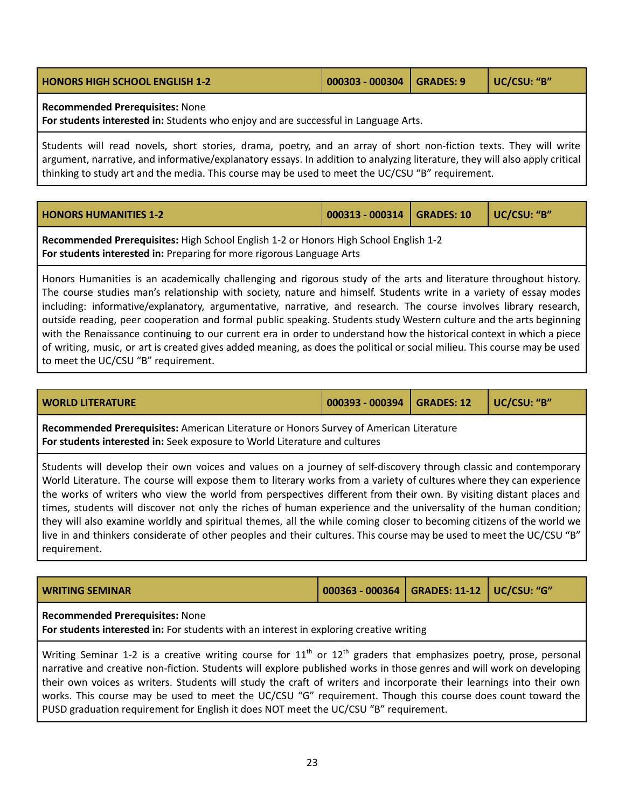| <b>HONORS HIGH SCHOOL ENGLISH 1-2</b>  | 000303 - 000304   GRADES: 9 | UC/CSU: "B" |
|----------------------------------------|-----------------------------|-------------|
| <b>Recommended Prerequisites: None</b> |                             |             |

**For students interested in:** Students who enjoy and are successful in Language Arts.

Students will read novels, short stories, drama, poetry, and an array of short non-fiction texts. They will write argument, narrative, and informative/explanatory essays. In addition to analyzing literature, they will also apply critical thinking to study art and the media. This course may be used to meet the UC/CSU "B" requirement.

| <b>HONORS HUMANITIES 1-2</b> | $\vert$ 000313 - 000314 $\vert$ GRADES: 10 $\vert$ UC/CSU: "B" |  |  |
|------------------------------|----------------------------------------------------------------|--|--|
|------------------------------|----------------------------------------------------------------|--|--|

**Recommended Prerequisites:** High School English 1-2 or Honors High School English 1-2 **For students interested in:** Preparing for more rigorous Language Arts

Honors Humanities is an academically challenging and rigorous study of the arts and literature throughout history. The course studies man's relationship with society, nature and himself. Students write in a variety of essay modes including: informative/explanatory, argumentative, narrative, and research. The course involves library research, outside reading, peer cooperation and formal public speaking. Students study Western culture and the arts beginning with the Renaissance continuing to our current era in order to understand how the historical context in which a piece of writing, music, or art is created gives added meaning, as does the political or social milieu. This course may be used to meet the UC/CSU "B" requirement.

| WORLD LITERATURE | 000393 - 000394   GRADES: 12   UC/CSU: "B" |  |  |
|------------------|--------------------------------------------|--|--|
|------------------|--------------------------------------------|--|--|

**Recommended Prerequisites:** American Literature or Honors Survey of American Literature **For students interested in:** Seek exposure to World Literature and cultures

Students will develop their own voices and values on a journey of self-discovery through classic and contemporary World Literature. The course will expose them to literary works from a variety of cultures where they can experience the works of writers who view the world from perspectives different from their own. By visiting distant places and times, students will discover not only the riches of human experience and the universality of the human condition; they will also examine worldly and spiritual themes, all the while coming closer to becoming citizens of the world we live in and thinkers considerate of other peoples and their cultures. This course may be used to meet the UC/CSU "B" requirement.

|--|

#### **Recommended Prerequisites:** None

**For students interested in:** For students with an interest in exploring creative writing

Writing Seminar 1-2 is a creative writing course for 11<sup>th</sup> or 12<sup>th</sup> graders that emphasizes poetry, prose, personal narrative and creative non-fiction. Students will explore published works in those genres and will work on developing their own voices as writers. Students will study the craft of writers and incorporate their learnings into their own works. This course may be used to meet the UC/CSU "G" requirement. Though this course does count toward the PUSD graduation requirement for English it does NOT meet the UC/CSU "B" requirement.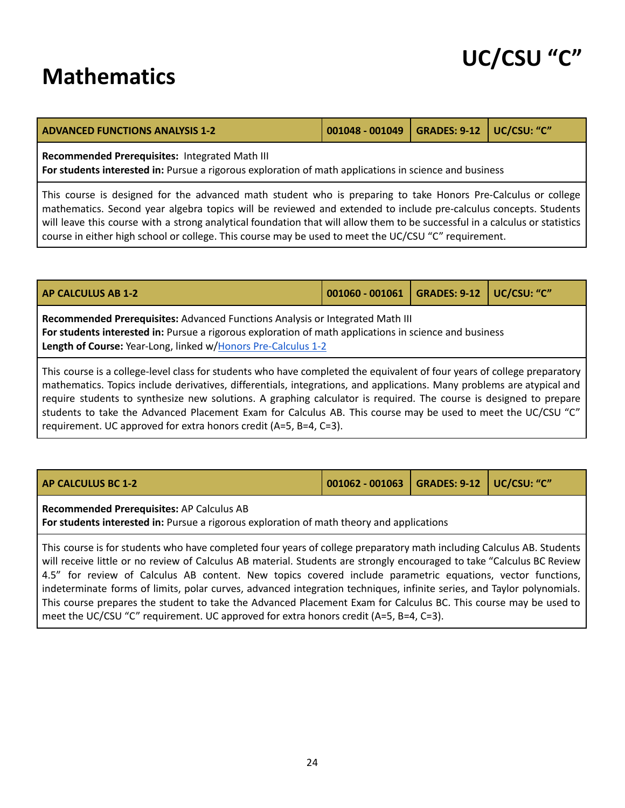### <span id="page-23-0"></span>**Mathematics**

| <b>ADVANCED FUNCTIONS ANALYSIS 1-2</b>         | 001048 - 001049   GRADES: 9-12   UC/CSU: "C" |  |
|------------------------------------------------|----------------------------------------------|--|
| Recommended Prerequisites: Integrated Math III |                                              |  |

**For students interested in:** Pursue a rigorous exploration of math applications in science and business

This course is designed for the advanced math student who is preparing to take Honors Pre-Calculus or college mathematics. Second year algebra topics will be reviewed and extended to include pre-calculus concepts. Students will leave this course with a strong analytical foundation that will allow them to be successful in a calculus or statistics course in either high school or college. This course may be used to meet the UC/CSU "C" requirement.

<span id="page-23-1"></span>

| <b>AP CALCULUS AB 1-2</b>                                                                                                                                                                                                                                                                                                                                                                                                                                                                                                                                     | 001060 - 001061 | <b>GRADES: 9-12</b> | UC/CSU: "C" |  |
|---------------------------------------------------------------------------------------------------------------------------------------------------------------------------------------------------------------------------------------------------------------------------------------------------------------------------------------------------------------------------------------------------------------------------------------------------------------------------------------------------------------------------------------------------------------|-----------------|---------------------|-------------|--|
| Recommended Prerequisites: Advanced Functions Analysis or Integrated Math III<br>For students interested in: Pursue a rigorous exploration of math applications in science and business<br>Length of Course: Year-Long, linked w/Honors Pre-Calculus 1-2                                                                                                                                                                                                                                                                                                      |                 |                     |             |  |
| This course is a college-level class for students who have completed the equivalent of four years of college preparatory<br>mathematics. Topics include derivatives, differentials, integrations, and applications. Many problems are atypical and<br>require students to synthesize new solutions. A graphing calculator is required. The course is designed to prepare<br>students to take the Advanced Placement Exam for Calculus AB. This course may be used to meet the UC/CSU "C"<br>requirement. UC approved for extra honors credit (A=5, B=4, C=3). |                 |                     |             |  |

| <b>AP CALCULUS BC 1-2</b>                                                                                                              | 001062 - 001063   GRADES: 9-12   UC/CSU: "C" |  |  |  |
|----------------------------------------------------------------------------------------------------------------------------------------|----------------------------------------------|--|--|--|
| Recommended Prerequisites: AP Calculus AB<br>For students interested in: Pursue a rigorous exploration of math theory and applications |                                              |  |  |  |
| This course is for students who have completed four years of college preparatory math including Calculus AB. Students                  |                                              |  |  |  |

will receive little or no review of Calculus AB material. Students are strongly encouraged to take "Calculus BC Review 4.5" for review of Calculus AB content. New topics covered include parametric equations, vector functions, indeterminate forms of limits, polar curves, advanced integration techniques, infinite series, and Taylor polynomials. This course prepares the student to take the Advanced Placement Exam for Calculus BC. This course may be used to meet the UC/CSU "C" requirement. UC approved for extra honors credit (A=5, B=4, C=3).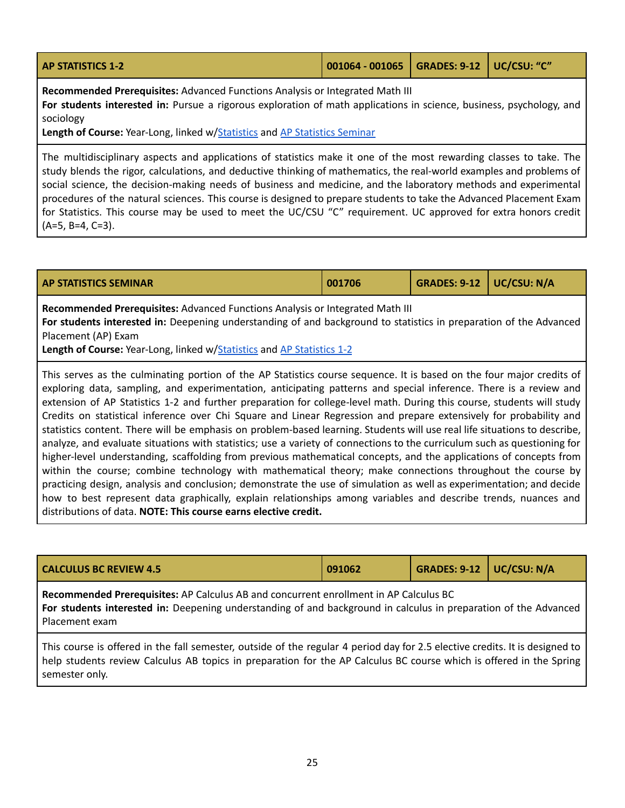<span id="page-24-1"></span>

| <b>AP STATISTICS 1-2</b> | 001064 - 001065   GRADES: 9-12   UC/CSU: "C" |  |  |  |
|--------------------------|----------------------------------------------|--|--|--|
|--------------------------|----------------------------------------------|--|--|--|

**Recommended Prerequisites:** Advanced Functions Analysis or Integrated Math III

**For students interested in:** Pursue a rigorous exploration of math applications in science, business, psychology, and sociology

**Length of Course:** Year-Long, linked w/[Statistics](#page-26-0) and AP [Statistics](#page-24-0) Seminar

The multidisciplinary aspects and applications of statistics make it one of the most rewarding classes to take. The study blends the rigor, calculations, and deductive thinking of mathematics, the real-world examples and problems of social science, the decision-making needs of business and medicine, and the laboratory methods and experimental procedures of the natural sciences. This course is designed to prepare students to take the Advanced Placement Exam for Statistics. This course may be used to meet the UC/CSU "C" requirement. UC approved for extra honors credit  $(A=5, B=4, C=3)$ .

<span id="page-24-0"></span>

| <b>AP STATISTICS SEMINAR</b> | 001706 | GRADES: 9-12   UC/CSU: N/A |  |
|------------------------------|--------|----------------------------|--|
|                              |        |                            |  |

**Recommended Prerequisites:** Advanced Functions Analysis or Integrated Math III **For students interested in:** Deepening understanding of and background to statistics in preparation of the Advanced Placement (AP) Exam

**Length of Course:** Year-Long, linked w/[Statistics](#page-26-0) and AP [Statistics](#page-24-1) 1-2

This serves as the culminating portion of the AP Statistics course sequence. It is based on the four major credits of exploring data, sampling, and experimentation, anticipating patterns and special inference. There is a review and extension of AP Statistics 1-2 and further preparation for college-level math. During this course, students will study Credits on statistical inference over Chi Square and Linear Regression and prepare extensively for probability and statistics content. There will be emphasis on problem-based learning. Students will use real life situations to describe, analyze, and evaluate situations with statistics; use a variety of connections to the curriculum such as questioning for higher-level understanding, scaffolding from previous mathematical concepts, and the applications of concepts from within the course; combine technology with mathematical theory; make connections throughout the course by practicing design, analysis and conclusion; demonstrate the use of simulation as well as experimentation; and decide how to best represent data graphically, explain relationships among variables and describe trends, nuances and distributions of data. **NOTE: This course earns elective credit.**

| <b>CALCULUS BC REVIEW 4.5</b>                                                                                                                                                                                                                       | 091062 | GRADES: $9-12$ UC/CSU: N/A |  |  |  |
|-----------------------------------------------------------------------------------------------------------------------------------------------------------------------------------------------------------------------------------------------------|--------|----------------------------|--|--|--|
| Recommended Prerequisites: AP Calculus AB and concurrent enrollment in AP Calculus BC<br>For students interested in: Deepening understanding of and background in calculus in preparation of the Advanced<br>Placement exam                         |        |                            |  |  |  |
| This course is offered in the fall semester, outside of the regular 4 period day for 2.5 elective credits. It is designed to<br>help students review Calculus AB topics in preparation for the AP Calculus BC course which is offered in the Spring |        |                            |  |  |  |

semester only.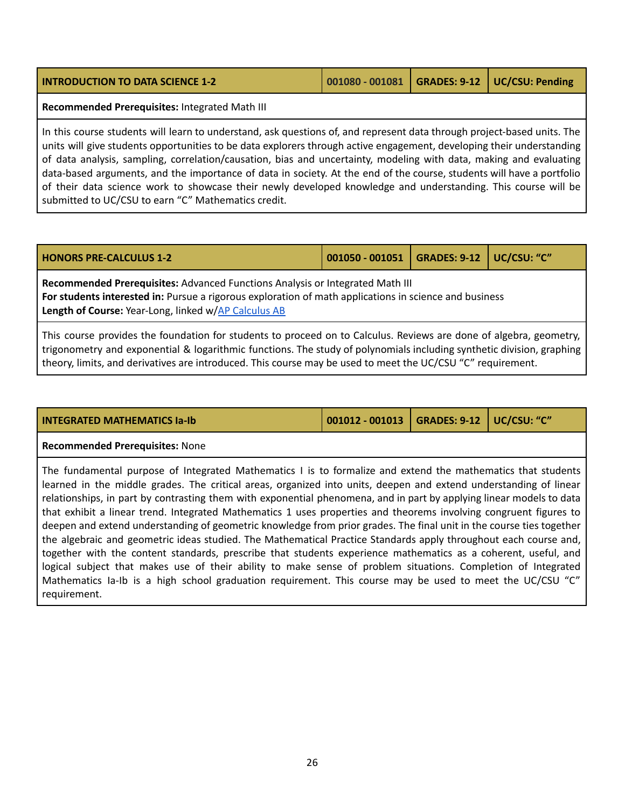| <b>INTRODUCTION TO DATA SCIENCE 1-2</b>                                                                                                                                                                                                                                                                                                                                                                                                                                                                                                                                                                                                                                 | 001080 - 001081 | <b>GRADES: 9-12</b> | <b>UC/CSU: Pending</b> |  |
|-------------------------------------------------------------------------------------------------------------------------------------------------------------------------------------------------------------------------------------------------------------------------------------------------------------------------------------------------------------------------------------------------------------------------------------------------------------------------------------------------------------------------------------------------------------------------------------------------------------------------------------------------------------------------|-----------------|---------------------|------------------------|--|
| Recommended Prerequisites: Integrated Math III                                                                                                                                                                                                                                                                                                                                                                                                                                                                                                                                                                                                                          |                 |                     |                        |  |
| In this course students will learn to understand, ask questions of, and represent data through project-based units. The<br>units will give students opportunities to be data explorers through active engagement, developing their understanding<br>of data analysis, sampling, correlation/causation, bias and uncertainty, modeling with data, making and evaluating<br>data-based arguments, and the importance of data in society. At the end of the course, students will have a portfolio<br>of their data science work to showcase their newly developed knowledge and understanding. This course will be<br>submitted to UC/CSU to earn "C" Mathematics credit. |                 |                     |                        |  |

<span id="page-25-0"></span>

| <b>HONORS PRE-CALCULUS 1-2</b> | $\vert$ 001050 - 001051 $\vert$ GRADES: 9-12 $\vert$ UC/CSU: "C" |  |
|--------------------------------|------------------------------------------------------------------|--|

**Recommended Prerequisites:** Advanced Functions Analysis or Integrated Math III **For students interested in:** Pursue a rigorous exploration of math applications in science and business **Length of Course:** Year-Long, linked w/AP [Calculus](#page-23-1) AB

This course provides the foundation for students to proceed on to Calculus. Reviews are done of algebra, geometry, trigonometry and exponential & logarithmic functions. The study of polynomials including synthetic division, graphing theory, limits, and derivatives are introduced. This course may be used to meet the UC/CSU "C" requirement.

| <b>INTEGRATED MATHEMATICS Ia-Ib</b> | $\vert$ 001012 - 001013 $\vert$ GRADES: 9-12 $\vert$ UC/CSU: "C" |  |
|-------------------------------------|------------------------------------------------------------------|--|

#### **Recommended Prerequisites:** None

The fundamental purpose of Integrated Mathematics I is to formalize and extend the mathematics that students learned in the middle grades. The critical areas, organized into units, deepen and extend understanding of linear relationships, in part by contrasting them with exponential phenomena, and in part by applying linear models to data that exhibit a linear trend. Integrated Mathematics 1 uses properties and theorems involving congruent figures to deepen and extend understanding of geometric knowledge from prior grades. The final unit in the course ties together the algebraic and geometric ideas studied. The Mathematical Practice Standards apply throughout each course and, together with the content standards, prescribe that students experience mathematics as a coherent, useful, and logical subject that makes use of their ability to make sense of problem situations. Completion of Integrated Mathematics Ia-Ib is a high school graduation requirement. This course may be used to meet the UC/CSU "C" requirement.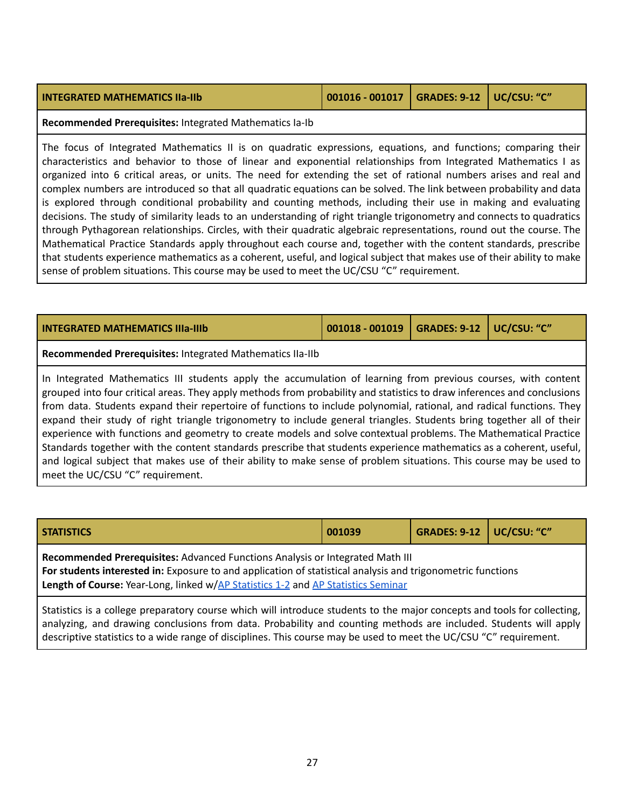#### **INTEGRATED MATHEMATICS IIa-IIb 001016 - 001017 GRADES: 9-12 UC/CSU: "C"**

**Recommended Prerequisites:** Integrated Mathematics Ia-Ib

The focus of Integrated Mathematics II is on quadratic expressions, equations, and functions; comparing their characteristics and behavior to those of linear and exponential relationships from Integrated Mathematics I as organized into 6 critical areas, or units. The need for extending the set of rational numbers arises and real and complex numbers are introduced so that all quadratic equations can be solved. The link between probability and data is explored through conditional probability and counting methods, including their use in making and evaluating decisions. The study of similarity leads to an understanding of right triangle trigonometry and connects to quadratics through Pythagorean relationships. Circles, with their quadratic algebraic representations, round out the course. The Mathematical Practice Standards apply throughout each course and, together with the content standards, prescribe that students experience mathematics as a coherent, useful, and logical subject that makes use of their ability to make sense of problem situations. This course may be used to meet the UC/CSU "C" requirement.

| <b>INTEGRATED MATHEMATICS IIIa-IIIb</b>                                                                                                                                                                                                                                                                                                                                                                                                                                                                                                                                                                                                                                                                                                                                                                                                                     | 001018 - 001019 | <b>GRADES: 9-12</b> | UC/CSU: "C" |  |
|-------------------------------------------------------------------------------------------------------------------------------------------------------------------------------------------------------------------------------------------------------------------------------------------------------------------------------------------------------------------------------------------------------------------------------------------------------------------------------------------------------------------------------------------------------------------------------------------------------------------------------------------------------------------------------------------------------------------------------------------------------------------------------------------------------------------------------------------------------------|-----------------|---------------------|-------------|--|
| Recommended Prerequisites: Integrated Mathematics IIa-IIb                                                                                                                                                                                                                                                                                                                                                                                                                                                                                                                                                                                                                                                                                                                                                                                                   |                 |                     |             |  |
| In Integrated Mathematics III students apply the accumulation of learning from previous courses, with content<br>grouped into four critical areas. They apply methods from probability and statistics to draw inferences and conclusions<br>from data. Students expand their repertoire of functions to include polynomial, rational, and radical functions. They<br>expand their study of right triangle trigonometry to include general triangles. Students bring together all of their<br>experience with functions and geometry to create models and solve contextual problems. The Mathematical Practice<br>Standards together with the content standards prescribe that students experience mathematics as a coherent, useful,<br>and logical subject that makes use of their ability to make sense of problem situations. This course may be used to |                 |                     |             |  |

meet the UC/CSU "C" requirement.

<span id="page-26-0"></span>

| <b>STATISTICS</b>                                                                                                                                                                                                                                                                 | 001039 | GRADES: 9-12   UC/CSU: "C" |  |  |
|-----------------------------------------------------------------------------------------------------------------------------------------------------------------------------------------------------------------------------------------------------------------------------------|--------|----------------------------|--|--|
| Recommended Prerequisites: Advanced Functions Analysis or Integrated Math III<br>For students interested in: Exposure to and application of statistical analysis and trigonometric functions<br>Length of Course: Year-Long, linked w/AP Statistics 1-2 and AP Statistics Seminar |        |                            |  |  |
| Statistics is a college preparatory course which will introduce students to the major concepts and tools for collecting,<br>analyzing, and drawing conclusions from data. Probability and counting methods are included. Students will apply                                      |        |                            |  |  |

descriptive statistics to a wide range of disciplines. This course may be used to meet the UC/CSU "C" requirement.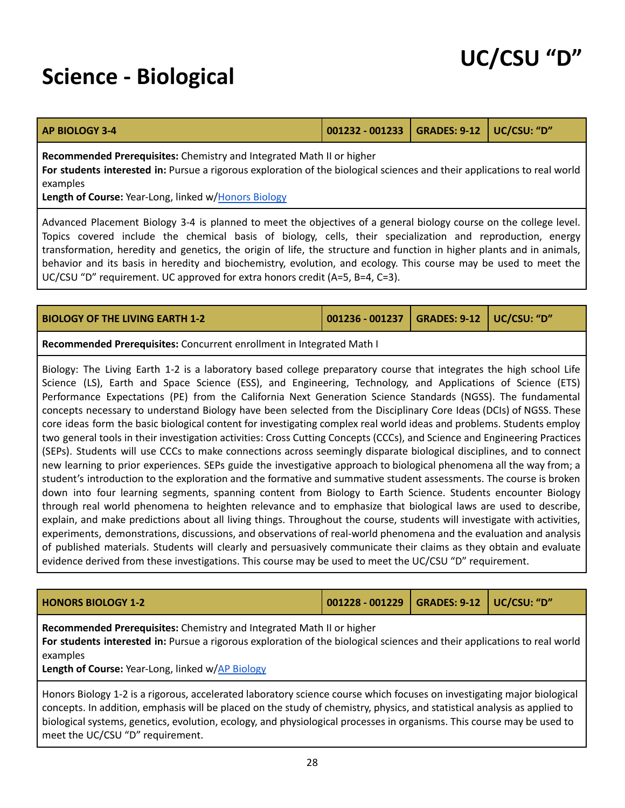### <span id="page-27-0"></span>**Science - Biological**

<span id="page-27-2"></span>

| <b>AP BIOLOGY 3-4</b> | 001232 - 001233   GRADES: 9-12   UC/CSU: "D" |  |  |  |
|-----------------------|----------------------------------------------|--|--|--|
|-----------------------|----------------------------------------------|--|--|--|

**Recommended Prerequisites:** Chemistry and Integrated Math II or higher

**For students interested in:** Pursue a rigorous exploration of the biological sciences and their applications to real world examples

**Length of Course:** Year-Long, linked w/Honors [Biology](#page-27-1)

Advanced Placement Biology 3-4 is planned to meet the objectives of a general biology course on the college level. Topics covered include the chemical basis of biology, cells, their specialization and reproduction, energy transformation, heredity and genetics, the origin of life, the structure and function in higher plants and in animals, behavior and its basis in heredity and biochemistry, evolution, and ecology. This course may be used to meet the UC/CSU "D" requirement. UC approved for extra honors credit (A=5, B=4, C=3).

| <b>BIOLOGY OF THE LIVING EARTH 1-2</b> | 001236 - 001237   GRADES: 9-12   UC/CSU: "D" |  |
|----------------------------------------|----------------------------------------------|--|
|                                        |                                              |  |

**Recommended Prerequisites:** Concurrent enrollment in Integrated Math I

Biology: The Living Earth 1-2 is a laboratory based college preparatory course that integrates the high school Life Science (LS), Earth and Space Science (ESS), and Engineering, Technology, and Applications of Science (ETS) Performance Expectations (PE) from the California Next Generation Science Standards (NGSS). The fundamental concepts necessary to understand Biology have been selected from the Disciplinary Core Ideas (DCIs) of NGSS. These core ideas form the basic biological content for investigating complex real world ideas and problems. Students employ two general tools in their investigation activities: Cross Cutting Concepts (CCCs), and Science and Engineering Practices (SEPs). Students will use CCCs to make connections across seemingly disparate biological disciplines, and to connect new learning to prior experiences. SEPs guide the investigative approach to biological phenomena all the way from; a student's introduction to the exploration and the formative and summative student assessments. The course is broken down into four learning segments, spanning content from Biology to Earth Science. Students encounter Biology through real world phenomena to heighten relevance and to emphasize that biological laws are used to describe, explain, and make predictions about all living things. Throughout the course, students will investigate with activities, experiments, demonstrations, discussions, and observations of real-world phenomena and the evaluation and analysis of published materials. Students will clearly and persuasively communicate their claims as they obtain and evaluate evidence derived from these investigations. This course may be used to meet the UC/CSU "D" requirement.

<span id="page-27-1"></span>

| <b>HONORS BIOLOGY 1-2</b>                                                                                                                                                                                      | 001228 - 001229   GRADES: 9-12   UC/CSU: "D" |  |
|----------------------------------------------------------------------------------------------------------------------------------------------------------------------------------------------------------------|----------------------------------------------|--|
| Recommended Prerequisites: Chemistry and Integrated Math II or higher<br>For students interested in: Pursue a rigorous exploration of the biological sciences and their applications to real world<br>examples |                                              |  |

**Length of Course:** Year-Long, linked w/AP [Biology](#page-27-2)

Honors Biology 1-2 is a rigorous, accelerated laboratory science course which focuses on investigating major biological concepts. In addition, emphasis will be placed on the study of chemistry, physics, and statistical analysis as applied to biological systems, genetics, evolution, ecology, and physiological processes in organisms. This course may be used to meet the UC/CSU "D" requirement.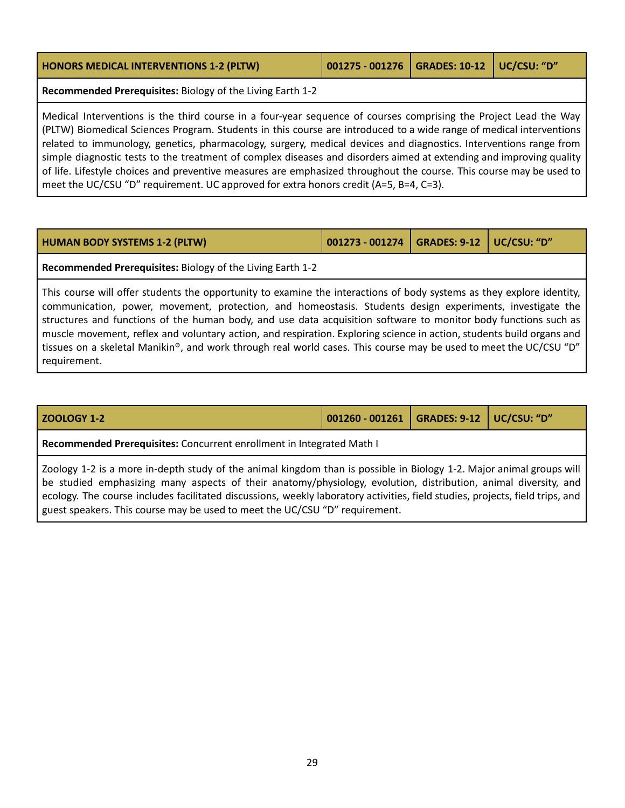| <b>HONORS MEDICAL INTERVENTIONS 1-2 (PLTW)</b> | 001275 - 001276   GRADES: 10-12   UC/CSU: "D" |  |
|------------------------------------------------|-----------------------------------------------|--|
|                                                |                                               |  |

**Recommended Prerequisites:** Biology of the Living Earth 1-2

Medical Interventions is the third course in a four-year sequence of courses comprising the Project Lead the Way (PLTW) Biomedical Sciences Program. Students in this course are introduced to a wide range of medical interventions related to immunology, genetics, pharmacology, surgery, medical devices and diagnostics. Interventions range from simple diagnostic tests to the treatment of complex diseases and disorders aimed at extending and improving quality of life. Lifestyle choices and preventive measures are emphasized throughout the course. This course may be used to meet the UC/CSU "D" requirement. UC approved for extra honors credit (A=5, B=4, C=3).

| <b>HUMAN BODY SYSTEMS 1-2 (PLTW)</b> | $\vert$ 001273 - 001274 $\vert$ GRADES: 9-12 $\vert$ UC/CSU: "D" |  |
|--------------------------------------|------------------------------------------------------------------|--|
|--------------------------------------|------------------------------------------------------------------|--|

**Recommended Prerequisites:** Biology of the Living Earth 1-2

This course will offer students the opportunity to examine the interactions of body systems as they explore identity, communication, power, movement, protection, and homeostasis. Students design experiments, investigate the structures and functions of the human body, and use data acquisition software to monitor body functions such as muscle movement, reflex and voluntary action, and respiration. Exploring science in action, students build organs and tissues on a skeletal Manikin®, and work through real world cases. This course may be used to meet the UC/CSU "D" requirement.

| <b>ZOOLOGY 1-2</b>                                                                                                                                                                                                                                                                                                                                                                                                                                      | 001260 - 001261   GRADES: 9-12   UC/CSU: "D" |  |  |  |
|---------------------------------------------------------------------------------------------------------------------------------------------------------------------------------------------------------------------------------------------------------------------------------------------------------------------------------------------------------------------------------------------------------------------------------------------------------|----------------------------------------------|--|--|--|
| Recommended Prerequisites: Concurrent enrollment in Integrated Math I                                                                                                                                                                                                                                                                                                                                                                                   |                                              |  |  |  |
| Zoology 1-2 is a more in-depth study of the animal kingdom than is possible in Biology 1-2. Major animal groups will<br>be studied emphasizing many aspects of their anatomy/physiology, evolution, distribution, animal diversity, and<br>ecology. The course includes facilitated discussions, weekly laboratory activities, field studies, projects, field trips, and<br>guest speakers. This course may be used to meet the UC/CSU "D" requirement. |                                              |  |  |  |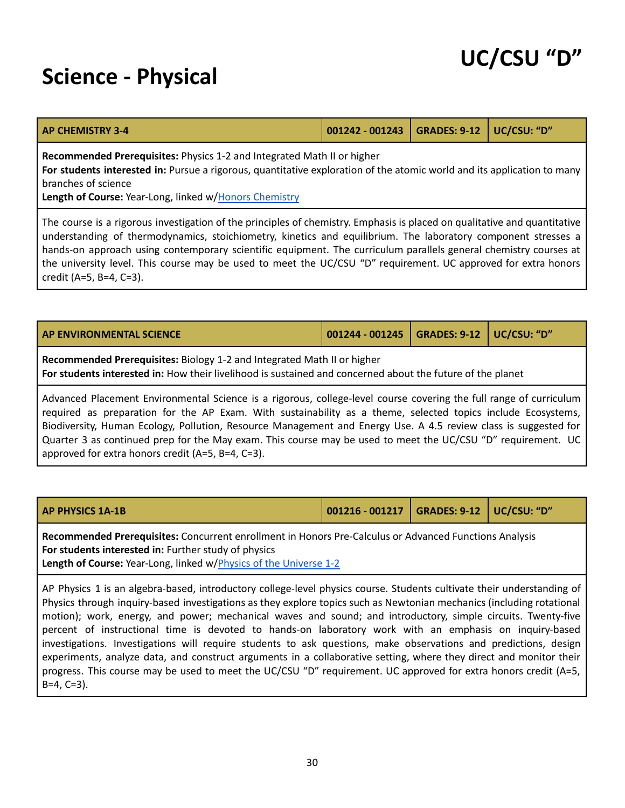### <span id="page-29-0"></span>**Science - Physical**

<span id="page-29-1"></span>

| <b>AP CHEMISTRY 3-4</b> | 001242 - 001243   GRADES: 9-12   UC/CSU: "D" / |  |  |  |
|-------------------------|------------------------------------------------|--|--|--|
|-------------------------|------------------------------------------------|--|--|--|

**Recommended Prerequisites:** Physics 1-2 and Integrated Math II or higher

**For students interested in:** Pursue a rigorous, quantitative exploration of the atomic world and its application to many branches of science

**Length of Course:** Year-Long, linked w/Honors [Chemistry](#page-31-0)

The course is a rigorous investigation of the principles of chemistry. Emphasis is placed on qualitative and quantitative understanding of thermodynamics, stoichiometry, kinetics and equilibrium. The laboratory component stresses a hands-on approach using contemporary scientific equipment. The curriculum parallels general chemistry courses at the university level. This course may be used to meet the UC/CSU "D" requirement. UC approved for extra honors credit (A=5, B=4, C=3).

| <b>AP ENVIRONMENTAL SCIENCE</b> | 001244 - 001245   GRADES: 9-12   UC/CSU: "D" |  |
|---------------------------------|----------------------------------------------|--|
|                                 |                                              |  |

**Recommended Prerequisites:** Biology 1-2 and Integrated Math II or higher **For students interested in:** How their livelihood is sustained and concerned about the future of the planet

Advanced Placement Environmental Science is a rigorous, college-level course covering the full range of curriculum required as preparation for the AP Exam. With sustainability as a theme, selected topics include Ecosystems, Biodiversity, Human Ecology, Pollution, Resource Management and Energy Use. A 4.5 review class is suggested for Quarter 3 as continued prep for the May exam. This course may be used to meet the UC/CSU "D" requirement. UC approved for extra honors credit (A=5, B=4, C=3).

| <b>AP PHYSICS 1A-1B</b> | 001216 - 001217   GRADES: 9-12   UC/CSU: "D" |  |
|-------------------------|----------------------------------------------|--|
|                         |                                              |  |

**Recommended Prerequisites:** Concurrent enrollment in Honors Pre-Calculus or Advanced Functions Analysis **For students interested in:** Further study of physics **Length of Course:** Year-Long, linked w/Physics of the [Universe](#page-31-1) 1-2

AP Physics 1 is an algebra-based, introductory college-level physics course. Students cultivate their understanding of Physics through inquiry-based investigations as they explore topics such as Newtonian mechanics (including rotational motion); work, energy, and power; mechanical waves and sound; and introductory, simple circuits. Twenty-five percent of instructional time is devoted to hands-on laboratory work with an emphasis on inquiry-based investigations. Investigations will require students to ask questions, make observations and predictions, design experiments, analyze data, and construct arguments in a collaborative setting, where they direct and monitor their progress. This course may be used to meet the UC/CSU "D" requirement. UC approved for extra honors credit (A=5, B=4, C=3).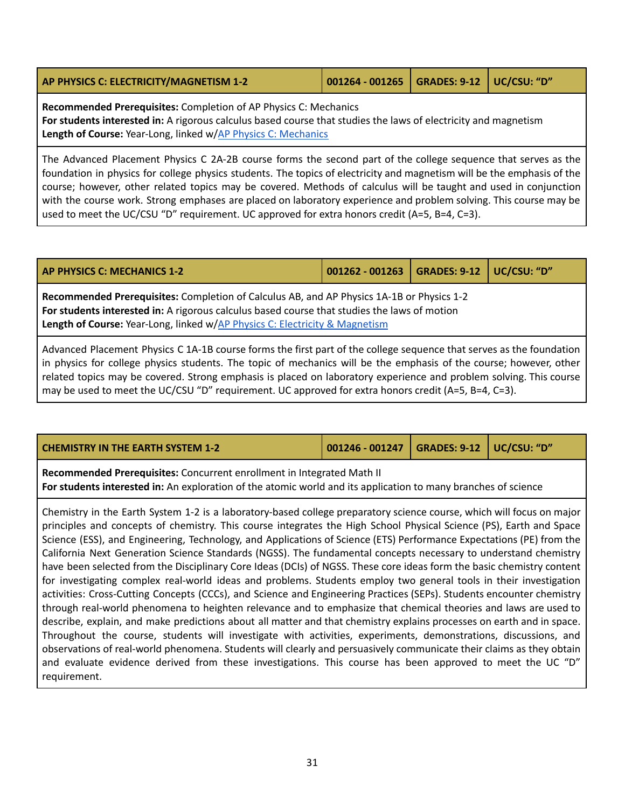<span id="page-30-1"></span>

| AP PHYSICS C: ELECTRICITY/MAGNETISM 1-2 | 001264 - 001265   GRADES: 9-12   UC/CSU: "D" |  |
|-----------------------------------------|----------------------------------------------|--|
|                                         |                                              |  |

**Recommended Prerequisites:** Completion of AP Physics C: Mechanics **For students interested in:** A rigorous calculus based course that studies the laws of electricity and magnetism Length of Course: Year-Long, linked w/AP Physics C: [Mechanics](#page-30-0)

The Advanced Placement Physics C 2A-2B course forms the second part of the college sequence that serves as the foundation in physics for college physics students. The topics of electricity and magnetism will be the emphasis of the course; however, other related topics may be covered. Methods of calculus will be taught and used in conjunction with the course work. Strong emphases are placed on laboratory experience and problem solving. This course may be used to meet the UC/CSU "D" requirement. UC approved for extra honors credit (A=5, B=4, C=3).

<span id="page-30-0"></span>

| <b>AP PHYSICS C: MECHANICS 1-2</b>                                                                                                                                                                                                                                                                                                                               | 001262 - 001263   GRADES: 9-12   UC/CSU: "D" |  |  |  |  |
|------------------------------------------------------------------------------------------------------------------------------------------------------------------------------------------------------------------------------------------------------------------------------------------------------------------------------------------------------------------|----------------------------------------------|--|--|--|--|
| Recommended Prerequisites: Completion of Calculus AB, and AP Physics 1A-1B or Physics 1-2<br>For students interested in: A rigorous calculus based course that studies the laws of motion<br>Length of Course: Year-Long, linked w/AP Physics C: Electricity & Magnetism                                                                                         |                                              |  |  |  |  |
| Advanced Placement Physics C 1A-1B course forms the first part of the college sequence that serves as the foundation<br>in physics for college physics students. The topic of mechanics will be the emphasis of the course; however, other<br>related topics may be covered. Strong emphasis is placed on laboratory experience and problem solving. This course |                                              |  |  |  |  |

| _________ |  |  |
|-----------|--|--|

| <b>CHEMISTRY IN THE EARTH SYSTEM 1-2</b> | 001246 - 001247   GRADES: 9-12   UC/CSU: "D" / |  |
|------------------------------------------|------------------------------------------------|--|
|                                          |                                                |  |

**Recommended Prerequisites:** Concurrent enrollment in Integrated Math II **For students interested in:** An exploration of the atomic world and its application to many branches of science

may be used to meet the UC/CSU "D" requirement. UC approved for extra honors credit (A=5, B=4, C=3).

Chemistry in the Earth System 1-2 is a laboratory-based college preparatory science course, which will focus on major principles and concepts of chemistry. This course integrates the High School Physical Science (PS), Earth and Space Science (ESS), and Engineering, Technology, and Applications of Science (ETS) Performance Expectations (PE) from the California Next Generation Science Standards (NGSS). The fundamental concepts necessary to understand chemistry have been selected from the Disciplinary Core Ideas (DCIs) of NGSS. These core ideas form the basic chemistry content for investigating complex real-world ideas and problems. Students employ two general tools in their investigation activities: Cross-Cutting Concepts (CCCs), and Science and Engineering Practices (SEPs). Students encounter chemistry through real-world phenomena to heighten relevance and to emphasize that chemical theories and laws are used to describe, explain, and make predictions about all matter and that chemistry explains processes on earth and in space. Throughout the course, students will investigate with activities, experiments, demonstrations, discussions, and observations of real-world phenomena. Students will clearly and persuasively communicate their claims as they obtain and evaluate evidence derived from these investigations. This course has been approved to meet the UC "D" requirement.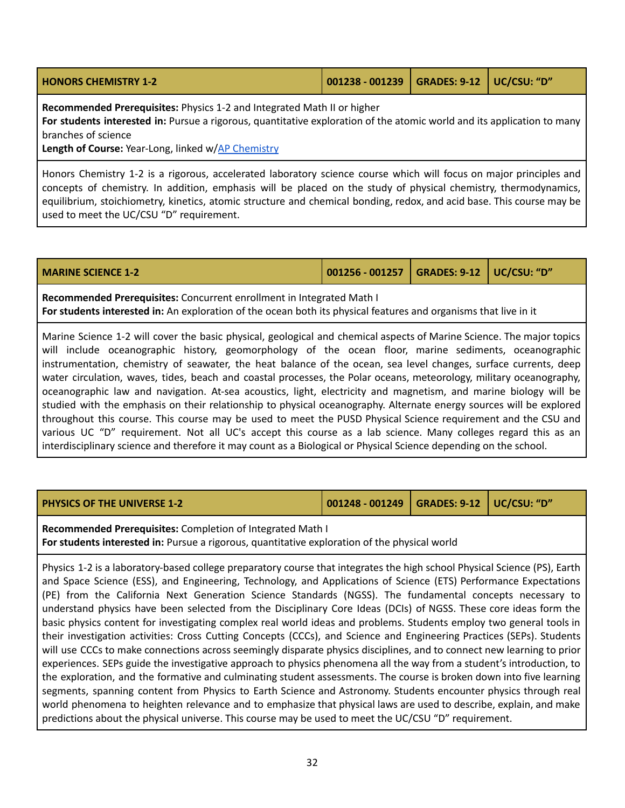<span id="page-31-0"></span>

| <b>HONORS CHEMISTRY 1-2</b> | $\vert$ 001238 - 001239 GRADES: 9-12 UC/CSU: "D" |  |
|-----------------------------|--------------------------------------------------|--|
|                             |                                                  |  |

**Recommended Prerequisites:** Physics 1-2 and Integrated Math II or higher

**For students interested in:** Pursue a rigorous, quantitative exploration of the atomic world and its application to many branches of science

**Length of Course:** Year-Long, linked w/AP [Chemistry](#page-29-1)

Honors Chemistry 1-2 is a rigorous, accelerated laboratory science course which will focus on major principles and concepts of chemistry. In addition, emphasis will be placed on the study of physical chemistry, thermodynamics, equilibrium, stoichiometry, kinetics, atomic structure and chemical bonding, redox, and acid base. This course may be used to meet the UC/CSU "D" requirement.

| <b>MARINE SCIENCE 1-2</b> |  |
|---------------------------|--|
|---------------------------|--|

**MARINE SCIENCE 1-2 001256 - 001257 GRADES: 9-12 UC/CSU: "D"**

**Recommended Prerequisites:** Concurrent enrollment in Integrated Math I **For students interested in:** An exploration of the ocean both its physical features and organisms that live in it

Marine Science 1-2 will cover the basic physical, geological and chemical aspects of Marine Science. The major topics will include oceanographic history, geomorphology of the ocean floor, marine sediments, oceanographic instrumentation, chemistry of seawater, the heat balance of the ocean, sea level changes, surface currents, deep water circulation, waves, tides, beach and coastal processes, the Polar oceans, meteorology, military oceanography, oceanographic law and navigation. At-sea acoustics, light, electricity and magnetism, and marine biology will be studied with the emphasis on their relationship to physical oceanography. Alternate energy sources will be explored throughout this course. This course may be used to meet the PUSD Physical Science requirement and the CSU and various UC "D" requirement. Not all UC's accept this course as a lab science. Many colleges regard this as an interdisciplinary science and therefore it may count as a Biological or Physical Science depending on the school.

<span id="page-31-1"></span>

|  | <b>PHYSICS OF THE UNIVERSE 1-2</b> | 001248 - 001249   GRADES: 9-12   UC/CSU: "D" |  |  |
|--|------------------------------------|----------------------------------------------|--|--|
|--|------------------------------------|----------------------------------------------|--|--|

**Recommended Prerequisites:** Completion of Integrated Math I

**For students interested in:** Pursue a rigorous, quantitative exploration of the physical world

Physics 1-2 is a laboratory-based college preparatory course that integrates the high school Physical Science (PS), Earth and Space Science (ESS), and Engineering, Technology, and Applications of Science (ETS) Performance Expectations (PE) from the California Next Generation Science Standards (NGSS). The fundamental concepts necessary to understand physics have been selected from the Disciplinary Core Ideas (DCIs) of NGSS. These core ideas form the basic physics content for investigating complex real world ideas and problems. Students employ two general tools in their investigation activities: Cross Cutting Concepts (CCCs), and Science and Engineering Practices (SEPs). Students will use CCCs to make connections across seemingly disparate physics disciplines, and to connect new learning to prior experiences. SEPs guide the investigative approach to physics phenomena all the way from a student's introduction, to the exploration, and the formative and culminating student assessments. The course is broken down into five learning segments, spanning content from Physics to Earth Science and Astronomy. Students encounter physics through real world phenomena to heighten relevance and to emphasize that physical laws are used to describe, explain, and make predictions about the physical universe. This course may be used to meet the UC/CSU "D" requirement.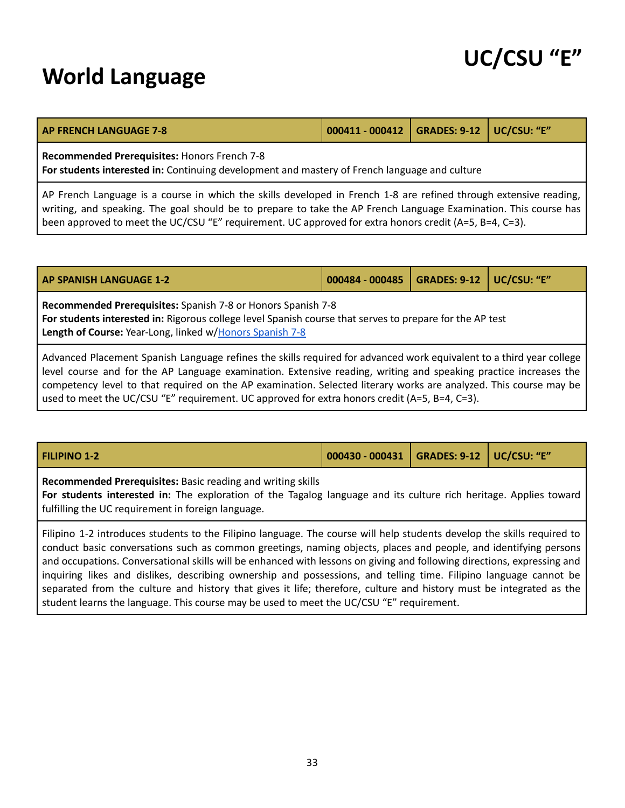### <span id="page-32-0"></span>**World Language**

| UC/CSU "E" |  |
|------------|--|
|------------|--|

| <b>AP FRENCH LANGUAGE 7-8</b>                                                                                                                        | 000411 - 000412   GRADES: 9-12   UC/CSU: "E" |  |  |  |  |
|------------------------------------------------------------------------------------------------------------------------------------------------------|----------------------------------------------|--|--|--|--|
| <b>Recommended Prerequisites: Honors French 7-8</b><br>For students interested in: Continuing development and mastery of French language and culture |                                              |  |  |  |  |
|                                                                                                                                                      |                                              |  |  |  |  |

AP French Language is a course in which the skills developed in French 1-8 are refined through extensive reading, writing, and speaking. The goal should be to prepare to take the AP French Language Examination. This course has been approved to meet the UC/CSU "E" requirement. UC approved for extra honors credit (A=5, B=4, C=3).

<span id="page-32-1"></span>

| <b>AP SPANISH LANGUAGE 1-2</b>                                                                                                                                                                                                                                                                                                                                | $000484 - 000485$ | GRADES: 9-12   UC/CSU: "E" |  |
|---------------------------------------------------------------------------------------------------------------------------------------------------------------------------------------------------------------------------------------------------------------------------------------------------------------------------------------------------------------|-------------------|----------------------------|--|
| Recommended Prerequisites: Spanish 7-8 or Honors Spanish 7-8<br>For students interested in: Rigorous college level Spanish course that serves to prepare for the AP test<br>Length of Course: Year-Long, linked w/Honors Spanish 7-8                                                                                                                          |                   |                            |  |
| Advanced Placement Spanish Language refines the skills required for advanced work equivalent to a third year college<br>level course and for the AP Language examination. Extensive reading, writing and speaking practice increases the<br>competency level to that required on the AP examination. Selected literary works are analyzed. This course may be |                   |                            |  |

|  | <b>FILIPINO 1-2</b> | 000430 - 000431   GRADES: 9-12   UC/CSU: "E" |  |  |
|--|---------------------|----------------------------------------------|--|--|
|--|---------------------|----------------------------------------------|--|--|

used to meet the UC/CSU "E" requirement. UC approved for extra honors credit (A=5, B=4, C=3).

**Recommended Prerequisites:** Basic reading and writing skills

**For students interested in:** The exploration of the Tagalog language and its culture rich heritage. Applies toward fulfilling the UC requirement in foreign language.

Filipino 1-2 introduces students to the Filipino language. The course will help students develop the skills required to conduct basic conversations such as common greetings, naming objects, places and people, and identifying persons and occupations. Conversational skills will be enhanced with lessons on giving and following directions, expressing and inquiring likes and dislikes, describing ownership and possessions, and telling time. Filipino language cannot be separated from the culture and history that gives it life; therefore, culture and history must be integrated as the student learns the language. This course may be used to meet the UC/CSU "E" requirement.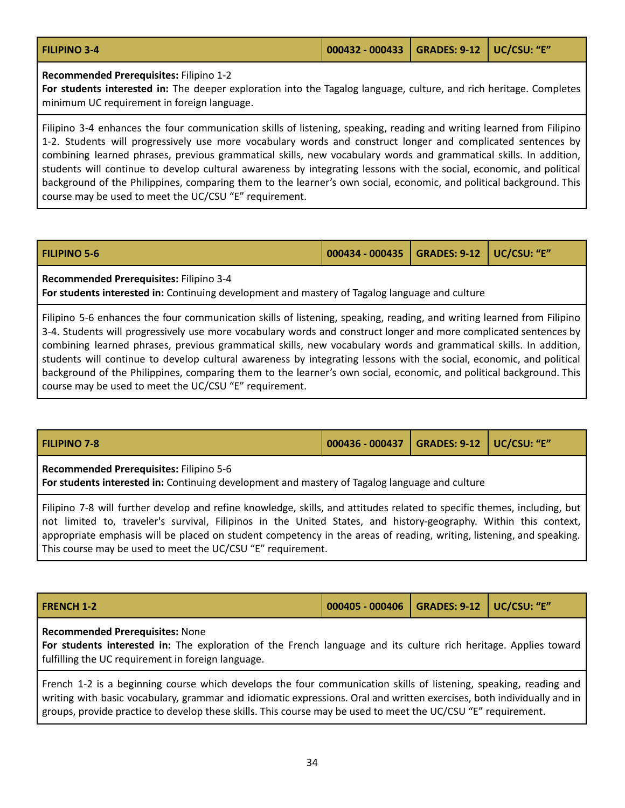| $\vert$ 000432 - 000433 $\vert$ GRADES: 9-12 $\vert$ UC/CSU: "E"<br><b>FILIPINO 3-4</b> |  |  |
|-----------------------------------------------------------------------------------------|--|--|
|-----------------------------------------------------------------------------------------|--|--|

**Recommended Prerequisites:** Filipino 1-2

**For students interested in:** The deeper exploration into the Tagalog language, culture, and rich heritage. Completes minimum UC requirement in foreign language.

Filipino 3-4 enhances the four communication skills of listening, speaking, reading and writing learned from Filipino 1-2. Students will progressively use more vocabulary words and construct longer and complicated sentences by combining learned phrases, previous grammatical skills, new vocabulary words and grammatical skills. In addition, students will continue to develop cultural awareness by integrating lessons with the social, economic, and political background of the Philippines, comparing them to the learner's own social, economic, and political background. This course may be used to meet the UC/CSU "E" requirement.

| <b>FILIPINO 5-6</b> | $\vert$ 000434 - 000435 $\vert$ GRADES: 9-12 $\vert$ UC/CSU: "E" |  |
|---------------------|------------------------------------------------------------------|--|
|                     |                                                                  |  |

**Recommended Prerequisites:** Filipino 3-4

**For students interested in:** Continuing development and mastery of Tagalog language and culture

Filipino 5-6 enhances the four communication skills of listening, speaking, reading, and writing learned from Filipino 3-4. Students will progressively use more vocabulary words and construct longer and more complicated sentences by combining learned phrases, previous grammatical skills, new vocabulary words and grammatical skills. In addition, students will continue to develop cultural awareness by integrating lessons with the social, economic, and political background of the Philippines, comparing them to the learner's own social, economic, and political background. This course may be used to meet the UC/CSU "E" requirement.

| <b>FILIPINO 7-8</b>                     | 000436 - 000437   GRADES: 9-12   UC/CSU: "E" |  |
|-----------------------------------------|----------------------------------------------|--|
| Recommended Prerequisites: Filipino 5-6 |                                              |  |

**For students interested in:** Continuing development and mastery of Tagalog language and culture

Filipino 7-8 will further develop and refine knowledge, skills, and attitudes related to specific themes, including, but not limited to, traveler's survival, Filipinos in the United States, and history-geography. Within this context, appropriate emphasis will be placed on student competency in the areas of reading, writing, listening, and speaking. This course may be used to meet the UC/CSU "E" requirement.

|  | <b>FRENCH 1-2</b> | 000405 - 000406   GRADES: 9-12   UC/CSU: "E" / |  |  |
|--|-------------------|------------------------------------------------|--|--|
|--|-------------------|------------------------------------------------|--|--|

#### **Recommended Prerequisites:** None

**For students interested in:** The exploration of the French language and its culture rich heritage. Applies toward fulfilling the UC requirement in foreign language.

French 1-2 is a beginning course which develops the four communication skills of listening, speaking, reading and writing with basic vocabulary, grammar and idiomatic expressions. Oral and written exercises, both individually and in groups, provide practice to develop these skills. This course may be used to meet the UC/CSU "E" requirement.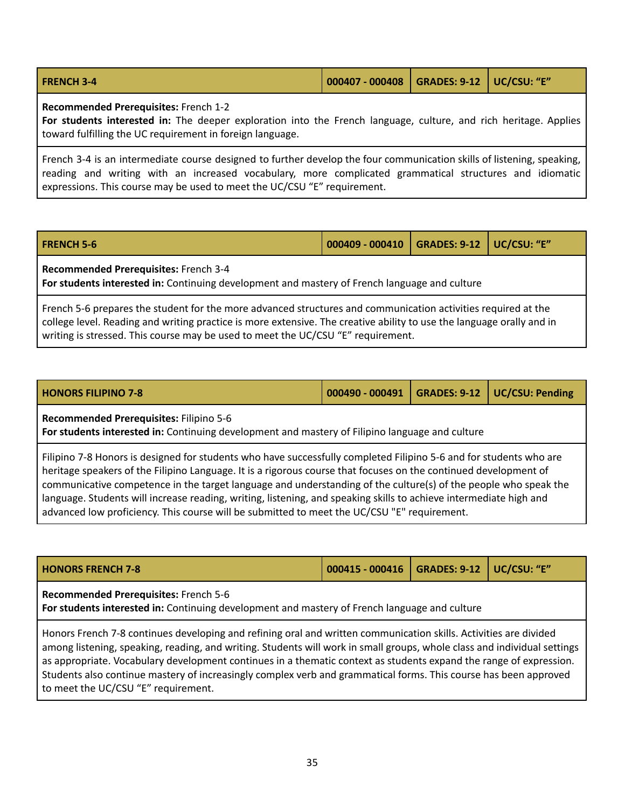| <b>FRENCH 3-4</b> | 000407 - 000408   GRADES: 9-12   UC/CSU: "E" |  |  |  |
|-------------------|----------------------------------------------|--|--|--|
|-------------------|----------------------------------------------|--|--|--|

**Recommended Prerequisites:** French 1-2

**For students interested in:** The deeper exploration into the French language, culture, and rich heritage. Applies toward fulfilling the UC requirement in foreign language.

French 3-4 is an intermediate course designed to further develop the four communication skills of listening, speaking, reading and writing with an increased vocabulary, more complicated grammatical structures and idiomatic expressions. This course may be used to meet the UC/CSU "E" requirement.

| <b>FRENCH 5-6</b>                                                                                                                      | 000409 - 000410   GRADES: 9-12   UC/CSU: "E" |  |  |  |
|----------------------------------------------------------------------------------------------------------------------------------------|----------------------------------------------|--|--|--|
| Recommended Prerequisites: French 3-4<br>For students interested in: Continuing development and mastery of French language and culture |                                              |  |  |  |

French 5-6 prepares the student for the more advanced structures and communication activities required at the college level. Reading and writing practice is more extensive. The creative ability to use the language orally and in writing is stressed. This course may be used to meet the UC/CSU "E" requirement.

| <b>HONORS FILIPINO 7-8</b> |  | $\vert$ 000490 - 000491 $\vert$ GRADES: 9-12 $\vert$ UC/CSU: Pending |
|----------------------------|--|----------------------------------------------------------------------|
|                            |  |                                                                      |

**Recommended Prerequisites:** Filipino 5-6

**For students interested in:** Continuing development and mastery of Filipino language and culture

Filipino 7-8 Honors is designed for students who have successfully completed Filipino 5-6 and for students who are heritage speakers of the Filipino Language. It is a rigorous course that focuses on the continued development of communicative competence in the target language and understanding of the culture(s) of the people who speak the language. Students will increase reading, writing, listening, and speaking skills to achieve intermediate high and advanced low proficiency. This course will be submitted to meet the UC/CSU "E" requirement.

| 000415 - 000416   GRADES: 9-12   UC/CSU: "E"<br><b>HONORS FRENCH 7-8</b>                                                               |  |  |  |  |  |
|----------------------------------------------------------------------------------------------------------------------------------------|--|--|--|--|--|
| Recommended Prerequisites: French 5-6<br>For students interested in: Continuing development and mastery of French language and culture |  |  |  |  |  |

Honors French 7-8 continues developing and refining oral and written communication skills. Activities are divided among listening, speaking, reading, and writing. Students will work in small groups, whole class and individual settings as appropriate. Vocabulary development continues in a thematic context as students expand the range of expression. Students also continue mastery of increasingly complex verb and grammatical forms. This course has been approved to meet the UC/CSU "E" requirement.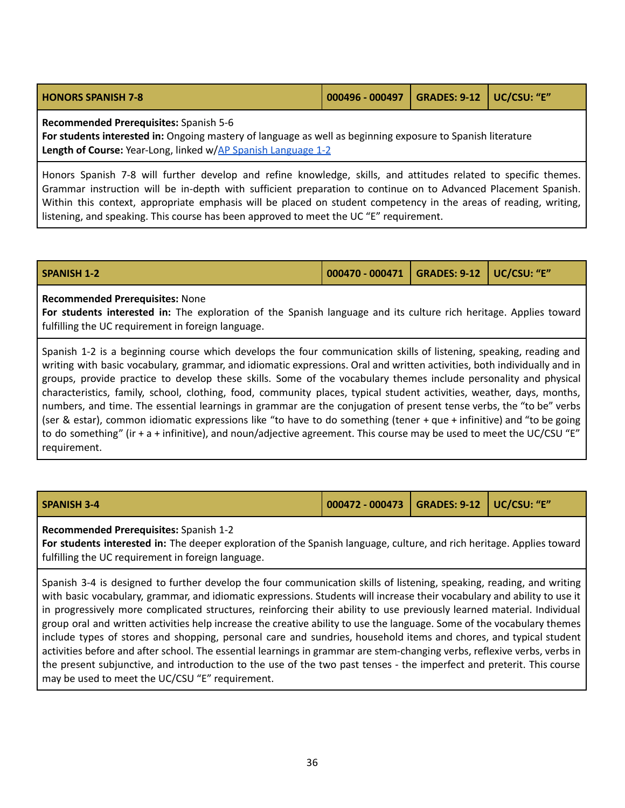<span id="page-35-0"></span>

| <b>HONORS SPANISH 7-8</b> | $\vert$ 000496 - 000497 $\vert$ GRADES: 9-12 $\vert$ UC/CSU: "E" |  |  |
|---------------------------|------------------------------------------------------------------|--|--|
|---------------------------|------------------------------------------------------------------|--|--|

**Recommended Prerequisites:** Spanish 5-6

**For students interested in:** Ongoing mastery of language as well as beginning exposure to Spanish literature **Length of Course:** Year-Long, linked w/AP Spanish [Language](#page-32-1) 1-2

Honors Spanish 7-8 will further develop and refine knowledge, skills, and attitudes related to specific themes. Grammar instruction will be in-depth with sufficient preparation to continue on to Advanced Placement Spanish. Within this context, appropriate emphasis will be placed on student competency in the areas of reading, writing, listening, and speaking. This course has been approved to meet the UC "E" requirement.

| <b>SPANISH 1-2</b> | 000470 - 000471   GRADES: 9-12   UC/CSU: "E" |  |  |
|--------------------|----------------------------------------------|--|--|
|--------------------|----------------------------------------------|--|--|

#### **Recommended Prerequisites:** None

**For students interested in:** The exploration of the Spanish language and its culture rich heritage. Applies toward fulfilling the UC requirement in foreign language.

Spanish 1-2 is a beginning course which develops the four communication skills of listening, speaking, reading and writing with basic vocabulary, grammar, and idiomatic expressions. Oral and written activities, both individually and in groups, provide practice to develop these skills. Some of the vocabulary themes include personality and physical characteristics, family, school, clothing, food, community places, typical student activities, weather, days, months, numbers, and time. The essential learnings in grammar are the conjugation of present tense verbs, the "to be" verbs (ser & estar), common idiomatic expressions like "to have to do something (tener + que + infinitive) and "to be going to do something" (ir + a + infinitive), and noun/adjective agreement. This course may be used to meet the UC/CSU "E" requirement.

| SPANISH 3-4 | 000472 - 000473   GRADES: 9-12   UC/CSU: "E" |  |
|-------------|----------------------------------------------|--|
|             |                                              |  |

**Recommended Prerequisites:** Spanish 1-2

**For students interested in:** The deeper exploration of the Spanish language, culture, and rich heritage. Applies toward fulfilling the UC requirement in foreign language.

Spanish 3-4 is designed to further develop the four communication skills of listening, speaking, reading, and writing with basic vocabulary, grammar, and idiomatic expressions. Students will increase their vocabulary and ability to use it in progressively more complicated structures, reinforcing their ability to use previously learned material. Individual group oral and written activities help increase the creative ability to use the language. Some of the vocabulary themes include types of stores and shopping, personal care and sundries, household items and chores, and typical student activities before and after school. The essential learnings in grammar are stem-changing verbs, reflexive verbs, verbs in the present subjunctive, and introduction to the use of the two past tenses - the imperfect and preterit. This course may be used to meet the UC/CSU "E" requirement.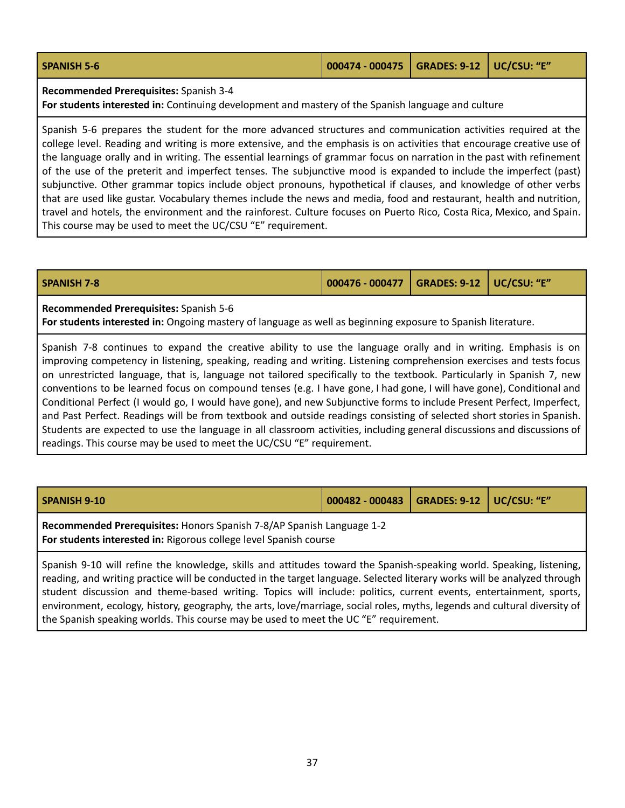| <b>SPANISH 5-6</b> | 000474 - 000475   GRADES: 9-12   UC/CSU: "E" |  |  |
|--------------------|----------------------------------------------|--|--|
|                    |                                              |  |  |

**Recommended Prerequisites:** Spanish 3-4

**For students interested in:** Continuing development and mastery of the Spanish language and culture

Spanish 5-6 prepares the student for the more advanced structures and communication activities required at the college level. Reading and writing is more extensive, and the emphasis is on activities that encourage creative use of the language orally and in writing. The essential learnings of grammar focus on narration in the past with refinement of the use of the preterit and imperfect tenses. The subjunctive mood is expanded to include the imperfect (past) subjunctive. Other grammar topics include object pronouns, hypothetical if clauses, and knowledge of other verbs that are used like gustar. Vocabulary themes include the news and media, food and restaurant, health and nutrition, travel and hotels, the environment and the rainforest. Culture focuses on Puerto Rico, Costa Rica, Mexico, and Spain. This course may be used to meet the UC/CSU "E" requirement.

| <b>SPANISH 7-8</b> | $\vert$ 000476 - 000477 $\vert$ GRADES: 9-12 $\vert$ UC/CSU: "E" |  |
|--------------------|------------------------------------------------------------------|--|
|                    |                                                                  |  |

**Recommended Prerequisites:** Spanish 5-6

**For students interested in:** Ongoing mastery of language as well as beginning exposure to Spanish literature.

Spanish 7-8 continues to expand the creative ability to use the language orally and in writing. Emphasis is on improving competency in listening, speaking, reading and writing. Listening comprehension exercises and tests focus on unrestricted language, that is, language not tailored specifically to the textbook. Particularly in Spanish 7, new conventions to be learned focus on compound tenses (e.g. I have gone, I had gone, I will have gone), Conditional and Conditional Perfect (I would go, I would have gone), and new Subjunctive forms to include Present Perfect, Imperfect, and Past Perfect. Readings will be from textbook and outside readings consisting of selected short stories in Spanish. Students are expected to use the language in all classroom activities, including general discussions and discussions of readings. This course may be used to meet the UC/CSU "E" requirement.

| SPANISH 9-10                                                                                                                               | 000482 - 000483   GRADES: 9-12   UC/CSU: "E" |  |  |
|--------------------------------------------------------------------------------------------------------------------------------------------|----------------------------------------------|--|--|
| Recommended Prerequisites: Honors Spanish 7-8/AP Spanish Language 1-2<br>For students interested in: Rigorous college level Spanish course |                                              |  |  |
| $\frac{1}{2}$ Connich 0.10 will refine the knowledge, ckills and attitudes toward the Connish speaking world. Consking listening           |                                              |  |  |

Spanish 9-10 will refine the knowledge, skills and attitudes toward the Spanish-speaking world. Speaking, listening, reading, and writing practice will be conducted in the target language. Selected literary works will be analyzed through student discussion and theme-based writing. Topics will include: politics, current events, entertainment, sports, environment, ecology, history, geography, the arts, love/marriage, social roles, myths, legends and cultural diversity of the Spanish speaking worlds. This course may be used to meet the UC "E" requirement.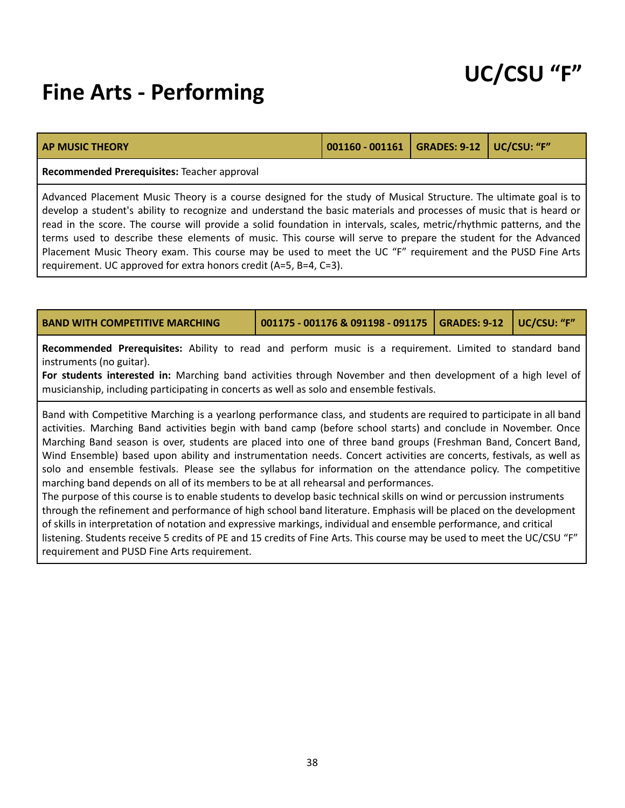### **Fine Arts - Performing**

|--|

#### **Recommended Prerequisites:** Teacher approval

Advanced Placement Music Theory is a course designed for the study of Musical Structure. The ultimate goal is to develop a student's ability to recognize and understand the basic materials and processes of music that is heard or read in the score. The course will provide a solid foundation in intervals, scales, metric/rhythmic patterns, and the terms used to describe these elements of music. This course will serve to prepare the student for the Advanced Placement Music Theory exam. This course may be used to meet the UC "F" requirement and the PUSD Fine Arts requirement. UC approved for extra honors credit (A=5, B=4, C=3).

| <b>BAND WITH COMPETITIVE MARCHING</b>                                                                                                                                                                                                                                                                                                                                                                                                                                                                                                                                                                                                                                                                                                                                                                                                                                                                                                  | 001175 - 001176 & 091198 - 091175 | <b>GRADES: 9-12</b> | UC/CSU: "F" |  |  |
|----------------------------------------------------------------------------------------------------------------------------------------------------------------------------------------------------------------------------------------------------------------------------------------------------------------------------------------------------------------------------------------------------------------------------------------------------------------------------------------------------------------------------------------------------------------------------------------------------------------------------------------------------------------------------------------------------------------------------------------------------------------------------------------------------------------------------------------------------------------------------------------------------------------------------------------|-----------------------------------|---------------------|-------------|--|--|
| Recommended Prerequisites: Ability to read and perform music is a requirement. Limited to standard band<br>instruments (no guitar).<br>For students interested in: Marching band activities through November and then development of a high level of<br>musicianship, including participating in concerts as well as solo and ensemble festivals.                                                                                                                                                                                                                                                                                                                                                                                                                                                                                                                                                                                      |                                   |                     |             |  |  |
| Band with Competitive Marching is a yearlong performance class, and students are required to participate in all band<br>activities. Marching Band activities begin with band camp (before school starts) and conclude in November. Once<br>Marching Band season is over, students are placed into one of three band groups (Freshman Band, Concert Band,<br>Wind Ensemble) based upon ability and instrumentation needs. Concert activities are concerts, festivals, as well as<br>solo and ensemble festivals. Please see the syllabus for information on the attendance policy. The competitive<br>marching band depends on all of its members to be at all rehearsal and performances.<br>The purpose of this course is to enable students to develop basic technical skills on wind or percussion instruments<br>through the refinement and performance of high school band literature. Emphasis will be placed on the development |                                   |                     |             |  |  |

of skills in interpretation of notation and expressive markings, individual and ensemble performance, and critical listening. Students receive 5 credits of PE and 15 credits of Fine Arts. This course may be used to meet the UC/CSU "F" requirement and PUSD Fine Arts requirement.

## **UC/CSU "F"**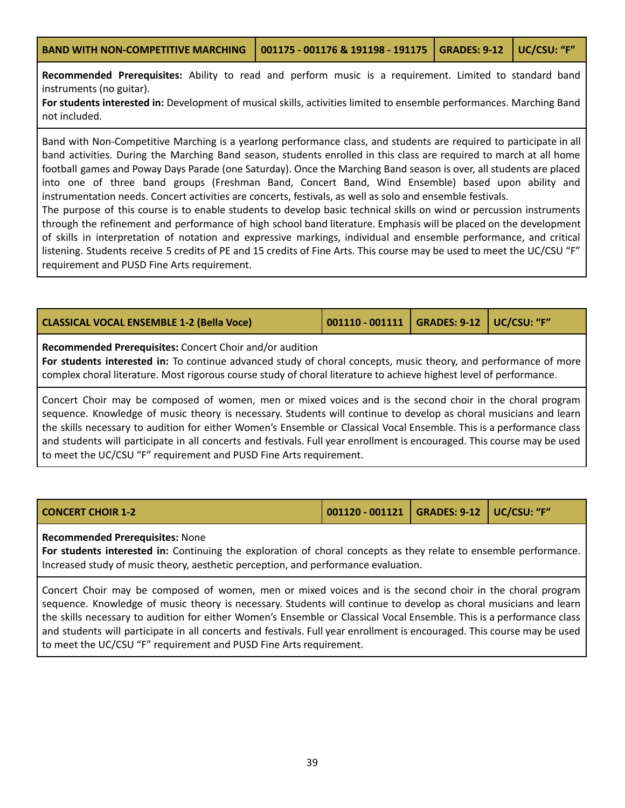**Recommended Prerequisites:** Ability to read and perform music is a requirement. Limited to standard band instruments (no guitar).

**For students interested in:** Development of musical skills, activities limited to ensemble performances. Marching Band not included.

Band with Non-Competitive Marching is a yearlong performance class, and students are required to participate in all band activities. During the Marching Band season, students enrolled in this class are required to march at all home football games and Poway Days Parade (one Saturday). Once the Marching Band season is over, all students are placed into one of three band groups (Freshman Band, Concert Band, Wind Ensemble) based upon ability and instrumentation needs. Concert activities are concerts, festivals, as well as solo and ensemble festivals.

The purpose of this course is to enable students to develop basic technical skills on wind or percussion instruments through the refinement and performance of high school band literature. Emphasis will be placed on the development of skills in interpretation of notation and expressive markings, individual and ensemble performance, and critical listening. Students receive 5 credits of PE and 15 credits of Fine Arts. This course may be used to meet the UC/CSU "F" requirement and PUSD Fine Arts requirement.

| CLASSICAL VOCAL ENSEMBLE 1-2 (Bella Voce) | 001110 - 001111   GRADES: 9-12   UC/CSU: "F" |  |  |  |
|-------------------------------------------|----------------------------------------------|--|--|--|
|-------------------------------------------|----------------------------------------------|--|--|--|

**Recommended Prerequisites:** Concert Choir and/or audition

**For students interested in:** To continue advanced study of choral concepts, music theory, and performance of more complex choral literature. Most rigorous course study of choral literature to achieve highest level of performance.

Concert Choir may be composed of women, men or mixed voices and is the second choir in the choral program sequence. Knowledge of music theory is necessary. Students will continue to develop as choral musicians and learn the skills necessary to audition for either Women's Ensemble or Classical Vocal Ensemble. This is a performance class and students will participate in all concerts and festivals. Full year enrollment is encouraged. This course may be used to meet the UC/CSU "F" requirement and PUSD Fine Arts requirement.

| <b>CONCERT CHOIR 1-2</b> | 001120 - 001121   GRADES: 9-12   UC/CSU: "F" |  |
|--------------------------|----------------------------------------------|--|
|                          |                                              |  |

### **Recommended Prerequisites:** None

**For students interested in:** Continuing the exploration of choral concepts as they relate to ensemble performance. Increased study of music theory, aesthetic perception, and performance evaluation.

Concert Choir may be composed of women, men or mixed voices and is the second choir in the choral program sequence. Knowledge of music theory is necessary. Students will continue to develop as choral musicians and learn the skills necessary to audition for either Women's Ensemble or Classical Vocal Ensemble. This is a performance class and students will participate in all concerts and festivals. Full year enrollment is encouraged. This course may be used to meet the UC/CSU "F" requirement and PUSD Fine Arts requirement.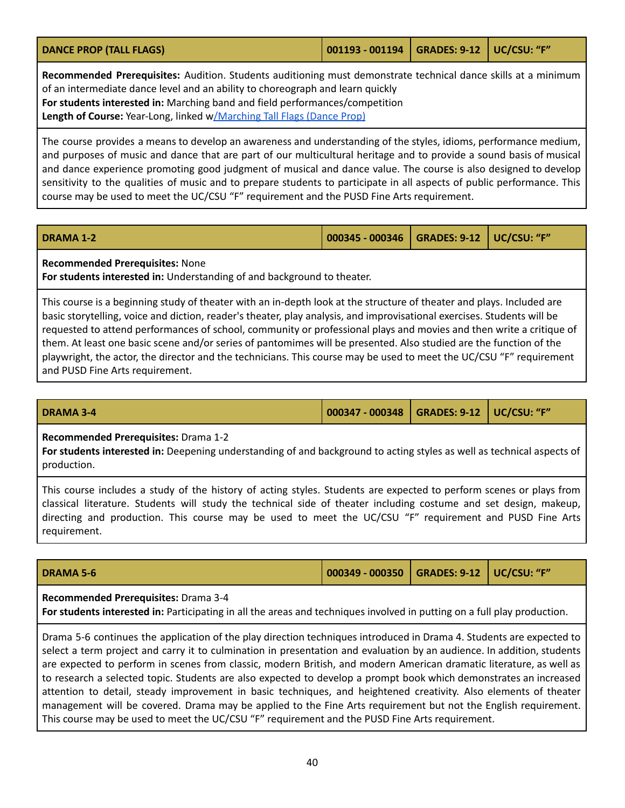<span id="page-39-0"></span>

| <b>DANCE PROP (TALL FLAGS)</b> | 001193 - 001194   GRADES: 9-12   UC/CSU: "F" |  |  |
|--------------------------------|----------------------------------------------|--|--|
|                                |                                              |  |  |

**Recommended Prerequisites:** Audition. Students auditioning must demonstrate technical dance skills at a minimum of an intermediate dance level and an ability to choreograph and learn quickly **For students interested in:** Marching band and field performances/competition **Length of Course:** Year-Long, linked [w/Marching](#page-52-0) Tall Flags (Dance Prop)

The course provides a means to develop an awareness and understanding of the styles, idioms, performance medium, and purposes of music and dance that are part of our multicultural heritage and to provide a sound basis of musical and dance experience promoting good judgment of musical and dance value. The course is also designed to develop sensitivity to the qualities of music and to prepare students to participate in all aspects of public performance. This course may be used to meet the UC/CSU "F" requirement and the PUSD Fine Arts requirement.

| <b>DRAMA 1-2</b> | 000345 - 000346   GRADES: 9-12   UC/CSU: "F" |  |
|------------------|----------------------------------------------|--|
|                  |                                              |  |

**Recommended Prerequisites:** None

**For students interested in:** Understanding of and background to theater.

This course is a beginning study of theater with an in-depth look at the structure of theater and plays. Included are basic storytelling, voice and diction, reader's theater, play analysis, and improvisational exercises. Students will be requested to attend performances of school, community or professional plays and movies and then write a critique of them. At least one basic scene and/or series of pantomimes will be presented. Also studied are the function of the playwright, the actor, the director and the technicians. This course may be used to meet the UC/CSU "F" requirement and PUSD Fine Arts requirement.

**DRAMA 3-4 000347 - 000348 GRADES: 9-12 UC/CSU: "F"**

### **Recommended Prerequisites:** Drama 1-2

**For students interested in:** Deepening understanding of and background to acting styles as well as technical aspects of production.

This course includes a study of the history of acting styles. Students are expected to perform scenes or plays from classical literature. Students will study the technical side of theater including costume and set design, makeup, directing and production. This course may be used to meet the UC/CSU "F" requirement and PUSD Fine Arts requirement.

| <b>DRAMA 5-6</b> | 000349 - 000350   GRADES: 9-12   UC/CSU: "F" / |  |  |  |
|------------------|------------------------------------------------|--|--|--|
|------------------|------------------------------------------------|--|--|--|

#### **Recommended Prerequisites:** Drama 3-4

**For students interested in:** Participating in all the areas and techniques involved in putting on a full play production.

Drama 5-6 continues the application of the play direction techniques introduced in Drama 4. Students are expected to select a term project and carry it to culmination in presentation and evaluation by an audience. In addition, students are expected to perform in scenes from classic, modern British, and modern American dramatic literature, as well as to research a selected topic. Students are also expected to develop a prompt book which demonstrates an increased attention to detail, steady improvement in basic techniques, and heightened creativity. Also elements of theater management will be covered. Drama may be applied to the Fine Arts requirement but not the English requirement. This course may be used to meet the UC/CSU "F" requirement and the PUSD Fine Arts requirement.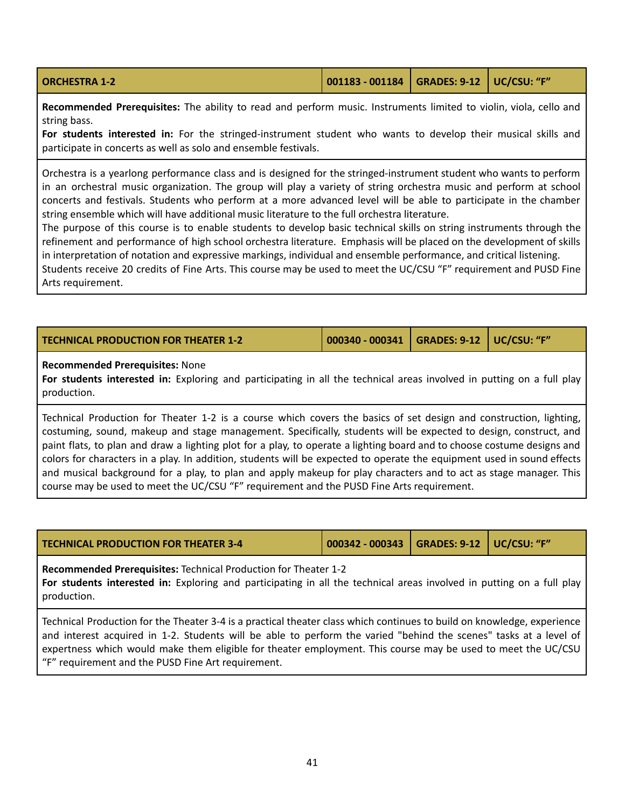| <b>ORCHESTRA 1-2</b> | $\vert$ 001183 - 001184 $\vert$ GRADES: 9-12 $\vert$ UC/CSU: "F" |  |  |  |
|----------------------|------------------------------------------------------------------|--|--|--|
|----------------------|------------------------------------------------------------------|--|--|--|

**Recommended Prerequisites:** The ability to read and perform music. Instruments limited to violin, viola, cello and string bass.

**For students interested in:** For the stringed-instrument student who wants to develop their musical skills and participate in concerts as well as solo and ensemble festivals.

Orchestra is a yearlong performance class and is designed for the stringed-instrument student who wants to perform in an orchestral music organization. The group will play a variety of string orchestra music and perform at school concerts and festivals. Students who perform at a more advanced level will be able to participate in the chamber string ensemble which will have additional music literature to the full orchestra literature.

The purpose of this course is to enable students to develop basic technical skills on string instruments through the refinement and performance of high school orchestra literature. Emphasis will be placed on the development of skills in interpretation of notation and expressive markings, individual and ensemble performance, and critical listening.

Students receive 20 credits of Fine Arts. This course may be used to meet the UC/CSU "F" requirement and PUSD Fine Arts requirement.

| <b>TECHNICAL PRODUCTION FOR THEATER 1-2</b> | 000340 - 000341   GRADES: 9-12   UC/CSU: "F" |  |
|---------------------------------------------|----------------------------------------------|--|
|                                             |                                              |  |

### **Recommended Prerequisites:** None

**For students interested in:** Exploring and participating in all the technical areas involved in putting on a full play production.

Technical Production for Theater 1-2 is a course which covers the basics of set design and construction, lighting, costuming, sound, makeup and stage management. Specifically, students will be expected to design, construct, and paint flats, to plan and draw a lighting plot for a play, to operate a lighting board and to choose costume designs and colors for characters in a play. In addition, students will be expected to operate the equipment used in sound effects and musical background for a play, to plan and apply makeup for play characters and to act as stage manager. This course may be used to meet the UC/CSU "F" requirement and the PUSD Fine Arts requirement.

| <b>TECHNICAL PRODUCTION FOR THEATER 3-4</b> | 000342 - 000343   GRADES: 9-12   UC/CSU: "F" |  |
|---------------------------------------------|----------------------------------------------|--|
|                                             |                                              |  |

**Recommended Prerequisites:** Technical Production for Theater 1-2

**For students interested in:** Exploring and participating in all the technical areas involved in putting on a full play production.

Technical Production for the Theater 3-4 is a practical theater class which continues to build on knowledge, experience and interest acquired in 1-2. Students will be able to perform the varied "behind the scenes" tasks at a level of expertness which would make them eligible for theater employment. This course may be used to meet the UC/CSU "F" requirement and the PUSD Fine Art requirement.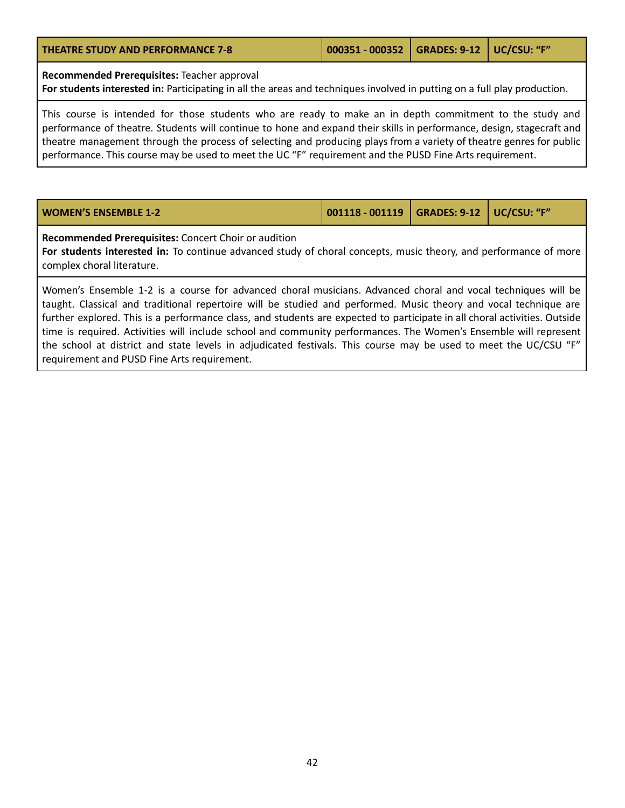|  | <b>THEATRE STUDY AND PERFORMANCE 7-8</b> |  |
|--|------------------------------------------|--|
|  |                                          |  |

**THEATRE STUDY AND PERFORMANCE 7-8 000351 - 000352 GRADES: 9-12 UC/CSU: "F"**

**Recommended Prerequisites:** Teacher approval

**For students interested in:** Participating in all the areas and techniques involved in putting on a full play production.

This course is intended for those students who are ready to make an in depth commitment to the study and performance of theatre. Students will continue to hone and expand their skills in performance, design, stagecraft and theatre management through the process of selecting and producing plays from a variety of theatre genres for public performance. This course may be used to meet the UC "F" requirement and the PUSD Fine Arts requirement.

| 001118 - 001119   GRADES: 9-12   UC/CSU: "F"<br><b>WOMEN'S ENSEMBLE 1-2</b> |
|-----------------------------------------------------------------------------|
|-----------------------------------------------------------------------------|

**Recommended Prerequisites:** Concert Choir or audition

**For students interested in:** To continue advanced study of choral concepts, music theory, and performance of more complex choral literature.

Women's Ensemble 1-2 is a course for advanced choral musicians. Advanced choral and vocal techniques will be taught. Classical and traditional repertoire will be studied and performed. Music theory and vocal technique are further explored. This is a performance class, and students are expected to participate in all choral activities. Outside time is required. Activities will include school and community performances. The Women's Ensemble will represent the school at district and state levels in adjudicated festivals. This course may be used to meet the UC/CSU "F" requirement and PUSD Fine Arts requirement.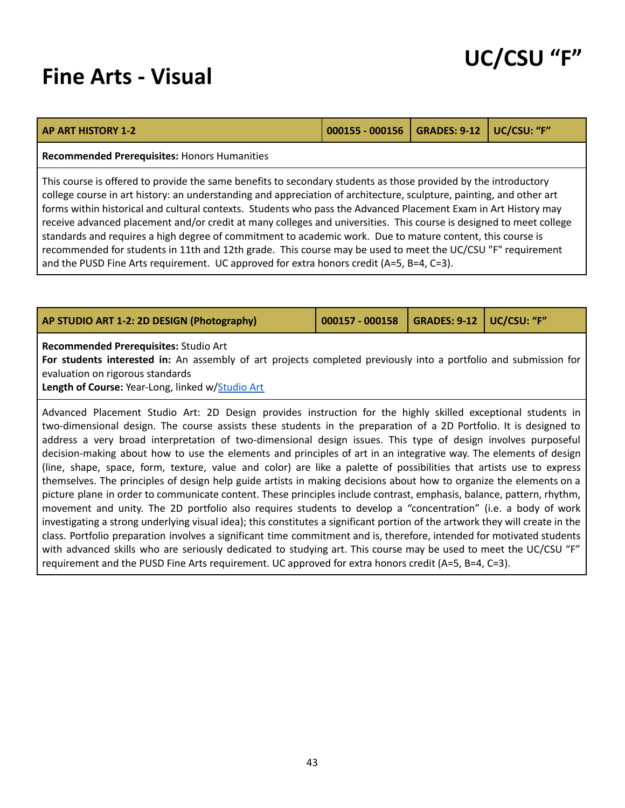### **Fine Arts - Visual**

| UC/CSU "F" |  |
|------------|--|
|------------|--|

| <b>AP ART HISTORY 1-2</b>                                                                                                                                                                                                                                                                                                                                                                                                                                                                                                                                                                                                                                                                                                                                                                                  | 000155 - 000156 | <b>GRADES: 9-12</b> | UC/CSU: "F" |
|------------------------------------------------------------------------------------------------------------------------------------------------------------------------------------------------------------------------------------------------------------------------------------------------------------------------------------------------------------------------------------------------------------------------------------------------------------------------------------------------------------------------------------------------------------------------------------------------------------------------------------------------------------------------------------------------------------------------------------------------------------------------------------------------------------|-----------------|---------------------|-------------|
| <b>Recommended Prerequisites: Honors Humanities</b>                                                                                                                                                                                                                                                                                                                                                                                                                                                                                                                                                                                                                                                                                                                                                        |                 |                     |             |
| This course is offered to provide the same benefits to secondary students as those provided by the introductory<br>college course in art history: an understanding and appreciation of architecture, sculpture, painting, and other art<br>forms within historical and cultural contexts. Students who pass the Advanced Placement Exam in Art History may<br>receive advanced placement and/or credit at many colleges and universities. This course is designed to meet college<br>standards and requires a high degree of commitment to academic work. Due to mature content, this course is<br>recommended for students in 11th and 12th grade. This course may be used to meet the UC/CSU "F" requirement<br>and the PUSD Fine Arts requirement. UC approved for extra honors credit (A=5, B=4, C=3). |                 |                     |             |

<span id="page-42-0"></span>

| AP STUDIO ART 1-2: 2D DESIGN (Photography)                                                                                                                                                                                                                                                                                                                                                                                                                                                                                                                                                                                                                                                                                                                                                                                                                                                                                                                       | 000157 - 000158 | <b>GRADES: 9-12</b> | UC/CSU: "F" |
|------------------------------------------------------------------------------------------------------------------------------------------------------------------------------------------------------------------------------------------------------------------------------------------------------------------------------------------------------------------------------------------------------------------------------------------------------------------------------------------------------------------------------------------------------------------------------------------------------------------------------------------------------------------------------------------------------------------------------------------------------------------------------------------------------------------------------------------------------------------------------------------------------------------------------------------------------------------|-----------------|---------------------|-------------|
| Recommended Prerequisites: Studio Art<br>For students interested in: An assembly of art projects completed previously into a portfolio and submission for<br>evaluation on rigorous standards<br>Length of Course: Year-Long, linked w/Studio Art                                                                                                                                                                                                                                                                                                                                                                                                                                                                                                                                                                                                                                                                                                                |                 |                     |             |
| Advanced Placement Studio Art: 2D Design provides instruction for the highly skilled exceptional students in<br>two-dimensional design. The course assists these students in the preparation of a 2D Portfolio. It is designed to<br>address a very broad interpretation of two-dimensional design issues. This type of design involves purposeful<br>decision-making about how to use the elements and principles of art in an integrative way. The elements of design<br>(line, shape, space, form, texture, value and color) are like a palette of possibilities that artists use to express<br>themselves. The principles of design help guide artists in making decisions about how to organize the elements on a<br>picture plane in order to communicate content. These principles include contrast, emphasis, balance, pattern, rhythm,<br>movement and unity. The 2D portfolio also requires students to develop a "concentration" (i.e. a body of work |                 |                     |             |

investigating a strong underlying visual idea); this constitutes a significant portion of the artwork they will create in the class. Portfolio preparation involves a significant time commitment and is, therefore, intended for motivated students with advanced skills who are seriously dedicated to studying art. This course may be used to meet the UC/CSU "F" requirement and the PUSD Fine Arts requirement. UC approved for extra honors credit (A=5, B=4, C=3).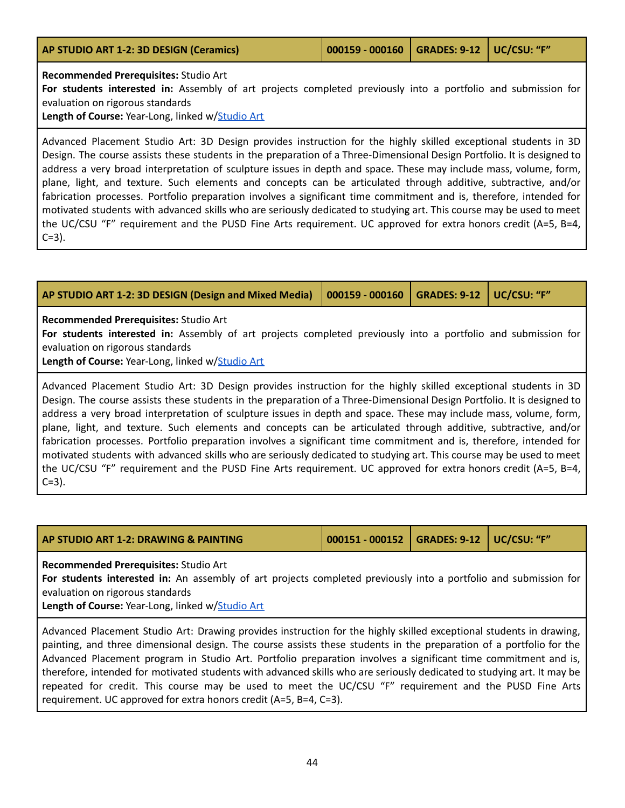<span id="page-43-0"></span>

| AP STUDIO ART 1-2: 3D DESIGN (Ceramics) | $\vert$ 000159 - 000160 $\vert$ GRADES: 9-12 $\vert$ UC/CSU: "F" |  |
|-----------------------------------------|------------------------------------------------------------------|--|
| Recommended Prerequisites: Studio Art   |                                                                  |  |

**For students interested in:** Assembly of art projects completed previously into a portfolio and submission for evaluation on rigorous standards

**Length of Course:** Year-Long, linked w/[Studio](#page-48-0) Art

Advanced Placement Studio Art: 3D Design provides instruction for the highly skilled exceptional students in 3D Design. The course assists these students in the preparation of a Three-Dimensional Design Portfolio. It is designed to address a very broad interpretation of sculpture issues in depth and space. These may include mass, volume, form, plane, light, and texture. Such elements and concepts can be articulated through additive, subtractive, and/or fabrication processes. Portfolio preparation involves a significant time commitment and is, therefore, intended for motivated students with advanced skills who are seriously dedicated to studying art. This course may be used to meet the UC/CSU "F" requirement and the PUSD Fine Arts requirement. UC approved for extra honors credit (A=5, B=4,  $C = 3$ ).

<span id="page-43-1"></span>

| AP STUDIO ART 1-2: 3D DESIGN (Design and Mixed Media)                                                                                                                                                                                                                                                                                                                                                                                                                                                                                                                                                                                                                                                                                                                                                                                                         | 000159 - 000160 | <b>GRADES: 9-12</b> | UC/CSU: "F" |
|---------------------------------------------------------------------------------------------------------------------------------------------------------------------------------------------------------------------------------------------------------------------------------------------------------------------------------------------------------------------------------------------------------------------------------------------------------------------------------------------------------------------------------------------------------------------------------------------------------------------------------------------------------------------------------------------------------------------------------------------------------------------------------------------------------------------------------------------------------------|-----------------|---------------------|-------------|
| Recommended Prerequisites: Studio Art<br>For students interested in: Assembly of art projects completed previously into a portfolio and submission for<br>evaluation on rigorous standards<br>Length of Course: Year-Long, linked w/Studio Art                                                                                                                                                                                                                                                                                                                                                                                                                                                                                                                                                                                                                |                 |                     |             |
| Advanced Placement Studio Art: 3D Design provides instruction for the highly skilled exceptional students in 3D<br>Design. The course assists these students in the preparation of a Three-Dimensional Design Portfolio. It is designed to<br>address a very broad interpretation of sculpture issues in depth and space. These may include mass, volume, form,<br>plane, light, and texture. Such elements and concepts can be articulated through additive, subtractive, and/or<br>fabrication processes. Portfolio preparation involves a significant time commitment and is, therefore, intended for<br>motivated students with advanced skills who are seriously dedicated to studying art. This course may be used to meet<br>the UC/CSU "F" requirement and the PUSD Fine Arts requirement. UC approved for extra honors credit (A=5, B=4,<br>$C=3$ ). |                 |                     |             |

<span id="page-43-2"></span>

| AP STUDIO ART 1-2: DRAWING & PAINTING | 000151 - 000152   GRADES: 9-12   UC/CSU: "F" |  |
|---------------------------------------|----------------------------------------------|--|
|                                       |                                              |  |

**Recommended Prerequisites:** Studio Art

**For students interested in:** An assembly of art projects completed previously into a portfolio and submission for evaluation on rigorous standards

Length of Course: Year-Long, linked w/[Studio](#page-49-1) Art

Advanced Placement Studio Art: Drawing provides instruction for the highly skilled exceptional students in drawing, painting, and three dimensional design. The course assists these students in the preparation of a portfolio for the Advanced Placement program in Studio Art. Portfolio preparation involves a significant time commitment and is, therefore, intended for motivated students with advanced skills who are seriously dedicated to studying art. It may be repeated for credit. This course may be used to meet the UC/CSU "F" requirement and the PUSD Fine Arts requirement. UC approved for extra honors credit (A=5, B=4, C=3).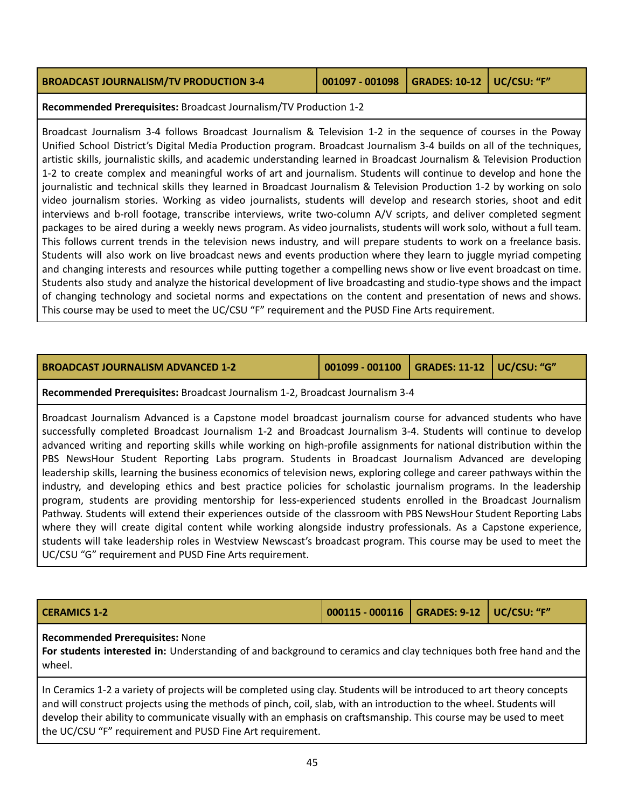| <b>BROADCAST JOURNALISM/TV PRODUCTION 3-4</b> | 001097 - 001098 GRADES: 10-12 UC/CSU: "F" |  |
|-----------------------------------------------|-------------------------------------------|--|
|                                               |                                           |  |

**Recommended Prerequisites:** Broadcast Journalism/TV Production 1-2

Broadcast Journalism 3-4 follows Broadcast Journalism & Television 1-2 in the sequence of courses in the Poway Unified School District's Digital Media Production program. Broadcast Journalism 3-4 builds on all of the techniques, artistic skills, journalistic skills, and academic understanding learned in Broadcast Journalism & Television Production 1-2 to create complex and meaningful works of art and journalism. Students will continue to develop and hone the journalistic and technical skills they learned in Broadcast Journalism & Television Production 1-2 by working on solo video journalism stories. Working as video journalists, students will develop and research stories, shoot and edit interviews and b-roll footage, transcribe interviews, write two-column A/V scripts, and deliver completed segment packages to be aired during a weekly news program. As video journalists, students will work solo, without a full team. This follows current trends in the television news industry, and will prepare students to work on a freelance basis. Students will also work on live broadcast news and events production where they learn to juggle myriad competing and changing interests and resources while putting together a compelling news show or live event broadcast on time. Students also study and analyze the historical development of live broadcasting and studio-type shows and the impact of changing technology and societal norms and expectations on the content and presentation of news and shows. This course may be used to meet the UC/CSU "F" requirement and the PUSD Fine Arts requirement.

| <b>BROADCAST JOURNALISM ADVANCED 1-2</b> | $\vert$ 001099 - 001100 $\vert$ GRADES: 11-12 $\vert$ UC/CSU: "G" |  |  |
|------------------------------------------|-------------------------------------------------------------------|--|--|
|------------------------------------------|-------------------------------------------------------------------|--|--|

**Recommended Prerequisites:** Broadcast Journalism 1-2, Broadcast Journalism 3-4

Broadcast Journalism Advanced is a Capstone model broadcast journalism course for advanced students who have successfully completed Broadcast Journalism 1-2 and Broadcast Journalism 3-4. Students will continue to develop advanced writing and reporting skills while working on high-profile assignments for national distribution within the PBS NewsHour Student Reporting Labs program. Students in Broadcast Journalism Advanced are developing leadership skills, learning the business economics of television news, exploring college and career pathways within the industry, and developing ethics and best practice policies for scholastic journalism programs. In the leadership program, students are providing mentorship for less-experienced students enrolled in the Broadcast Journalism Pathway. Students will extend their experiences outside of the classroom with PBS NewsHour Student Reporting Labs where they will create digital content while working alongside industry professionals. As a Capstone experience, students will take leadership roles in Westview Newscast's broadcast program. This course may be used to meet the UC/CSU "G" requirement and PUSD Fine Arts requirement.

| <b>CERAMICS 1-2</b> | 000115 - 000116   GRADES: 9-12   UC/CSU: "F" |  |
|---------------------|----------------------------------------------|--|
|                     |                                              |  |

### **Recommended Prerequisites:** None

**For students interested in:** Understanding of and background to ceramics and clay techniques both free hand and the wheel.

In Ceramics 1-2 a variety of projects will be completed using clay. Students will be introduced to art theory concepts and will construct projects using the methods of pinch, coil, slab, with an introduction to the wheel. Students will develop their ability to communicate visually with an emphasis on craftsmanship. This course may be used to meet the UC/CSU "F" requirement and PUSD Fine Art requirement.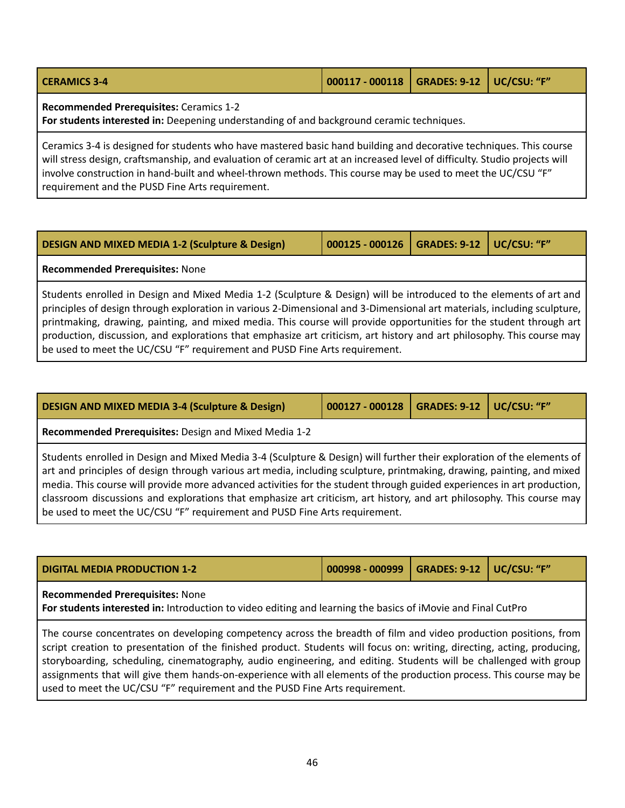| <b>CERAMICS 3-4</b>                            | 000117 - 000118   GRADES: 9-12   UC/CSU: "F" |  |
|------------------------------------------------|----------------------------------------------|--|
| <b>Recommended Prerequisites: Ceramics 1-2</b> |                                              |  |

**For students interested in:** Deepening understanding of and background ceramic techniques.

Ceramics 3-4 is designed for students who have mastered basic hand building and decorative techniques. This course will stress design, craftsmanship, and evaluation of ceramic art at an increased level of difficulty. Studio projects will involve construction in hand-built and wheel-thrown methods. This course may be used to meet the UC/CSU "F" requirement and the PUSD Fine Arts requirement.

| DESIGN AND MIXED MEDIA 1-2 (Sculpture & Design) | 000125 - 000126   GRADES: 9-12   UC/CSU: "F" |  |
|-------------------------------------------------|----------------------------------------------|--|
| <b>Recommended Prerequisites: None</b>          |                                              |  |

Students enrolled in Design and Mixed Media 1-2 (Sculpture & Design) will be introduced to the elements of art and principles of design through exploration in various 2-Dimensional and 3-Dimensional art materials, including sculpture, printmaking, drawing, painting, and mixed media. This course will provide opportunities for the student through art production, discussion, and explorations that emphasize art criticism, art history and art philosophy. This course may be used to meet the UC/CSU "F" requirement and PUSD Fine Arts requirement.

| <b>DESIGN AND MIXED MEDIA 3-4 (Sculpture &amp; Design)</b>                                                                                                                                                                                                                                                                                                                                                                                                                                                                                                                        | 000127 - 000128 | <b>GRADES: 9-12</b> | UC/CSU: "F" |  |  |
|-----------------------------------------------------------------------------------------------------------------------------------------------------------------------------------------------------------------------------------------------------------------------------------------------------------------------------------------------------------------------------------------------------------------------------------------------------------------------------------------------------------------------------------------------------------------------------------|-----------------|---------------------|-------------|--|--|
| Recommended Prerequisites: Design and Mixed Media 1-2                                                                                                                                                                                                                                                                                                                                                                                                                                                                                                                             |                 |                     |             |  |  |
| Students enrolled in Design and Mixed Media 3-4 (Sculpture & Design) will further their exploration of the elements of<br>art and principles of design through various art media, including sculpture, printmaking, drawing, painting, and mixed<br>media. This course will provide more advanced activities for the student through guided experiences in art production,<br>classroom discussions and explorations that emphasize art criticism, art history, and art philosophy. This course may<br>be used to meet the UC/CSU "F" requirement and PUSD Fine Arts requirement. |                 |                     |             |  |  |

| <b>DIGITAL MEDIA PRODUCTION 1-2</b>                                                                                                                    | 000998 - 000999   GRADES: 9-12   UC/CSU: "F" |  |  |  |
|--------------------------------------------------------------------------------------------------------------------------------------------------------|----------------------------------------------|--|--|--|
| <b>Recommended Prerequisites: None</b><br>For students interested in: Introduction to video editing and learning the basics of iMovie and Final CutPro |                                              |  |  |  |
| The course concentrates on developing competency across the breadth of film and video production positions, from                                       |                                              |  |  |  |

The course concentrates on developing competency across the breadth of film and video production positions, from script creation to presentation of the finished product. Students will focus on: writing, directing, acting, producing, storyboarding, scheduling, cinematography, audio engineering, and editing. Students will be challenged with group assignments that will give them hands-on-experience with all elements of the production process. This course may be used to meet the UC/CSU "F" requirement and the PUSD Fine Arts requirement.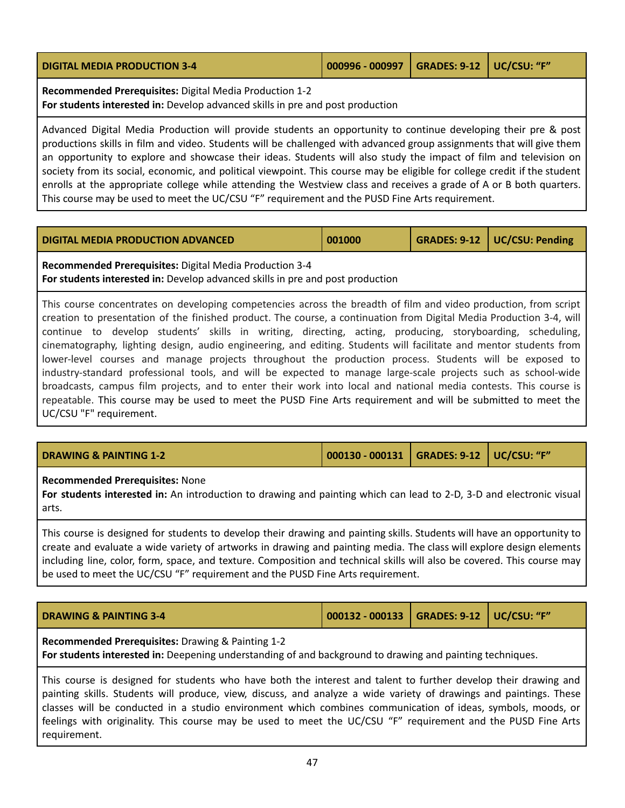| <b>DIGITAL MEDIA PRODUCTION 3-4</b> | 000996 - 000997   GRADES: 9-12   UC/CSU: "F" |  |
|-------------------------------------|----------------------------------------------|--|
|                                     |                                              |  |

**Recommended Prerequisites:** Digital Media Production 1-2 **For students interested in:** Develop advanced skills in pre and post production

Advanced Digital Media Production will provide students an opportunity to continue developing their pre & post productions skills in film and video. Students will be challenged with advanced group assignments that will give them an opportunity to explore and showcase their ideas. Students will also study the impact of film and television on society from its social, economic, and political viewpoint. This course may be eligible for college credit if the student enrolls at the appropriate college while attending the Westview class and receives a grade of A or B both quarters. This course may be used to meet the UC/CSU "F" requirement and the PUSD Fine Arts requirement.

| <b>DIGITAL MEDIA PRODUCTION ADVANCED</b> | 001000 |  | GRADES: 9-12   UC/CSU: Pending |
|------------------------------------------|--------|--|--------------------------------|
|------------------------------------------|--------|--|--------------------------------|

**Recommended Prerequisites:** Digital Media Production 3-4 **For students interested in:** Develop advanced skills in pre and post production

This course concentrates on developing competencies across the breadth of film and video production, from script creation to presentation of the finished product. The course, a continuation from Digital Media Production 3-4, will continue to develop students' skills in writing, directing, acting, producing, storyboarding, scheduling, cinematography, lighting design, audio engineering, and editing. Students will facilitate and mentor students from lower-level courses and manage projects throughout the production process. Students will be exposed to industry-standard professional tools, and will be expected to manage large-scale projects such as school-wide broadcasts, campus film projects, and to enter their work into local and national media contests. This course is repeatable. This course may be used to meet the PUSD Fine Arts requirement and will be submitted to meet the UC/CSU "F" requirement.

| <b>DRAWING &amp; PAINTING 1-2</b> | 000130 - 000131   GRADES: 9-12   UC/CSU: "F" |  |  |
|-----------------------------------|----------------------------------------------|--|--|
|-----------------------------------|----------------------------------------------|--|--|

### **Recommended Prerequisites:** None

**For students interested in:** An introduction to drawing and painting which can lead to 2-D, 3-D and electronic visual arts.

This course is designed for students to develop their drawing and painting skills. Students will have an opportunity to create and evaluate a wide variety of artworks in drawing and painting media. The class will explore design elements including line, color, form, space, and texture. Composition and technical skills will also be covered. This course may be used to meet the UC/CSU "F" requirement and the PUSD Fine Arts requirement.

| <b>DRAWING &amp; PAINTING 3-4</b>                        | 000132 - 000133   GRADES: 9-12   UC/CSU: "F" |  |
|----------------------------------------------------------|----------------------------------------------|--|
| <b>Recommended Prerequisites:</b> Drawing & Painting 1-2 |                                              |  |

**For students interested in:** Deepening understanding of and background to drawing and painting techniques.

This course is designed for students who have both the interest and talent to further develop their drawing and painting skills. Students will produce, view, discuss, and analyze a wide variety of drawings and paintings. These classes will be conducted in a studio environment which combines communication of ideas, symbols, moods, or feelings with originality. This course may be used to meet the UC/CSU "F" requirement and the PUSD Fine Arts requirement.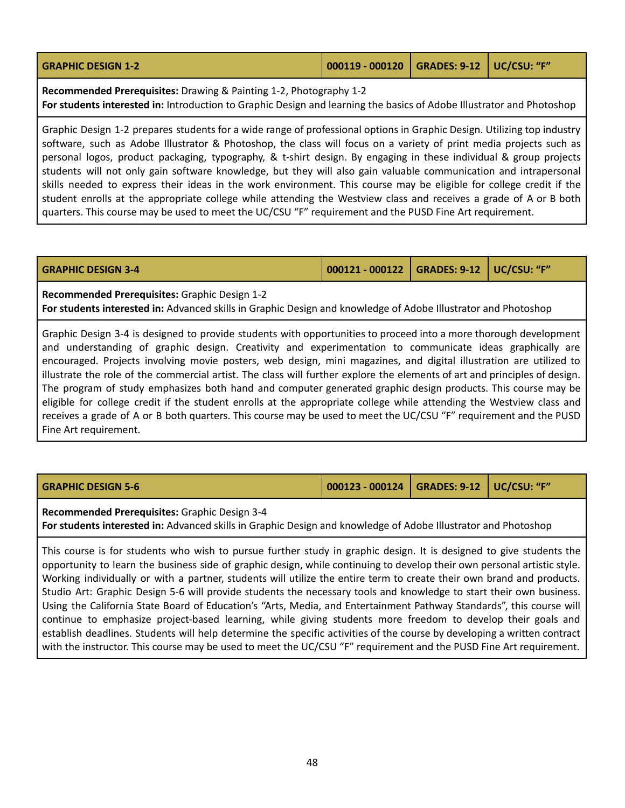| <b>GRAPHIC DESIGN 1-2</b> | 000119 - 000120   GRADES: 9-12   UC/CSU: "F" |  |
|---------------------------|----------------------------------------------|--|
|                           |                                              |  |

**Recommended Prerequisites:** Drawing & Painting 1-2, Photography 1-2 **For students interested in:** Introduction to Graphic Design and learning the basics of Adobe Illustrator and Photoshop

Graphic Design 1-2 prepares students for a wide range of professional options in Graphic Design. Utilizing top industry software, such as Adobe Illustrator & Photoshop, the class will focus on a variety of print media projects such as personal logos, product packaging, typography, & t-shirt design. By engaging in these individual & group projects students will not only gain software knowledge, but they will also gain valuable communication and intrapersonal skills needed to express their ideas in the work environment. This course may be eligible for college credit if the student enrolls at the appropriate college while attending the Westview class and receives a grade of A or B both quarters. This course may be used to meet the UC/CSU "F" requirement and the PUSD Fine Art requirement.

| <b>GRAPHIC DESIGN 3-4</b> | 000121 - 000122   GRADES: 9-12   UC/CSU: "F" |  |  |  |
|---------------------------|----------------------------------------------|--|--|--|
|---------------------------|----------------------------------------------|--|--|--|

**Recommended Prerequisites:** Graphic Design 1-2 **For students interested in:** Advanced skills in Graphic Design and knowledge of Adobe Illustrator and Photoshop

Graphic Design 3-4 is designed to provide students with opportunities to proceed into a more thorough development and understanding of graphic design. Creativity and experimentation to communicate ideas graphically are encouraged. Projects involving movie posters, web design, mini magazines, and digital illustration are utilized to illustrate the role of the commercial artist. The class will further explore the elements of art and principles of design. The program of study emphasizes both hand and computer generated graphic design products. This course may be eligible for college credit if the student enrolls at the appropriate college while attending the Westview class and receives a grade of A or B both quarters. This course may be used to meet the UC/CSU "F" requirement and the PUSD Fine Art requirement.

**GRAPHIC DESIGN 5-6 000123 - 000124 GRADES: 9-12 UC/CSU: "F"**

**Recommended Prerequisites:** Graphic Design 3-4

**For students interested in:** Advanced skills in Graphic Design and knowledge of Adobe Illustrator and Photoshop

This course is for students who wish to pursue further study in graphic design. It is designed to give students the opportunity to learn the business side of graphic design, while continuing to develop their own personal artistic style. Working individually or with a partner, students will utilize the entire term to create their own brand and products. Studio Art: Graphic Design 5-6 will provide students the necessary tools and knowledge to start their own business. Using the California State Board of Education's "Arts, Media, and Entertainment Pathway Standards", this course will continue to emphasize project-based learning, while giving students more freedom to develop their goals and establish deadlines. Students will help determine the specific activities of the course by developing a written contract with the instructor. This course may be used to meet the UC/CSU "F" requirement and the PUSD Fine Art requirement.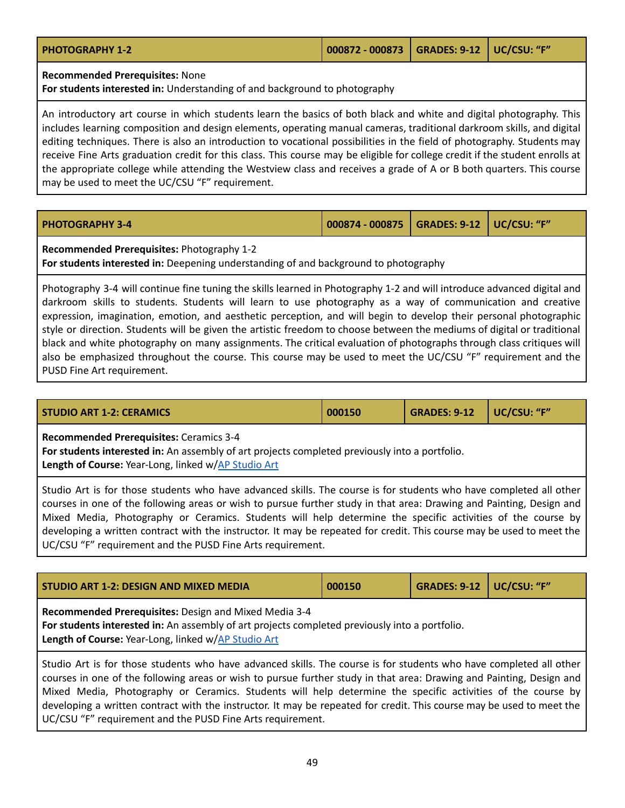| <b>PHOTOGRAPHY 1-2</b> | 000872 - 000873   GRADES: 9-12   UC/CSU: "F" |  |
|------------------------|----------------------------------------------|--|
|                        |                                              |  |

### **Recommended Prerequisites:** None

**For students interested in:** Understanding of and background to photography

An introductory art course in which students learn the basics of both black and white and digital photography. This includes learning composition and design elements, operating manual cameras, traditional darkroom skills, and digital editing techniques. There is also an introduction to vocational possibilities in the field of photography. Students may receive Fine Arts graduation credit for this class. This course may be eligible for college credit if the student enrolls at the appropriate college while attending the Westview class and receives a grade of A or B both quarters. This course may be used to meet the UC/CSU "F" requirement.

| <b>PHOTOGRAPHY 3-4</b> | 000874 - 000875   GRADES: 9-12   UC/CSU: "F" |  |
|------------------------|----------------------------------------------|--|
| - '                    |                                              |  |

**Recommended Prerequisites:** Photography 1-2

**For students interested in:** Deepening understanding of and background to photography

Photography 3-4 will continue fine tuning the skills learned in Photography 1-2 and will introduce advanced digital and darkroom skills to students. Students will learn to use photography as a way of communication and creative expression, imagination, emotion, and aesthetic perception, and will begin to develop their personal photographic style or direction. Students will be given the artistic freedom to choose between the mediums of digital or traditional black and white photography on many assignments. The critical evaluation of photographs through class critiques will also be emphasized throughout the course. This course may be used to meet the UC/CSU "F" requirement and the PUSD Fine Art requirement.

<span id="page-48-0"></span>

| l STUDIO ART 1-2: CERAMICS I | 000150 | GRADES: 9-12   UC/CSU: "F" |  |
|------------------------------|--------|----------------------------|--|
|                              |        |                            |  |

**Recommended Prerequisites:** Ceramics 3-4

**For students interested in:** An assembly of art projects completed previously into a portfolio. **Length of Course:** Year-Long, linked w/AP [Studio](#page-43-0) Art

Studio Art is for those students who have advanced skills. The course is for students who have completed all other courses in one of the following areas or wish to pursue further study in that area: Drawing and Painting, Design and Mixed Media, Photography or Ceramics. Students will help determine the specific activities of the course by developing a written contract with the instructor. It may be repeated for credit. This course may be used to meet the UC/CSU "F" requirement and the PUSD Fine Arts requirement.

<span id="page-48-1"></span>

| STUDIO ART 1-2: DESIGN AND MIXED MEDIA                                                                                                                                                                         | 000150 | <b>GRADES: 9-12   UC/CSU: "F"</b> |  |
|----------------------------------------------------------------------------------------------------------------------------------------------------------------------------------------------------------------|--------|-----------------------------------|--|
| Recommended Prerequisites: Design and Mixed Media 3-4<br>For students interested in: An assembly of art projects completed previously into a portfolio.<br>Length of Course: Year-Long, linked w/AP Studio Art |        |                                   |  |

Studio Art is for those students who have advanced skills. The course is for students who have completed all other courses in one of the following areas or wish to pursue further study in that area: Drawing and Painting, Design and Mixed Media, Photography or Ceramics. Students will help determine the specific activities of the course by developing a written contract with the instructor. It may be repeated for credit. This course may be used to meet the UC/CSU "F" requirement and the PUSD Fine Arts requirement.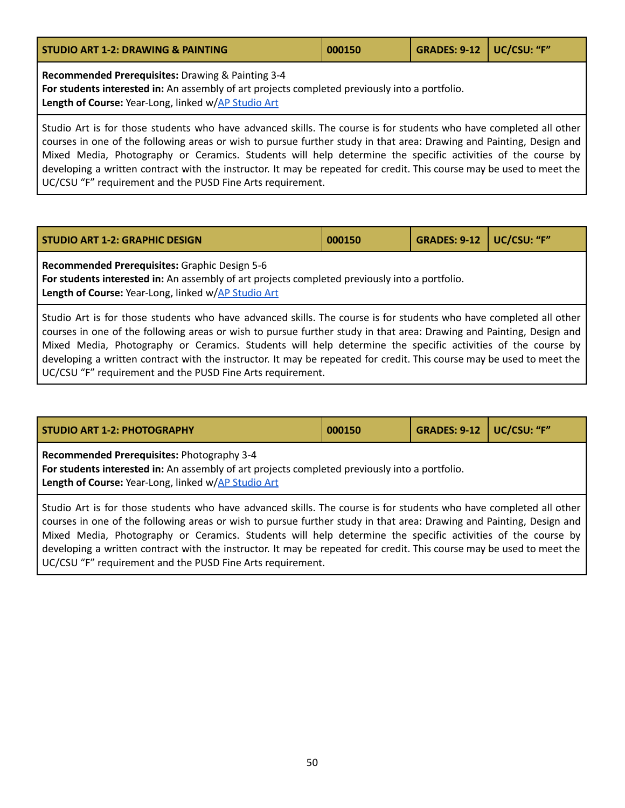<span id="page-49-1"></span>

| <b>STUDIO ART 1-2: DRAWING &amp; PAINTING</b>                                                                                                                                                              | 000150 | GRADES: 9-12   UC/CSU: "F" |  |
|------------------------------------------------------------------------------------------------------------------------------------------------------------------------------------------------------------|--------|----------------------------|--|
| Recommended Prerequisites: Drawing & Painting 3-4<br>For students interested in: An assembly of art projects completed previously into a portfolio.<br>Length of Course: Year-Long, linked w/AP Studio Art |        |                            |  |

Studio Art is for those students who have advanced skills. The course is for students who have completed all other courses in one of the following areas or wish to pursue further study in that area: Drawing and Painting, Design and Mixed Media, Photography or Ceramics. Students will help determine the specific activities of the course by developing a written contract with the instructor. It may be repeated for credit. This course may be used to meet the UC/CSU "F" requirement and the PUSD Fine Arts requirement.

<span id="page-49-2"></span>

| <b>STUDIO ART 1-2: GRAPHIC DESIGN</b>                                                          | 000150 | <b>GRADES: 9-12   UC/CSU: "F"</b> |  |  |
|------------------------------------------------------------------------------------------------|--------|-----------------------------------|--|--|
| <b>Recommended Prerequisites: Graphic Design 5-6</b>                                           |        |                                   |  |  |
| For students interested in: An assembly of art projects completed previously into a portfolio. |        |                                   |  |  |
| Length of Course: Year-Long, linked w/AP Studio Art                                            |        |                                   |  |  |

Studio Art is for those students who have advanced skills. The course is for students who have completed all other courses in one of the following areas or wish to pursue further study in that area: Drawing and Painting, Design and Mixed Media, Photography or Ceramics. Students will help determine the specific activities of the course by developing a written contract with the instructor. It may be repeated for credit. This course may be used to meet the UC/CSU "F" requirement and the PUSD Fine Arts requirement.

<span id="page-49-0"></span>

| <b>STUDIO ART 1-2: PHOTOGRAPHY</b>                                                                                                                                                                  | 000150 | <b>GRADES: 9-12   UC/CSU: "F"</b> |  |  |  |
|-----------------------------------------------------------------------------------------------------------------------------------------------------------------------------------------------------|--------|-----------------------------------|--|--|--|
| Recommended Prerequisites: Photography 3-4<br>For students interested in: An assembly of art projects completed previously into a portfolio.<br>Length of Course: Year-Long, linked w/AP Studio Art |        |                                   |  |  |  |
| Ctudio Art is for those students who have advanced skills. The course is for students who have completed all other                                                                                  |        |                                   |  |  |  |

vanced skills. The co courses in one of the following areas or wish to pursue further study in that area: Drawing and Painting, Design and Mixed Media, Photography or Ceramics. Students will help determine the specific activities of the course by developing a written contract with the instructor. It may be repeated for credit. This course may be used to meet the UC/CSU "F" requirement and the PUSD Fine Arts requirement.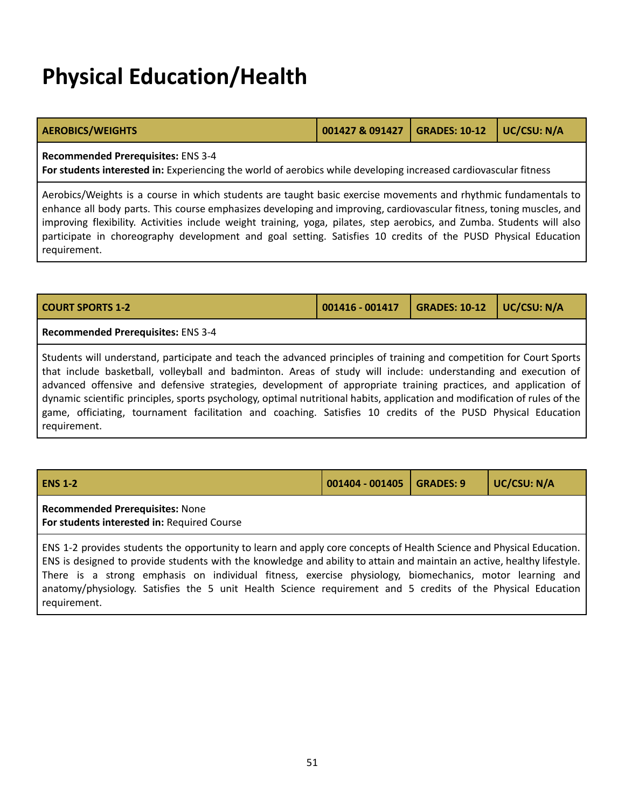### **Physical Education/Health**

| <b>AEROBICS/WEIGHTS</b> | 001427 & 091427 GRADES: 10-12 UC/CSU: N/A |  |
|-------------------------|-------------------------------------------|--|
|                         |                                           |  |

**Recommended Prerequisites:** ENS 3-4

**For students interested in:** Experiencing the world of aerobics while developing increased cardiovascular fitness

Aerobics/Weights is a course in which students are taught basic exercise movements and rhythmic fundamentals to enhance all body parts. This course emphasizes developing and improving, cardiovascular fitness, toning muscles, and improving flexibility. Activities include weight training, yoga, pilates, step aerobics, and Zumba. Students will also participate in choreography development and goal setting. Satisfies 10 credits of the PUSD Physical Education requirement.

| <b>COURT SPORTS 1-2</b>            | $001416 - 001417$ | $\vert$ GRADES: 10-12 $\vert$ UC/CSU: N/A |  |
|------------------------------------|-------------------|-------------------------------------------|--|
| Recommended Prerequisites: ENS 3-4 |                   |                                           |  |

Students will understand, participate and teach the advanced principles of training and competition for Court Sports that include basketball, volleyball and badminton. Areas of study will include: understanding and execution of advanced offensive and defensive strategies, development of appropriate training practices, and application of dynamic scientific principles, sports psychology, optimal nutritional habits, application and modification of rules of the game, officiating, tournament facilitation and coaching. Satisfies 10 credits of the PUSD Physical Education requirement.

| <b>ENS 1-2</b>                                                                                                                                                                                                                                  | 001404 - 001405 | <b>GRADES: 9</b> | UC/CSU: N/A |  |
|-------------------------------------------------------------------------------------------------------------------------------------------------------------------------------------------------------------------------------------------------|-----------------|------------------|-------------|--|
| <b>Recommended Prerequisites: None</b><br>For students interested in: Required Course                                                                                                                                                           |                 |                  |             |  |
| ENS 1-2 provides students the opportunity to learn and apply core concepts of Health Science and Physical Education.<br>ENS is designed to provide students with the knowledge and ability to attain and maintain an active, healthy lifestyle. |                 |                  |             |  |

There is a strong emphasis on individual fitness, exercise physiology, biomechanics, motor learning and anatomy/physiology. Satisfies the 5 unit Health Science requirement and 5 credits of the Physical Education requirement.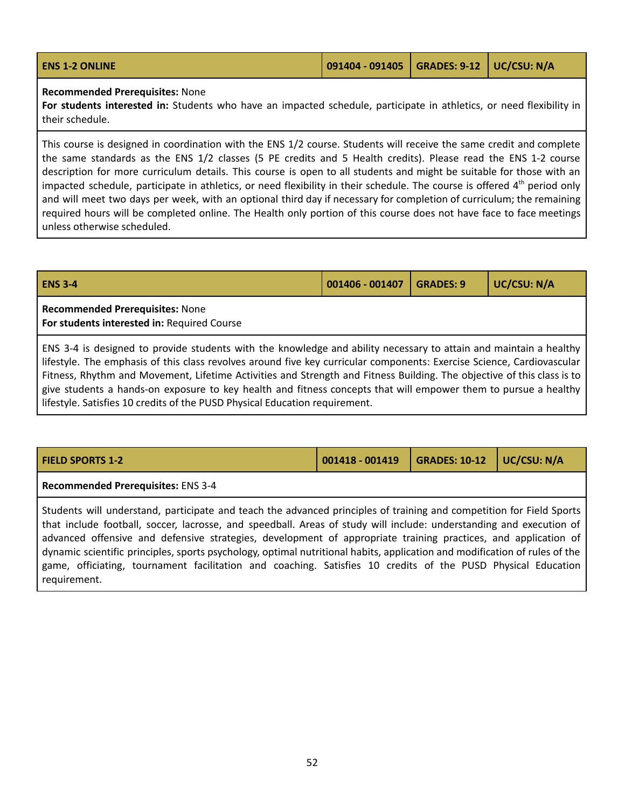| <b>ENS 1-2 ONLINE</b> | 091404 - 091405   GRADES: 9-12   UC/CSU: N/A |  |  |  |
|-----------------------|----------------------------------------------|--|--|--|
|-----------------------|----------------------------------------------|--|--|--|

#### **Recommended Prerequisites:** None

**For students interested in:** Students who have an impacted schedule, participate in athletics, or need flexibility in their schedule.

This course is designed in coordination with the ENS 1/2 course. Students will receive the same credit and complete the same standards as the ENS 1/2 classes (5 PE credits and 5 Health credits). Please read the ENS 1-2 course description for more curriculum details. This course is open to all students and might be suitable for those with an impacted schedule, participate in athletics, or need flexibility in their schedule. The course is offered 4<sup>th</sup> period only and will meet two days per week, with an optional third day if necessary for completion of curriculum; the remaining required hours will be completed online. The Health only portion of this course does not have face to face meetings unless otherwise scheduled.

| <b>ENS 3-4</b>                                                                                                                                                                                                                                                                                                                                                                                                                                                                           | 001406 - 001407 | <b>GRADES: 9</b> | UC/CSU: N/A |  |
|------------------------------------------------------------------------------------------------------------------------------------------------------------------------------------------------------------------------------------------------------------------------------------------------------------------------------------------------------------------------------------------------------------------------------------------------------------------------------------------|-----------------|------------------|-------------|--|
| <b>Recommended Prerequisites: None</b><br>For students interested in: Required Course                                                                                                                                                                                                                                                                                                                                                                                                    |                 |                  |             |  |
| ENS 3-4 is designed to provide students with the knowledge and ability necessary to attain and maintain a healthy<br>lifestyle. The emphasis of this class revolves around five key curricular components: Exercise Science, Cardiovascular<br>Fitness, Rhythm and Movement, Lifetime Activities and Strength and Fitness Building. The objective of this class is to<br>give students a hands-on exposure to key health and fitness concents that will empower them to pursue a healthy |                 |                  |             |  |

s a hands-on exposure to key health and fitness concepts that will empower them to pursue a he lifestyle. Satisfies 10 credits of the PUSD Physical Education requirement.

| <b>FIELD SPORTS 1-2</b> | $\vert$ 001418 - 001419 $\vert$ GRADES: 10-12 $\vert$ UC/CSU: N/A |  |
|-------------------------|-------------------------------------------------------------------|--|
|                         |                                                                   |  |

**Recommended Prerequisites:** ENS 3-4

Students will understand, participate and teach the advanced principles of training and competition for Field Sports that include football, soccer, lacrosse, and speedball. Areas of study will include: understanding and execution of advanced offensive and defensive strategies, development of appropriate training practices, and application of dynamic scientific principles, sports psychology, optimal nutritional habits, application and modification of rules of the game, officiating, tournament facilitation and coaching. Satisfies 10 credits of the PUSD Physical Education requirement.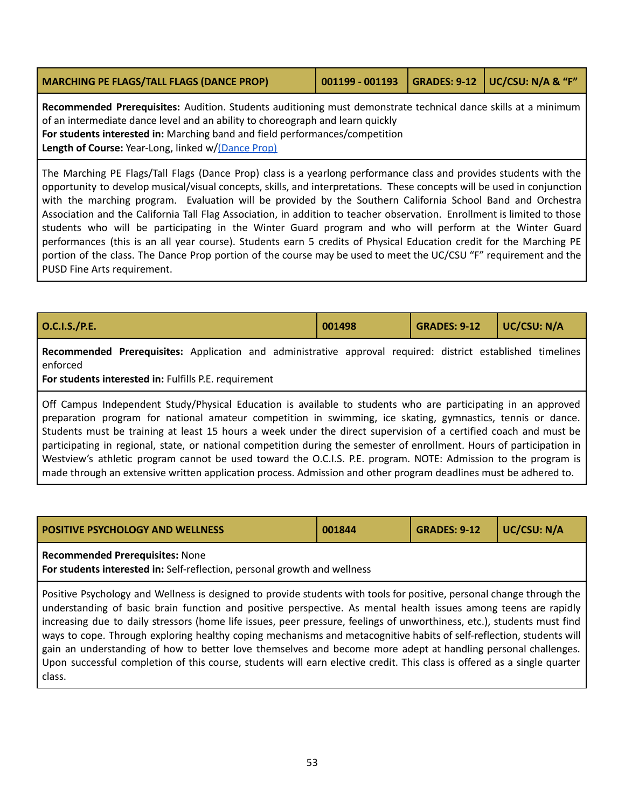<span id="page-52-0"></span>

| <b>MARCHING PE FLAGS/TALL FLAGS (DANCE PROP)</b> |  |  | 001199 - 001193   GRADES: 9-12   UC/CSU: N/A & "F" |
|--------------------------------------------------|--|--|----------------------------------------------------|
|--------------------------------------------------|--|--|----------------------------------------------------|

**Recommended Prerequisites:** Audition. Students auditioning must demonstrate technical dance skills at a minimum of an intermediate dance level and an ability to choreograph and learn quickly **For students interested in:** Marching band and field performances/competition **Length of Course:** Year-Long, linked w/[\(Dance](#page-39-0) Prop)

The Marching PE Flags/Tall Flags (Dance Prop) class is a yearlong performance class and provides students with the opportunity to develop musical/visual concepts, skills, and interpretations. These concepts will be used in conjunction with the marching program. Evaluation will be provided by the Southern California School Band and Orchestra Association and the California Tall Flag Association, in addition to teacher observation. Enrollment is limited to those students who will be participating in the Winter Guard program and who will perform at the Winter Guard performances (this is an all year course). Students earn 5 credits of Physical Education credit for the Marching PE portion of the class. The Dance Prop portion of the course may be used to meet the UC/CSU "F" requirement and the PUSD Fine Arts requirement.

| O.C.I.S./P.E.                                                                                                           |  | 001498 |  | $\vert$ GRADES: 9-12 $\vert$ UC/CSU: N/A |  |  |
|-------------------------------------------------------------------------------------------------------------------------|--|--------|--|------------------------------------------|--|--|
| Recommended Prerequisites: Application and administrative approval required: district established timelines<br>enforced |  |        |  |                                          |  |  |

**For students interested in:** Fulfills P.E. requirement

Off Campus Independent Study/Physical Education is available to students who are participating in an approved preparation program for national amateur competition in swimming, ice skating, gymnastics, tennis or dance. Students must be training at least 15 hours a week under the direct supervision of a certified coach and must be participating in regional, state, or national competition during the semester of enrollment. Hours of participation in Westview's athletic program cannot be used toward the O.C.I.S. P.E. program. NOTE: Admission to the program is made through an extensive written application process. Admission and other program deadlines must be adhered to.

| <b>POSITIVE PSYCHOLOGY AND WELLNESS</b> | 001844 | $\bigcup$ GRADES: 9-12 $\bigcup$ UC/CSU: N/A |  |
|-----------------------------------------|--------|----------------------------------------------|--|
|                                         |        |                                              |  |

### **Recommended Prerequisites:** None

**For students interested in:** Self-reflection, personal growth and wellness

Positive Psychology and Wellness is designed to provide students with tools for positive, personal change through the understanding of basic brain function and positive perspective. As mental health issues among teens are rapidly increasing due to daily stressors (home life issues, peer pressure, feelings of unworthiness, etc.), students must find ways to cope. Through exploring healthy coping mechanisms and metacognitive habits of self-reflection, students will gain an understanding of how to better love themselves and become more adept at handling personal challenges. Upon successful completion of this course, students will earn elective credit. This class is offered as a single quarter class.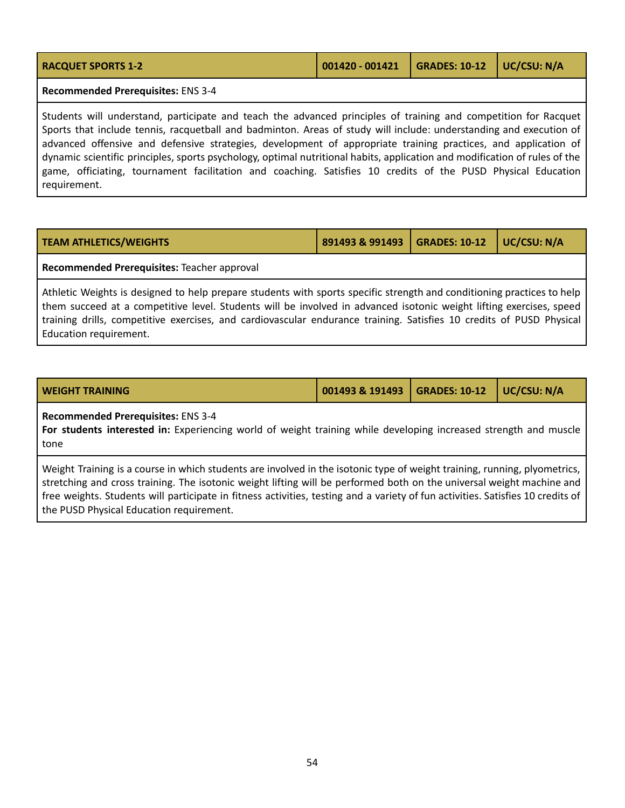| GRADES: 10-12   UC/CSU: N/A<br>$001420 - 001421$<br><b>RACQUET SPORTS 1-2</b>                                                                                                                                                         |  |  |  |  |  |  |
|---------------------------------------------------------------------------------------------------------------------------------------------------------------------------------------------------------------------------------------|--|--|--|--|--|--|
| Recommended Prerequisites: ENS 3-4                                                                                                                                                                                                    |  |  |  |  |  |  |
| Students will understand, participate and teach the advanced principles of training and competition for Racquet<br>Sports that include tennis, racquethall and hadminton. Areas of study will include: understanding and evecution of |  |  |  |  |  |  |

de tennis, racquetball and badminton. Areas of study will include: understanding and execution of advanced offensive and defensive strategies, development of appropriate training practices, and application of dynamic scientific principles, sports psychology, optimal nutritional habits, application and modification of rules of the game, officiating, tournament facilitation and coaching. Satisfies 10 credits of the PUSD Physical Education requirement.

| <b>TEAM ATHLETICS/WEIGHTS</b> | 891493 & 991493   GRADES: 10-12   UC/CSU: N/A |  |
|-------------------------------|-----------------------------------------------|--|
|                               |                                               |  |

#### **Recommended Prerequisites:** Teacher approval

Athletic Weights is designed to help prepare students with sports specific strength and conditioning practices to help them succeed at a competitive level. Students will be involved in advanced isotonic weight lifting exercises, speed training drills, competitive exercises, and cardiovascular endurance training. Satisfies 10 credits of PUSD Physical Education requirement.

| <b>WEIGHT TRAINING</b> |  |
|------------------------|--|
|                        |  |

**WEIGHT TRAINING 001493 & 191493 GRADES: 10-12 UC/CSU: N/A**

### **Recommended Prerequisites:** ENS 3-4

**For students interested in:** Experiencing world of weight training while developing increased strength and muscle tone

Weight Training is a course in which students are involved in the isotonic type of weight training, running, plyometrics, stretching and cross training. The isotonic weight lifting will be performed both on the universal weight machine and free weights. Students will participate in fitness activities, testing and a variety of fun activities. Satisfies 10 credits of the PUSD Physical Education requirement.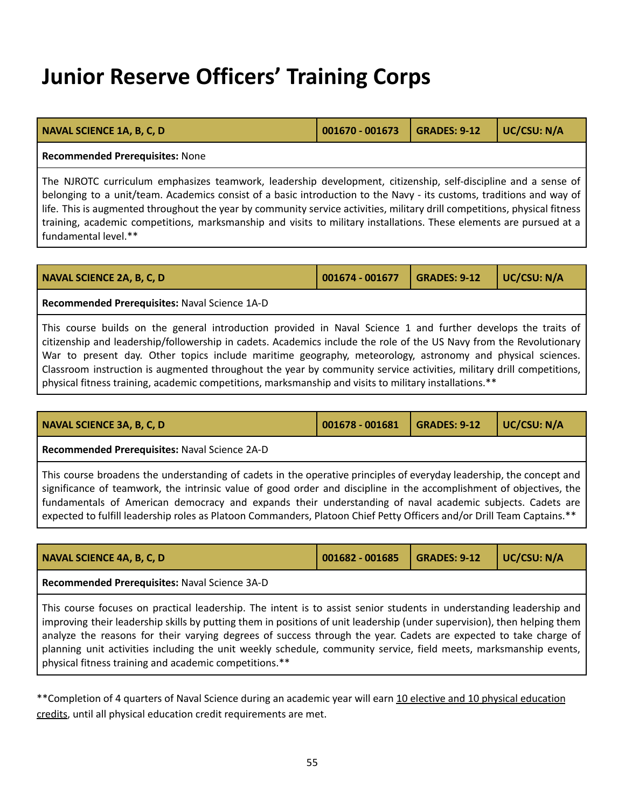### **Junior Reserve Officers' Training Corps**

| <b>NAVAL SCIENCE 1A, B, C, D</b> | 001670 - 001673   GRADES: 9-12   UC/CSU: N/A |  |
|----------------------------------|----------------------------------------------|--|
|                                  |                                              |  |

#### **Recommended Prerequisites:** None

The NJROTC curriculum emphasizes teamwork, leadership development, citizenship, self-discipline and a sense of belonging to a unit/team. Academics consist of a basic introduction to the Navy - its customs, traditions and way of life. This is augmented throughout the year by community service activities, military drill competitions, physical fitness training, academic competitions, marksmanship and visits to military installations. These elements are pursued at a fundamental level.\*\*

|  | NAVAL SCIENCE 2A, B, C, D |  |  |  |
|--|---------------------------|--|--|--|
|--|---------------------------|--|--|--|

**Recommended Prerequisites:** Naval Science 1A-D

This course builds on the general introduction provided in Naval Science 1 and further develops the traits of citizenship and leadership/followership in cadets. Academics include the role of the US Navy from the Revolutionary War to present day. Other topics include maritime geography, meteorology, astronomy and physical sciences. Classroom instruction is augmented throughout the year by community service activities, military drill competitions, physical fitness training, academic competitions, marksmanship and visits to military installations.\*\*

| NAVAL SCIENCE 3A, B, C, D                                                                                            | 001678 - 001681 | <b>GRADES: 9-12</b> | UC/CSU: N/A |  |  |  |
|----------------------------------------------------------------------------------------------------------------------|-----------------|---------------------|-------------|--|--|--|
| Recommended Prerequisites: Naval Science 2A-D                                                                        |                 |                     |             |  |  |  |
| This course broadens the understanding of cadets in the operative principles of everyday leadership, the concept and |                 |                     |             |  |  |  |
| significance of teamwork, the intrinsic value of good order and discipline in the accomplishment of objectives, the  |                 |                     |             |  |  |  |
| fundamentals of American democracy and expands their understanding of naval academic subjects. Cadets are            |                 |                     |             |  |  |  |

expected to fulfill leadership roles as Platoon Commanders, Platoon Chief Petty Officers and/or Drill Team Captains.\*\*

| UC/CSU: N/A<br><b>GRADES: 9-12</b><br><b>NAVAL SCIENCE 4A, B, C, D</b><br>001682 - 001685                                                                                                                                                                                                                                                                                                                                                                                                                                                           |  |  |  |  |  |  |  |  |
|-----------------------------------------------------------------------------------------------------------------------------------------------------------------------------------------------------------------------------------------------------------------------------------------------------------------------------------------------------------------------------------------------------------------------------------------------------------------------------------------------------------------------------------------------------|--|--|--|--|--|--|--|--|
| Recommended Prerequisites: Naval Science 3A-D                                                                                                                                                                                                                                                                                                                                                                                                                                                                                                       |  |  |  |  |  |  |  |  |
| This course focuses on practical leadership. The intent is to assist senior students in understanding leadership and<br>improving their leadership skills by putting them in positions of unit leadership (under supervision), then helping them<br>analyze the reasons for their varying degrees of success through the year. Cadets are expected to take charge of<br>planning unit activities including the unit weekly schedule, community service, field meets, marksmanship events,<br>physical fitness training and academic competitions.** |  |  |  |  |  |  |  |  |

\*\*Completion of 4 quarters of Naval Science during an academic year will earn 10 elective and 10 physical education credits, until all physical education credit requirements are met.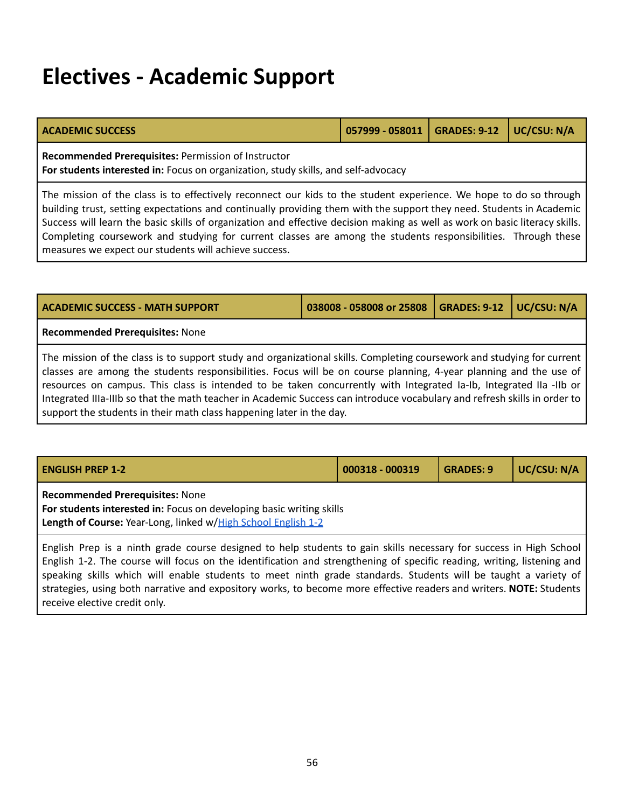### **Electives - Academic Support**

| <b>ACADEMIC SUCCESS</b>                                                                                                                   | 057999 - 058011   GRADES: 9-12   UC/CSU: N/A |  |
|-------------------------------------------------------------------------------------------------------------------------------------------|----------------------------------------------|--|
| Recommended Prerequisites: Permission of Instructor<br>For students interested in: Focus on organization, study skills, and self-advocacy |                                              |  |

The mission of the class is to effectively reconnect our kids to the student experience. We hope to do so through building trust, setting expectations and continually providing them with the support they need. Students in Academic Success will learn the basic skills of organization and effective decision making as well as work on basic literacy skills. Completing coursework and studying for current classes are among the students responsibilities. Through these measures we expect our students will achieve success.

| <b>GRADES: 9-12</b><br><b>ACADEMIC SUCCESS - MATH SUPPORT</b><br>038008 - 058008 or 25808<br>$\vert$ UC/CSU: N/A                                                                                                                                                                                                                                                                                                                                                                                                                                                       |  |  |  |  |  |  |
|------------------------------------------------------------------------------------------------------------------------------------------------------------------------------------------------------------------------------------------------------------------------------------------------------------------------------------------------------------------------------------------------------------------------------------------------------------------------------------------------------------------------------------------------------------------------|--|--|--|--|--|--|
| <b>Recommended Prerequisites: None</b>                                                                                                                                                                                                                                                                                                                                                                                                                                                                                                                                 |  |  |  |  |  |  |
| The mission of the class is to support study and organizational skills. Completing coursework and studying for current<br>classes are among the students responsibilities. Focus will be on course planning, 4-year planning and the use of<br>resources on campus. This class is intended to be taken concurrently with Integrated Ia-Ib, Integrated IIa -IIb or<br>Integrated IIIa-IIIb so that the math teacher in Academic Success can introduce vocabulary and refresh skills in order to<br>support the students in their math class happening later in the day. |  |  |  |  |  |  |

| <b>ENGLISH PREP 1-2</b>                                                                                                                                                         | 000318 - 000319 | <b>GRADES: 9</b> | UC/CSU: N/A |
|---------------------------------------------------------------------------------------------------------------------------------------------------------------------------------|-----------------|------------------|-------------|
| <b>Recommended Prerequisites: None</b><br>For students interested in: Focus on developing basic writing skills<br>Length of Course: Year-Long, linked w/High School English 1-2 |                 |                  |             |

English Prep is a ninth grade course designed to help students to gain skills necessary for success in High School English 1-2. The course will focus on the identification and strengthening of specific reading, writing, listening and speaking skills which will enable students to meet ninth grade standards. Students will be taught a variety of strategies, using both narrative and expository works, to become more effective readers and writers. **NOTE:** Students receive elective credit only.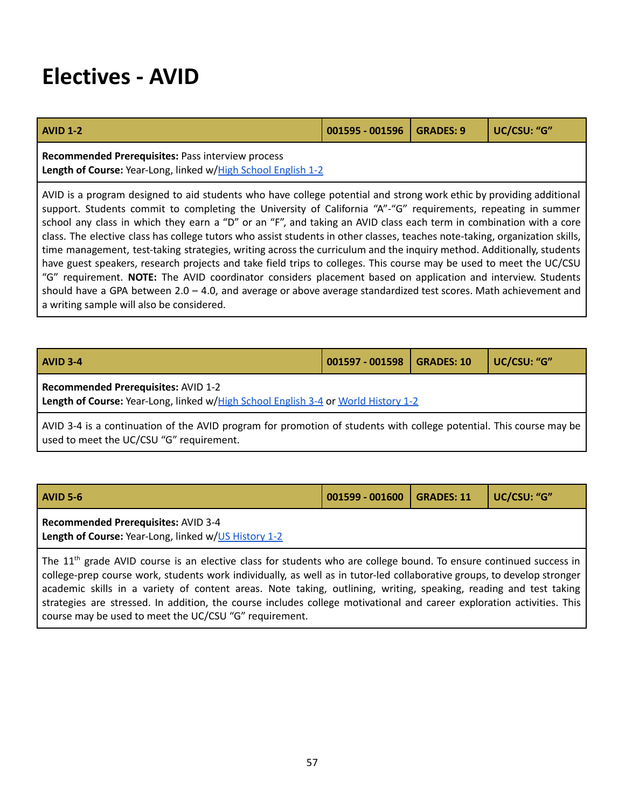### **Electives - AVID**

| <b>AVID 1-2</b>                                                                                                                                                                                                                                                                                                                                                                                                                                                                                                                                                                                                                                                                                                                                                                                                                                                                                                                                                                                                                | 001595 - 001596 | <b>GRADES: 9</b> | UC/CSU: "G" |  |  |
|--------------------------------------------------------------------------------------------------------------------------------------------------------------------------------------------------------------------------------------------------------------------------------------------------------------------------------------------------------------------------------------------------------------------------------------------------------------------------------------------------------------------------------------------------------------------------------------------------------------------------------------------------------------------------------------------------------------------------------------------------------------------------------------------------------------------------------------------------------------------------------------------------------------------------------------------------------------------------------------------------------------------------------|-----------------|------------------|-------------|--|--|
| Recommended Prerequisites: Pass interview process<br>Length of Course: Year-Long, linked w/High School English 1-2                                                                                                                                                                                                                                                                                                                                                                                                                                                                                                                                                                                                                                                                                                                                                                                                                                                                                                             |                 |                  |             |  |  |
| AVID is a program designed to aid students who have college potential and strong work ethic by providing additional<br>support. Students commit to completing the University of California "A"-"G" requirements, repeating in summer<br>school any class in which they earn a "D" or an "F", and taking an AVID class each term in combination with a core<br>class. The elective class has college tutors who assist students in other classes, teaches note-taking, organization skills,<br>time management, test-taking strategies, writing across the curriculum and the inquiry method. Additionally, students<br>have guest speakers, research projects and take field trips to colleges. This course may be used to meet the UC/CSU<br>"G" requirement. NOTE: The AVID coordinator considers placement based on application and interview. Students<br>should have a GPA between $2.0 - 4.0$ , and average or above average standardized test scores. Math achievement and<br>a writing sample will also be considered. |                 |                  |             |  |  |

| <b>AVID 3-4</b>                                                                                                                                                 | 001597 - 001598 | GRADES: 10 | UC/CSU: "G" |  |  |
|-----------------------------------------------------------------------------------------------------------------------------------------------------------------|-----------------|------------|-------------|--|--|
| <b>Recommended Prerequisites: AVID 1-2</b><br>Length of Course: Year-Long, linked w/High School English 3-4 or World History 1-2                                |                 |            |             |  |  |
| AVID 3-4 is a continuation of the AVID program for promotion of students with college potential. This course may be<br>used to meet the UC/CSU "G" requirement. |                 |            |             |  |  |

| <b>AVID 5-6</b>                                                                                                                            | 001599 - 001600   GRADES: 11 |  | UC/CSU: "G" |
|--------------------------------------------------------------------------------------------------------------------------------------------|------------------------------|--|-------------|
| Recommended Prerequisites: AVID 3-4<br>Length of Course: Year-Long, linked w/US History 1-2                                                |                              |  |             |
| $\pm$ The 11 <sup>th</sup> grade. WID course is an elective close for students who are sellege hound. To ensure continued systems in $\pm$ |                              |  |             |

The 11<sup>th</sup> grade AVID course is an elective class for students who are college bound. To ensure continued success in college-prep course work, students work individually, as well as in tutor-led collaborative groups, to develop stronger academic skills in a variety of content areas. Note taking, outlining, writing, speaking, reading and test taking strategies are stressed. In addition, the course includes college motivational and career exploration activities. This course may be used to meet the UC/CSU "G" requirement.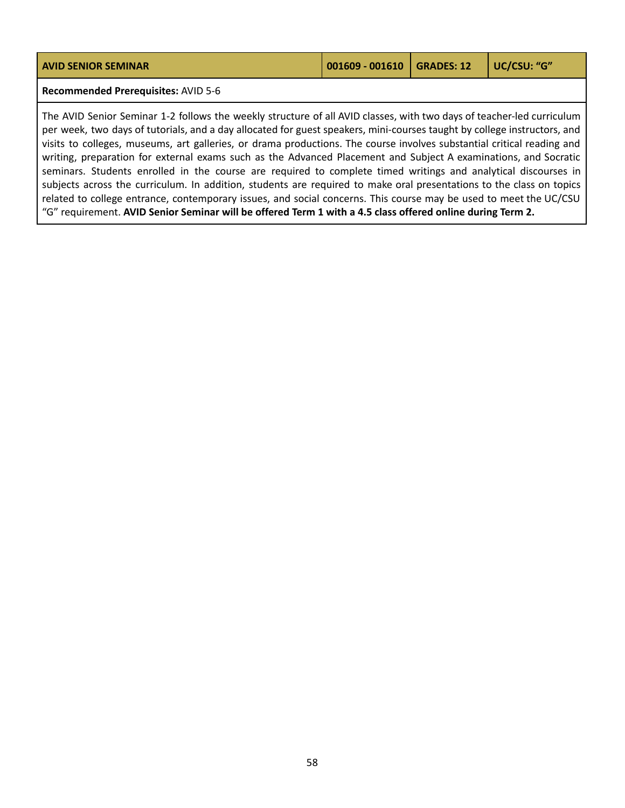| <b>AVID SENIOR SEMINAR</b>                                                                                                                                                                                                                                                                                                                                                                                                                                                                                                                                                                                                                                                                                                                                                                                                                                                                                                                                                  | 001609 - 001610 | <b>GRADES: 12</b> | UC/CSU: "G" |
|-----------------------------------------------------------------------------------------------------------------------------------------------------------------------------------------------------------------------------------------------------------------------------------------------------------------------------------------------------------------------------------------------------------------------------------------------------------------------------------------------------------------------------------------------------------------------------------------------------------------------------------------------------------------------------------------------------------------------------------------------------------------------------------------------------------------------------------------------------------------------------------------------------------------------------------------------------------------------------|-----------------|-------------------|-------------|
| Recommended Prerequisites: AVID 5-6                                                                                                                                                                                                                                                                                                                                                                                                                                                                                                                                                                                                                                                                                                                                                                                                                                                                                                                                         |                 |                   |             |
| The AVID Senior Seminar 1-2 follows the weekly structure of all AVID classes, with two days of teacher-led curriculum<br>per week, two days of tutorials, and a day allocated for guest speakers, mini-courses taught by college instructors, and<br>visits to colleges, museums, art galleries, or drama productions. The course involves substantial critical reading and<br>writing, preparation for external exams such as the Advanced Placement and Subject A examinations, and Socratic<br>seminars. Students enrolled in the course are required to complete timed writings and analytical discourses in<br>subjects across the curriculum. In addition, students are required to make oral presentations to the class on topics<br>related to college entrance, contemporary issues, and social concerns. This course may be used to meet the UC/CSU<br>"G" requirement. AVID Senior Seminar will be offered Term 1 with a 4.5 class offered online during Term 2. |                 |                   |             |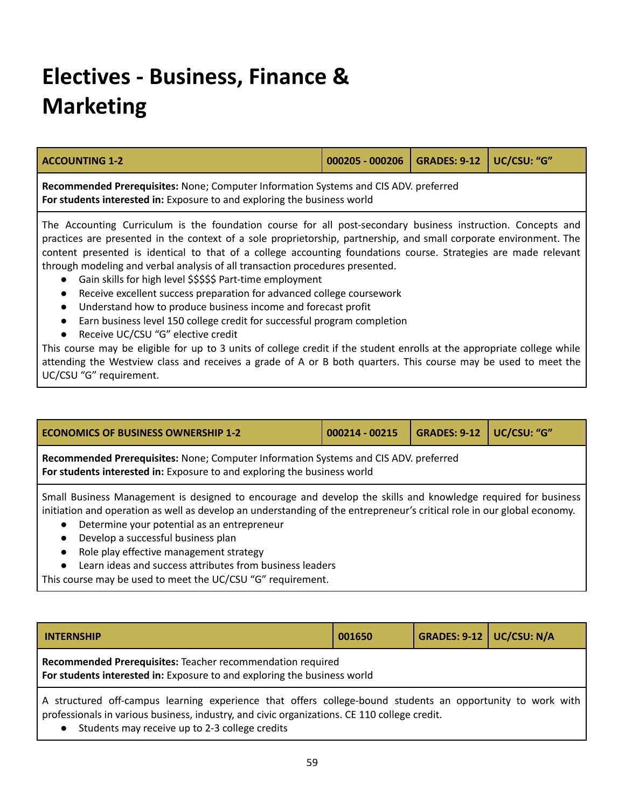# **Electives - Business, Finance & Marketing**

| <b>ACCOUNTING 1-2</b>                                                                                                                                                                                                                                                                                                                                                                                                                                                                                  | $000205 - 000206$ GRADES: 9-12 |  | UC/CSU: "G" |  |
|--------------------------------------------------------------------------------------------------------------------------------------------------------------------------------------------------------------------------------------------------------------------------------------------------------------------------------------------------------------------------------------------------------------------------------------------------------------------------------------------------------|--------------------------------|--|-------------|--|
| Recommended Prerequisites: None; Computer Information Systems and CIS ADV. preferred<br>For students interested in: Exposure to and exploring the business world                                                                                                                                                                                                                                                                                                                                       |                                |  |             |  |
| The Accounting Curriculum is the foundation course for all post-secondary business instruction. Concepts and<br>practices are presented in the context of a sole proprietorship, partnership, and small corporate environment. The<br>content presented is identical to that of a college accounting foundations course. Strategies are made relevant<br>through modeling and verbal analysis of all transaction procedures presented.<br>• Gain skills for high level \$\$\$\$\$ Part-time employment |                                |  |             |  |

- Receive excellent success preparation for advanced college coursework
- Understand how to produce business income and forecast profit
- Earn business level 150 college credit for successful program completion
- Receive UC/CSU "G" elective credit

This course may be eligible for up to 3 units of college credit if the student enrolls at the appropriate college while attending the Westview class and receives a grade of A or B both quarters. This course may be used to meet the UC/CSU "G" requirement.

| <b>ECONOMICS OF BUSINESS OWNERSHIP 1-2</b>                                                                                                                                                                                                                                                                                                                                                                                                                                               | 000214 - 00215 | <b>GRADES: 9-12</b> | UC/CSU: "G" |  |  |
|------------------------------------------------------------------------------------------------------------------------------------------------------------------------------------------------------------------------------------------------------------------------------------------------------------------------------------------------------------------------------------------------------------------------------------------------------------------------------------------|----------------|---------------------|-------------|--|--|
| Recommended Prerequisites: None; Computer Information Systems and CIS ADV. preferred<br>For students interested in: Exposure to and exploring the business world                                                                                                                                                                                                                                                                                                                         |                |                     |             |  |  |
| Small Business Management is designed to encourage and develop the skills and knowledge required for business<br>initiation and operation as well as develop an understanding of the entrepreneur's critical role in our global economy.<br>Determine your potential as an entrepreneur<br>$\bullet$<br>Develop a successful business plan<br>$\bullet$<br>Role play effective management strategy<br>$\bullet$<br>Learn ideas and success attributes from business leaders<br>$\bullet$ |                |                     |             |  |  |
| This course may be used to meet the UC/CSU "G" requirement.                                                                                                                                                                                                                                                                                                                                                                                                                              |                |                     |             |  |  |

| <b>INTERNSHIP</b>                                                                                                                      | 001650 | <b>GRADES: 9-12   UC/CSU: N/A</b> |  |  |  |
|----------------------------------------------------------------------------------------------------------------------------------------|--------|-----------------------------------|--|--|--|
| Recommended Prerequisites: Teacher recommendation required<br>For students interested in: Exposure to and exploring the business world |        |                                   |  |  |  |
| A structured off-campus learning experience that offers college-bound students an eppertunity to work with l                           |        |                                   |  |  |  |

A structured off-campus learning experience that offers college-bound students an opportunity to work with professionals in various business, industry, and civic organizations. CE 110 college credit.

● Students may receive up to 2-3 college credits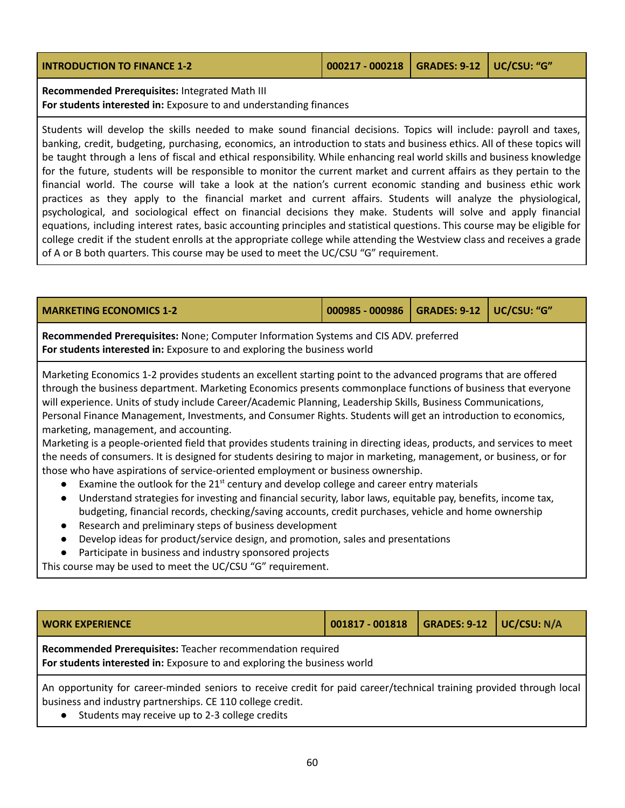| <b>INTRODUCTION TO FINANCE 1-2</b> | 000217 - 000218   GRADES: 9-12   UC/CSU: "G" |  |
|------------------------------------|----------------------------------------------|--|
|                                    |                                              |  |

### **Recommended Prerequisites:** Integrated Math III **For students interested in:** Exposure to and understanding finances

Students will develop the skills needed to make sound financial decisions. Topics will include: payroll and taxes, banking, credit, budgeting, purchasing, economics, an introduction to stats and business ethics. All of these topics will be taught through a lens of fiscal and ethical responsibility. While enhancing real world skills and business knowledge for the future, students will be responsible to monitor the current market and current affairs as they pertain to the financial world. The course will take a look at the nation's current economic standing and business ethic work practices as they apply to the financial market and current affairs. Students will analyze the physiological, psychological, and sociological effect on financial decisions they make. Students will solve and apply financial equations, including interest rates, basic accounting principles and statistical questions. This course may be eligible for college credit if the student enrolls at the appropriate college while attending the Westview class and receives a grade of A or B both quarters. This course may be used to meet the UC/CSU "G" requirement.

### **MARKETING ECONOMICS 1-2 000985 - 000986 GRADES: 9-12 UC/CSU: "G"**

**Recommended Prerequisites:** None; Computer Information Systems and CIS ADV. preferred **For students interested in:** Exposure to and exploring the business world

Marketing Economics 1-2 provides students an excellent starting point to the advanced programs that are offered through the business department. Marketing Economics presents commonplace functions of business that everyone will experience. Units of study include Career/Academic Planning, Leadership Skills, Business Communications, Personal Finance Management, Investments, and Consumer Rights. Students will get an introduction to economics, marketing, management, and accounting.

Marketing is a people-oriented field that provides students training in directing ideas, products, and services to meet the needs of consumers. It is designed for students desiring to major in marketing, management, or business, or for those who have aspirations of service-oriented employment or business ownership.

- $\bullet$  Examine the outlook for the 21<sup>st</sup> century and develop college and career entry materials
- Understand strategies for investing and financial security, labor laws, equitable pay, benefits, income tax, budgeting, financial records, checking/saving accounts, credit purchases, vehicle and home ownership
- Research and preliminary steps of business development
- Develop ideas for product/service design, and promotion, sales and presentations
- Participate in business and industry sponsored projects

This course may be used to meet the UC/CSU "G" requirement.

| <b>WORK EXPERIENCE</b>                                                                                                                                                             | 001817 - 001818 | GRADES: $9-12$ UC/CSU: N/A |  |  |
|------------------------------------------------------------------------------------------------------------------------------------------------------------------------------------|-----------------|----------------------------|--|--|
| Recommended Prerequisites: Teacher recommendation required<br>For students interested in: Exposure to and exploring the business world                                             |                 |                            |  |  |
| An opportunity for career-minded seniors to receive credit for paid career/technical training provided through local<br>business and industry partnerships. CE 110 college credit. |                 |                            |  |  |

Students may receive up to 2-3 college credits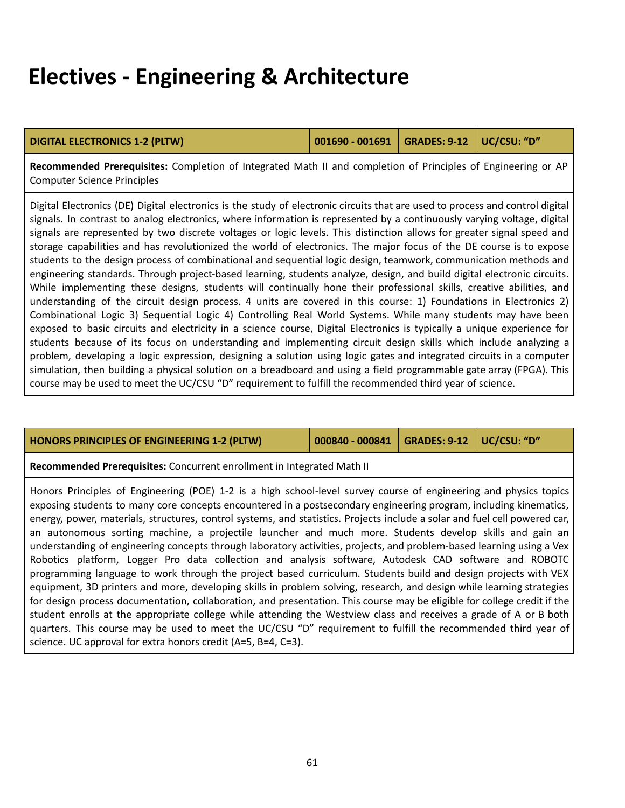### **Electives - Engineering & Architecture**

#### **DIGITAL ELECTRONICS 1-2 (PLTW) 001690 - 001691 GRADES: 9-12 UC/CSU: "D"**

**Recommended Prerequisites:** Completion of Integrated Math II and completion of Principles of Engineering or AP Computer Science Principles

Digital Electronics (DE) Digital electronics is the study of electronic circuits that are used to process and control digital signals. In contrast to analog electronics, where information is represented by a continuously varying voltage, digital signals are represented by two discrete voltages or logic levels. This distinction allows for greater signal speed and storage capabilities and has revolutionized the world of electronics. The major focus of the DE course is to expose students to the design process of combinational and sequential logic design, teamwork, communication methods and engineering standards. Through project-based learning, students analyze, design, and build digital electronic circuits. While implementing these designs, students will continually hone their professional skills, creative abilities, and understanding of the circuit design process. 4 units are covered in this course: 1) Foundations in Electronics 2) Combinational Logic 3) Sequential Logic 4) Controlling Real World Systems. While many students may have been exposed to basic circuits and electricity in a science course, Digital Electronics is typically a unique experience for students because of its focus on understanding and implementing circuit design skills which include analyzing a problem, developing a logic expression, designing a solution using logic gates and integrated circuits in a computer simulation, then building a physical solution on a breadboard and using a field programmable gate array (FPGA). This course may be used to meet the UC/CSU "D" requirement to fulfill the recommended third year of science.

| HONORS PRINCIPLES OF ENGINEERING 1-2 (PLTW)                                                                                                                                                                                                                                                                                                                                                                                                                                                                                                                                                                                                                                                                                                                                                                                                                                                                                                                                                                                                                                                                                                                                                                                                                                                                                                                                                     | 000840 - 000841 | <b>GRADES: 9-12</b> | UC/CSU: "D" |  |
|-------------------------------------------------------------------------------------------------------------------------------------------------------------------------------------------------------------------------------------------------------------------------------------------------------------------------------------------------------------------------------------------------------------------------------------------------------------------------------------------------------------------------------------------------------------------------------------------------------------------------------------------------------------------------------------------------------------------------------------------------------------------------------------------------------------------------------------------------------------------------------------------------------------------------------------------------------------------------------------------------------------------------------------------------------------------------------------------------------------------------------------------------------------------------------------------------------------------------------------------------------------------------------------------------------------------------------------------------------------------------------------------------|-----------------|---------------------|-------------|--|
| Recommended Prerequisites: Concurrent enrollment in Integrated Math II                                                                                                                                                                                                                                                                                                                                                                                                                                                                                                                                                                                                                                                                                                                                                                                                                                                                                                                                                                                                                                                                                                                                                                                                                                                                                                                          |                 |                     |             |  |
| Honors Principles of Engineering (POE) 1-2 is a high school-level survey course of engineering and physics topics<br>exposing students to many core concepts encountered in a postsecondary engineering program, including kinematics,<br>energy, power, materials, structures, control systems, and statistics. Projects include a solar and fuel cell powered car,<br>an autonomous sorting machine, a projectile launcher and much more. Students develop skills and gain an<br>understanding of engineering concepts through laboratory activities, projects, and problem-based learning using a Vex<br>Robotics platform, Logger Pro data collection and analysis software, Autodesk CAD software and ROBOTC<br>programming language to work through the project based curriculum. Students build and design projects with VEX<br>equipment, 3D printers and more, developing skills in problem solving, research, and design while learning strategies<br>for design process documentation, collaboration, and presentation. This course may be eligible for college credit if the<br>student enrolls at the appropriate college while attending the Westview class and receives a grade of A or B both<br>quarters. This course may be used to meet the UC/CSU "D" requirement to fulfill the recommended third year of<br>science. UC approval for extra honors credit (A=5, B=4, C=3). |                 |                     |             |  |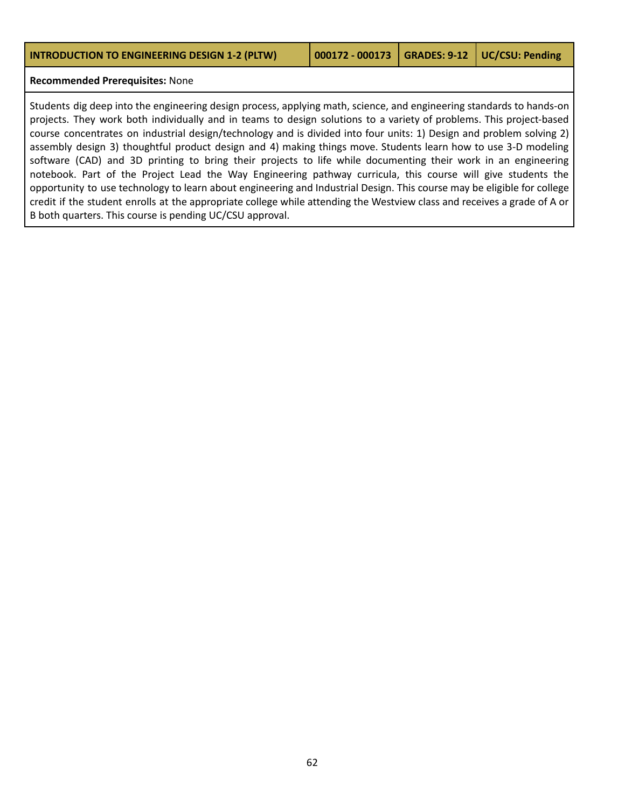#### **Recommended Prerequisites:** None

Students dig deep into the engineering design process, applying math, science, and engineering standards to hands-on projects. They work both individually and in teams to design solutions to a variety of problems. This project-based course concentrates on industrial design/technology and is divided into four units: 1) Design and problem solving 2) assembly design 3) thoughtful product design and 4) making things move. Students learn how to use 3-D modeling software (CAD) and 3D printing to bring their projects to life while documenting their work in an engineering notebook. Part of the Project Lead the Way Engineering pathway curricula, this course will give students the opportunity to use technology to learn about engineering and Industrial Design. This course may be eligible for college credit if the student enrolls at the appropriate college while attending the Westview class and receives a grade of A or B both quarters. This course is pending UC/CSU approval.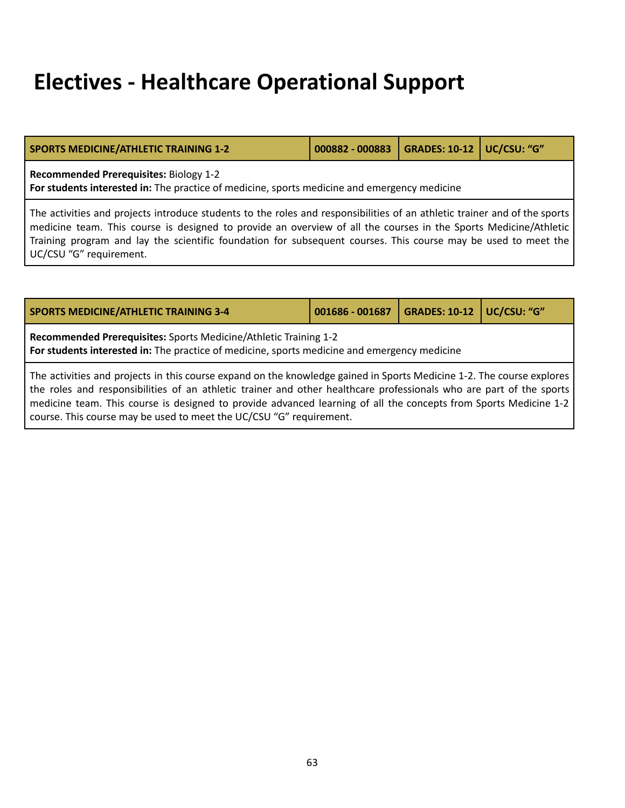### **Electives - Healthcare Operational Support**

| SPORTS MEDICINE/ATHLETIC TRAINING 1-2                                                        | 000882 - 000883   GRADES: 10-12   UC/CSU: "G" |  |  |  |  |
|----------------------------------------------------------------------------------------------|-----------------------------------------------|--|--|--|--|
| <b>Recommended Prerequisites: Biology 1-2</b>                                                |                                               |  |  |  |  |
| For students interested in: The practice of medicine, sports medicine and emergency medicine |                                               |  |  |  |  |

The activities and projects introduce students to the roles and responsibilities of an athletic trainer and of the sports medicine team. This course is designed to provide an overview of all the courses in the Sports Medicine/Athletic Training program and lay the scientific foundation for subsequent courses. This course may be used to meet the UC/CSU "G" requirement.

| <b>SPORTS MEDICINE/ATHLETIC TRAINING 3-4</b>                                                                                                                     | 001686 - 001687 | GRADES: 10-12   UC/CSU: "G" |  |  |  |
|------------------------------------------------------------------------------------------------------------------------------------------------------------------|-----------------|-----------------------------|--|--|--|
| Recommended Prerequisites: Sports Medicine/Athletic Training 1-2<br>For students interested in: The practice of medicine, sports medicine and emergency medicine |                 |                             |  |  |  |
| The activities and projects in this course expand on the knowledge gained in Sports Medicine 1-2. The course explores                                            |                 |                             |  |  |  |

the roles and responsibilities of an athletic trainer and other healthcare professionals who are part of the sports medicine team. This course is designed to provide advanced learning of all the concepts from Sports Medicine 1-2 course. This course may be used to meet the UC/CSU "G" requirement.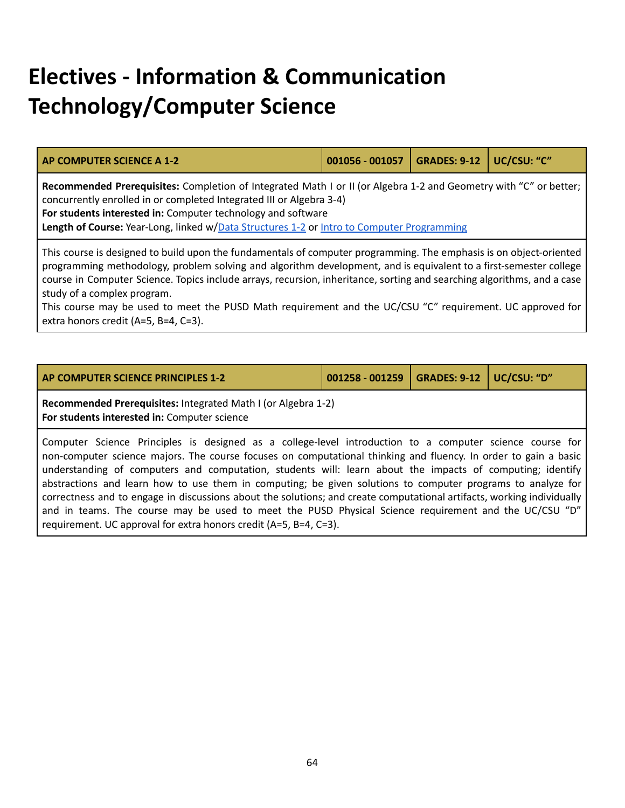# **Electives - Information & Communication Technology/Computer Science**

<span id="page-63-0"></span>

| <b>AP COMPUTER SCIENCE A 1-2</b>                                                                                                                                                                                                                                                                                                                                                                  | 001056 - 001057 | <b>GRADES: 9-12</b> | UC/CSU: "C" |  |  |
|---------------------------------------------------------------------------------------------------------------------------------------------------------------------------------------------------------------------------------------------------------------------------------------------------------------------------------------------------------------------------------------------------|-----------------|---------------------|-------------|--|--|
| Recommended Prerequisites: Completion of Integrated Math I or II (or Algebra 1-2 and Geometry with "C" or better;<br>concurrently enrolled in or completed Integrated III or Algebra 3-4)<br>For students interested in: Computer technology and software<br>Length of Course: Year-Long, linked w/Data Structures 1-2 or Intro to Computer Programming                                           |                 |                     |             |  |  |
| This course is designed to build upon the fundamentals of computer programming. The emphasis is on object-oriented<br>programming methodology, problem solving and algorithm development, and is equivalent to a first-semester college<br>course in Computer Science. Topics include arrays, recursion, inheritance, sorting and searching algorithms, and a case<br>study of a complex program. |                 |                     |             |  |  |

This course may be used to meet the PUSD Math requirement and the UC/CSU "C" requirement. UC approved for extra honors credit (A=5, B=4, C=3).

|  |  | <b>AP COMPUTER SCIENCE PRINCIPLES 1-2</b> |  |  |
|--|--|-------------------------------------------|--|--|
|  |  |                                           |  |  |

**AP COMPUTER SCIENCE PRINCIPLES 1-2 001258 - 001259 GRADES: 9-12 UC/CSU: "D"**

**Recommended Prerequisites:** Integrated Math I (or Algebra 1-2) **For students interested in:** Computer science

Computer Science Principles is designed as a college-level introduction to a computer science course for non-computer science majors. The course focuses on computational thinking and fluency. In order to gain a basic understanding of computers and computation, students will: learn about the impacts of computing; identify abstractions and learn how to use them in computing; be given solutions to computer programs to analyze for correctness and to engage in discussions about the solutions; and create computational artifacts, working individually and in teams. The course may be used to meet the PUSD Physical Science requirement and the UC/CSU "D" requirement. UC approval for extra honors credit (A=5, B=4, C=3).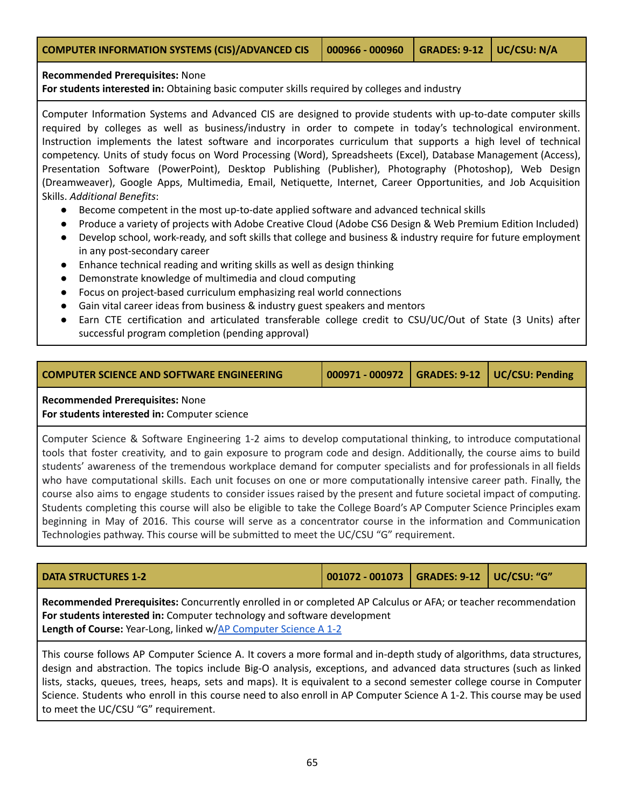### **Recommended Prerequisites:** None

**For students interested in:** Obtaining basic computer skills required by colleges and industry

Computer Information Systems and Advanced CIS are designed to provide students with up-to-date computer skills required by colleges as well as business/industry in order to compete in today's technological environment. Instruction implements the latest software and incorporates curriculum that supports a high level of technical competency. Units of study focus on Word Processing (Word), Spreadsheets (Excel), Database Management (Access), Presentation Software (PowerPoint), Desktop Publishing (Publisher), Photography (Photoshop), Web Design (Dreamweaver), Google Apps, Multimedia, Email, Netiquette, Internet, Career Opportunities, and Job Acquisition Skills. *Additional Benefits*:

- Become competent in the most up-to-date applied software and advanced technical skills
- Produce a variety of projects with Adobe Creative Cloud (Adobe CS6 Design & Web Premium Edition Included)
- Develop school, work-ready, and soft skills that college and business & industry require for future employment in any post-secondary career
- Enhance technical reading and writing skills as well as design thinking
- Demonstrate knowledge of multimedia and cloud computing
- Focus on project-based curriculum emphasizing real world connections
- Gain vital career ideas from business & industry guest speakers and mentors
- Earn CTE certification and articulated transferable college credit to CSU/UC/Out of State (3 Units) after successful program completion (pending approval)

| <b>COMPUTER SCIENCE AND SOFTWARE ENGINEERING</b> | 000971 - 000972   GRADES: 9-12   UC/CSU: Pending |  |
|--------------------------------------------------|--------------------------------------------------|--|

### **Recommended Prerequisites:** None

**For students interested in:** Computer science

Computer Science & Software Engineering 1-2 aims to develop computational thinking, to introduce computational tools that foster creativity, and to gain exposure to program code and design. Additionally, the course aims to build students' awareness of the tremendous workplace demand for computer specialists and for professionals in all fields who have computational skills. Each unit focuses on one or more computationally intensive career path. Finally, the course also aims to engage students to consider issues raised by the present and future societal impact of computing. Students completing this course will also be eligible to take the College Board's AP Computer Science Principles exam beginning in May of 2016. This course will serve as a concentrator course in the information and Communication Technologies pathway. This course will be submitted to meet the UC/CSU "G" requirement.

<span id="page-64-0"></span>

| I DATA STRUCTURES 1-2                                                                                          | 001072 - 001073   GRADES: 9-12   UC/CSU: "G" |  |  |  |  |
|----------------------------------------------------------------------------------------------------------------|----------------------------------------------|--|--|--|--|
| Recommended Prerequisites: Concurrently enrolled in or completed AP Calculus or AFA; or teacher recommendation |                                              |  |  |  |  |

**For students interested in:** Computer technology and software development **Length of Course:** Year-Long, linked w/AP [Computer](#page-63-0) Science A 1-2

This course follows AP Computer Science A. It covers a more formal and in-depth study of algorithms, data structures, design and abstraction. The topics include Big-O analysis, exceptions, and advanced data structures (such as linked lists, stacks, queues, trees, heaps, sets and maps). It is equivalent to a second semester college course in Computer Science. Students who enroll in this course need to also enroll in AP Computer Science A 1-2. This course may be used to meet the UC/CSU "G" requirement.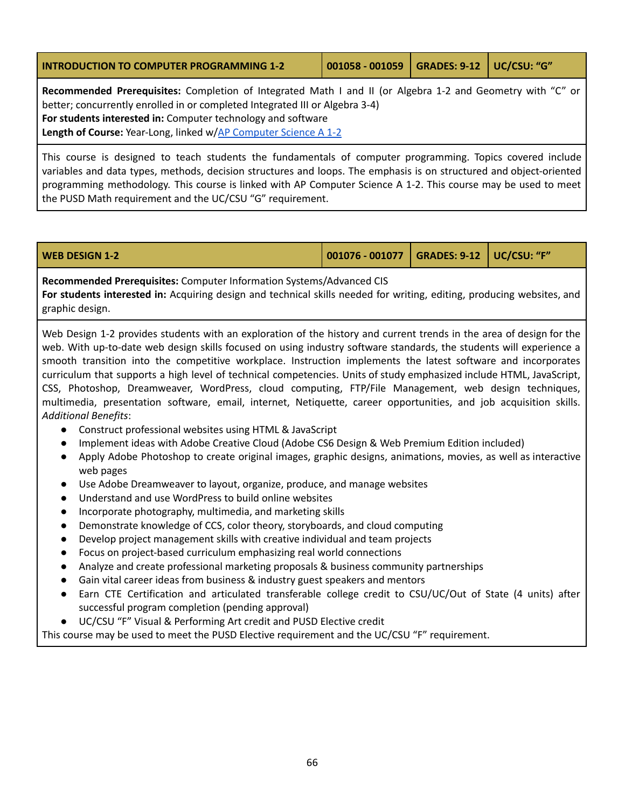<span id="page-65-0"></span>

| <b>INTRODUCTION TO COMPUTER PROGRAMMING 1-2</b>                                                                                                                                                                                                                                                                                      | 001058 - 001059 GRADES: 9-12 UC/CSU: "G" |  |
|--------------------------------------------------------------------------------------------------------------------------------------------------------------------------------------------------------------------------------------------------------------------------------------------------------------------------------------|------------------------------------------|--|
| Recommended Prerequisites: Completion of Integrated Math I and II (or Algebra 1-2 and Geometry with "C" or<br>better; concurrently enrolled in or completed Integrated III or Algebra 3-4)<br>For students interested in: Computer technology and software<br><b>Length of Course:</b> Year-Long, linked w/AP Computer Science A 1-2 |                                          |  |

This course is designed to teach students the fundamentals of computer programming. Topics covered include variables and data types, methods, decision structures and loops. The emphasis is on structured and object-oriented programming methodology. This course is linked with AP Computer Science A 1-2. This course may be used to meet the PUSD Math requirement and the UC/CSU "G" requirement.

| $\vert$ 001076 - 001077 $\vert$ GRADES: 9-12 $\vert$ UC/CSU: "F"<br><b>WEB DESIGN 1-2</b> |
|-------------------------------------------------------------------------------------------|
|-------------------------------------------------------------------------------------------|

**Recommended Prerequisites:** Computer Information Systems/Advanced CIS **For students interested in:** Acquiring design and technical skills needed for writing, editing, producing websites, and graphic design.

Web Design 1-2 provides students with an exploration of the history and current trends in the area of design for the web. With up-to-date web design skills focused on using industry software standards, the students will experience a smooth transition into the competitive workplace. Instruction implements the latest software and incorporates curriculum that supports a high level of technical competencies. Units of study emphasized include HTML, JavaScript, CSS, Photoshop, Dreamweaver, WordPress, cloud computing, FTP/File Management, web design techniques, multimedia, presentation software, email, internet, Netiquette, career opportunities, and job acquisition skills. *Additional Benefits*:

- Construct professional websites using HTML & JavaScript
- Implement ideas with Adobe Creative Cloud (Adobe CS6 Design & Web Premium Edition included)
- Apply Adobe Photoshop to create original images, graphic designs, animations, movies, as well as interactive web pages
- Use Adobe Dreamweaver to layout, organize, produce, and manage websites
- Understand and use WordPress to build online websites
- Incorporate photography, multimedia, and marketing skills
- Demonstrate knowledge of CCS, color theory, storyboards, and cloud computing
- Develop project management skills with creative individual and team projects
- Focus on project-based curriculum emphasizing real world connections
- Analyze and create professional marketing proposals & business community partnerships
- Gain vital career ideas from business & industry guest speakers and mentors
- Earn CTE Certification and articulated transferable college credit to CSU/UC/Out of State (4 units) after successful program completion (pending approval)
- UC/CSU "F" Visual & Performing Art credit and PUSD Elective credit

This course may be used to meet the PUSD Elective requirement and the UC/CSU "F" requirement.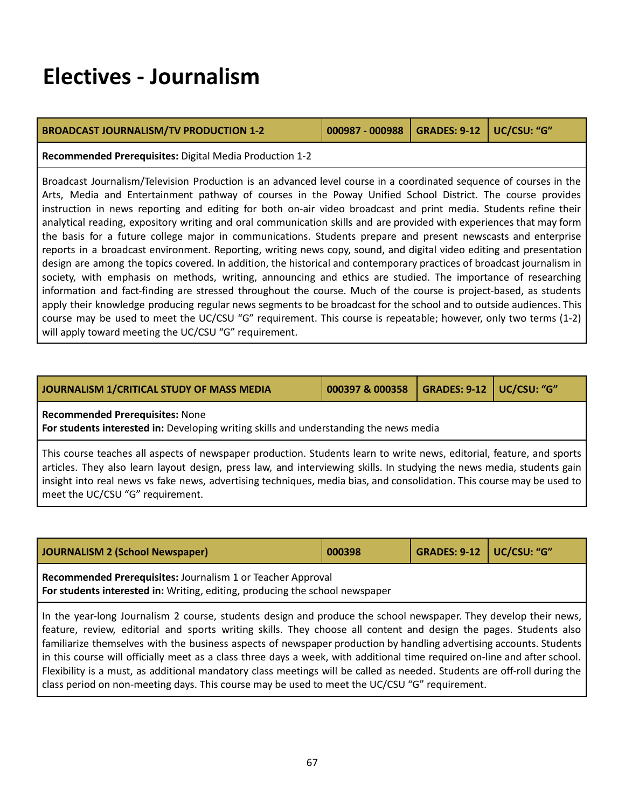### **Electives - Journalism**

| <b>BROADCAST JOURNALISM/TV PRODUCTION 1-2</b> | 000987 - 000988   GRADES: 9-12   UC/CSU: "G" |  |
|-----------------------------------------------|----------------------------------------------|--|

**Recommended Prerequisites:** Digital Media Production 1-2

Broadcast Journalism/Television Production is an advanced level course in a coordinated sequence of courses in the Arts, Media and Entertainment pathway of courses in the Poway Unified School District. The course provides instruction in news reporting and editing for both on-air video broadcast and print media. Students refine their analytical reading, expository writing and oral communication skills and are provided with experiences that may form the basis for a future college major in communications. Students prepare and present newscasts and enterprise reports in a broadcast environment. Reporting, writing news copy, sound, and digital video editing and presentation design are among the topics covered. In addition, the historical and contemporary practices of broadcast journalism in society, with emphasis on methods, writing, announcing and ethics are studied. The importance of researching information and fact-finding are stressed throughout the course. Much of the course is project-based, as students apply their knowledge producing regular news segments to be broadcast for the school and to outside audiences. This course may be used to meet the UC/CSU "G" requirement. This course is repeatable; however, only two terms (1-2) will apply toward meeting the UC/CSU "G" requirement.

| JOURNALISM 1/CRITICAL STUDY OF MASS MEDIA | 000397 & 000358   GRADES: 9-12   UC/CSU: "G" |  |
|-------------------------------------------|----------------------------------------------|--|
|                                           |                                              |  |

**Recommended Prerequisites:** None

**For students interested in:** Developing writing skills and understanding the news media

This course teaches all aspects of newspaper production. Students learn to write news, editorial, feature, and sports articles. They also learn layout design, press law, and interviewing skills. In studying the news media, students gain insight into real news vs fake news, advertising techniques, media bias, and consolidation. This course may be used to meet the UC/CSU "G" requirement.

| JOURNALISM 2 (School Newspaper) | 000398                                                                                                                                             | <b>GRADES: 9-12   UC/CSU: "G"</b> |  |  |  |
|---------------------------------|----------------------------------------------------------------------------------------------------------------------------------------------------|-----------------------------------|--|--|--|
|                                 | Recommended Prerequisites: Journalism 1 or Teacher Approval<br><b>For students interested in:</b> Writing, editing, producing the school newspaper |                                   |  |  |  |

In the year-long Journalism 2 course, students design and produce the school newspaper. They develop their news, feature, review, editorial and sports writing skills. They choose all content and design the pages. Students also familiarize themselves with the business aspects of newspaper production by handling advertising accounts. Students in this course will officially meet as a class three days a week, with additional time required on-line and after school. Flexibility is a must, as additional mandatory class meetings will be called as needed. Students are off-roll during the class period on non-meeting days. This course may be used to meet the UC/CSU "G" requirement.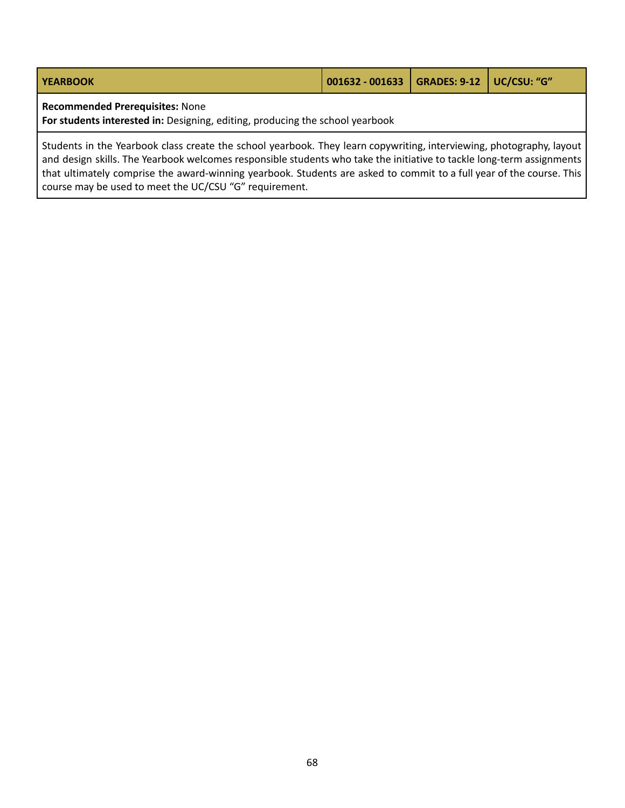| YEARBOOK                               | 001632 - 001633   GRADES: 9-12   UC/CSU: "G" |  |
|----------------------------------------|----------------------------------------------|--|
| <b>Recommended Prerequisites: None</b> |                                              |  |

**For students interested in:** Designing, editing, producing the school yearbook

Students in the Yearbook class create the school yearbook. They learn copywriting, interviewing, photography, layout and design skills. The Yearbook welcomes responsible students who take the initiative to tackle long-term assignments that ultimately comprise the award-winning yearbook. Students are asked to commit to a full year of the course. This course may be used to meet the UC/CSU "G" requirement.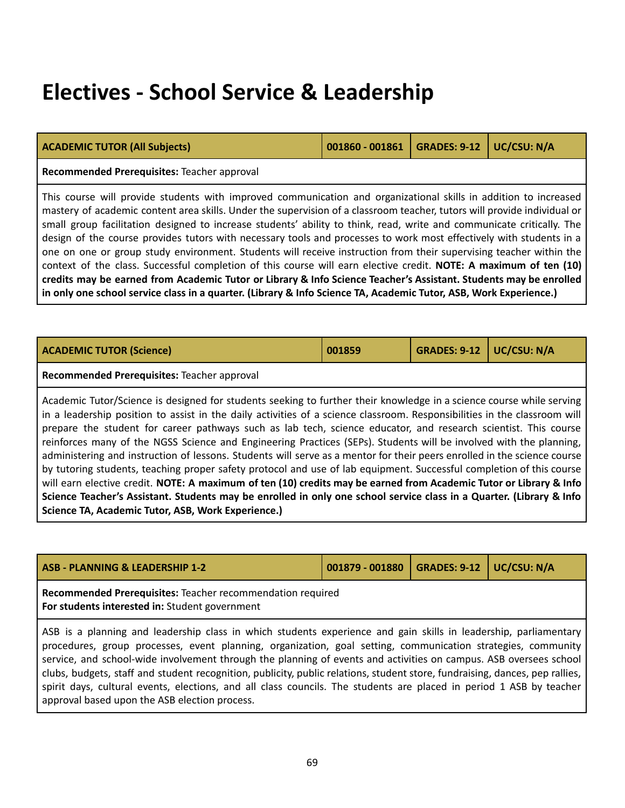### **Electives - School Service & Leadership**

| <b>ACADEMIC TUTOR (All Subjects)</b>                                                                                                                                                                                                                                                                                                                                                                                                                                                                                                                                                                                                                                                                                                                                                                                                                                                                                                                                                                                                               | 001860 - 001861 | <b>GRADES: 9-12</b> | UC/CSU: N/A |  |  |
|----------------------------------------------------------------------------------------------------------------------------------------------------------------------------------------------------------------------------------------------------------------------------------------------------------------------------------------------------------------------------------------------------------------------------------------------------------------------------------------------------------------------------------------------------------------------------------------------------------------------------------------------------------------------------------------------------------------------------------------------------------------------------------------------------------------------------------------------------------------------------------------------------------------------------------------------------------------------------------------------------------------------------------------------------|-----------------|---------------------|-------------|--|--|
| Recommended Prerequisites: Teacher approval                                                                                                                                                                                                                                                                                                                                                                                                                                                                                                                                                                                                                                                                                                                                                                                                                                                                                                                                                                                                        |                 |                     |             |  |  |
| This course will provide students with improved communication and organizational skills in addition to increased<br>mastery of academic content area skills. Under the supervision of a classroom teacher, tutors will provide individual or<br>small group facilitation designed to increase students' ability to think, read, write and communicate critically. The<br>design of the course provides tutors with necessary tools and processes to work most effectively with students in a<br>one on one or group study environment. Students will receive instruction from their supervising teacher within the<br>context of the class. Successful completion of this course will earn elective credit. NOTE: A maximum of ten (10)<br>credits may be earned from Academic Tutor or Library & Info Science Teacher's Assistant. Students may be enrolled<br>in only one school service class in a quarter. (Library & Info Science TA, Academic Tutor, ASB, Work Experience.)                                                                  |                 |                     |             |  |  |
|                                                                                                                                                                                                                                                                                                                                                                                                                                                                                                                                                                                                                                                                                                                                                                                                                                                                                                                                                                                                                                                    |                 |                     |             |  |  |
| <b>ACADEMIC TUTOR (Science)</b>                                                                                                                                                                                                                                                                                                                                                                                                                                                                                                                                                                                                                                                                                                                                                                                                                                                                                                                                                                                                                    | 001859          | <b>GRADES: 9-12</b> | UC/CSU: N/A |  |  |
| Recommended Prerequisites: Teacher approval                                                                                                                                                                                                                                                                                                                                                                                                                                                                                                                                                                                                                                                                                                                                                                                                                                                                                                                                                                                                        |                 |                     |             |  |  |
| Academic Tutor/Science is designed for students seeking to further their knowledge in a science course while serving<br>in a leadership position to assist in the daily activities of a science classroom. Responsibilities in the classroom will<br>prepare the student for career pathways such as lab tech, science educator, and research scientist. This course<br>reinforces many of the NGSS Science and Engineering Practices (SEPs). Students will be involved with the planning,<br>administering and instruction of lessons. Students will serve as a mentor for their peers enrolled in the science course<br>by tutoring students, teaching proper safety protocol and use of lab equipment. Successful completion of this course<br>will earn elective credit. NOTE: A maximum of ten (10) credits may be earned from Academic Tutor or Library & Info<br>Science Teacher's Assistant. Students may be enrolled in only one school service class in a Quarter. (Library & Info<br>Science TA, Academic Tutor, ASB, Work Experience.) |                 |                     |             |  |  |
|                                                                                                                                                                                                                                                                                                                                                                                                                                                                                                                                                                                                                                                                                                                                                                                                                                                                                                                                                                                                                                                    |                 |                     |             |  |  |
| <b>ASB - PLANNING &amp; LEADERSHIP 1-2</b><br><b>GRADES: 9-12</b><br>UC/CSU: N/A<br>001879 - 001880                                                                                                                                                                                                                                                                                                                                                                                                                                                                                                                                                                                                                                                                                                                                                                                                                                                                                                                                                |                 |                     |             |  |  |
| Recommended Prerequisites: Teacher recommendation required<br>For students interested in: Student government                                                                                                                                                                                                                                                                                                                                                                                                                                                                                                                                                                                                                                                                                                                                                                                                                                                                                                                                       |                 |                     |             |  |  |
| ASB is a planning and leadership class in which students experience and gain skills in leadership, parliamentary<br>procedures, group processes, event planning, organization, goal setting, communication strategies, community<br>service, and school-wide involvement through the planning of events and activities on campus. ASB oversees school<br>clubs, budgets, staff and student recognition, publicity, public relations, student store, fundraising, dances, pep rallies,                                                                                                                                                                                                                                                                                                                                                                                                                                                                                                                                                              |                 |                     |             |  |  |

spirit days, cultural events, elections, and all class councils. The students are placed in period 1 ASB by teacher

approval based upon the ASB election process.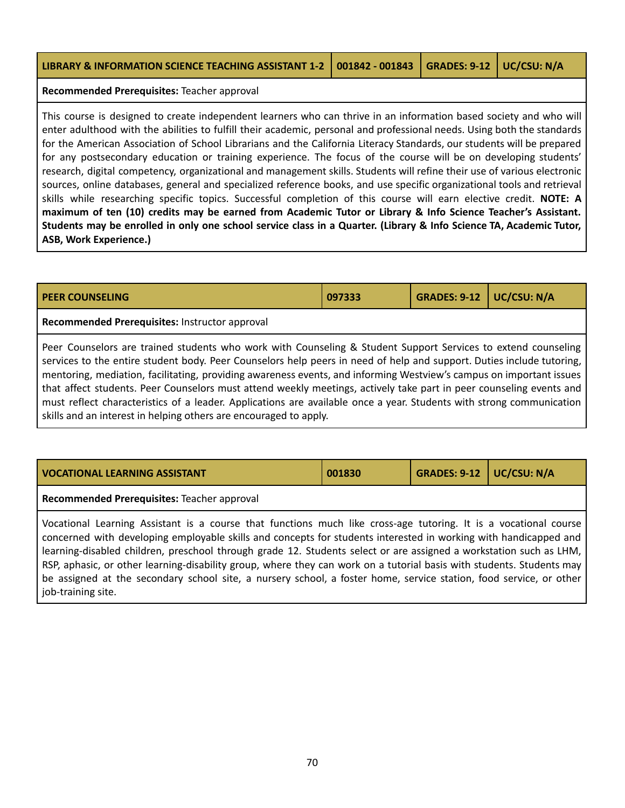| LIBRARY & INFORMATION SCIENCE TEACHING ASSISTANT 1-2 001842 - 001843 GRADES: 9-12 UC/CSU: N/A |  |  |
|-----------------------------------------------------------------------------------------------|--|--|
|                                                                                               |  |  |

**Recommended Prerequisites:** Teacher approval

This course is designed to create independent learners who can thrive in an information based society and who will enter adulthood with the abilities to fulfill their academic, personal and professional needs. Using both the standards for the American Association of School Librarians and the California Literacy Standards, our students will be prepared for any postsecondary education or training experience. The focus of the course will be on developing students' research, digital competency, organizational and management skills. Students will refine their use of various electronic sources, online databases, general and specialized reference books, and use specific organizational tools and retrieval skills while researching specific topics. Successful completion of this course will earn elective credit. **NOTE: A** maximum of ten (10) credits may be earned from Academic Tutor or Library & Info Science Teacher's Assistant. Students may be enrolled in only one school service class in a Quarter. (Library & Info Science TA, Academic Tutor, **ASB, Work Experience.)**

| <b>PEER COUNSELING</b>                                                                                                                                                                                                                                                                                                                                                                                                                                                                                                                                                                                       | 097333 | <b>GRADES: 9-12</b> | UC/CSU: N/A |
|--------------------------------------------------------------------------------------------------------------------------------------------------------------------------------------------------------------------------------------------------------------------------------------------------------------------------------------------------------------------------------------------------------------------------------------------------------------------------------------------------------------------------------------------------------------------------------------------------------------|--------|---------------------|-------------|
| Recommended Prerequisites: Instructor approval                                                                                                                                                                                                                                                                                                                                                                                                                                                                                                                                                               |        |                     |             |
| Peer Counselors are trained students who work with Counseling & Student Support Services to extend counseling<br>services to the entire student body. Peer Counselors help peers in need of help and support. Duties include tutoring,<br>mentoring, mediation, facilitating, providing awareness events, and informing Westview's campus on important issues<br>that affect students. Peer Counselors must attend weekly meetings, actively take part in peer counseling events and<br>must reflect characteristics of a leader. Applications are available once a year. Students with strong communication |        |                     |             |

skills and an interest in helping others are encouraged to apply.

| <b>VOCATIONAL LEARNING ASSISTANT</b>                                                                             | 001830 | GRADES: 9-12   UC/CSU: N/A |  |  |  |  |  |
|------------------------------------------------------------------------------------------------------------------|--------|----------------------------|--|--|--|--|--|
| Recommended Prerequisites: Teacher approval                                                                      |        |                            |  |  |  |  |  |
| Vocational Learning Assistant is a course that functions much like cross-age tutoring. It is a vocational course |        |                            |  |  |  |  |  |

concerned with developing employable skills and concepts for students interested in working with handicapped and learning-disabled children, preschool through grade 12. Students select or are assigned a workstation such as LHM, RSP, aphasic, or other learning-disability group, where they can work on a tutorial basis with students. Students may be assigned at the secondary school site, a nursery school, a foster home, service station, food service, or other job-training site.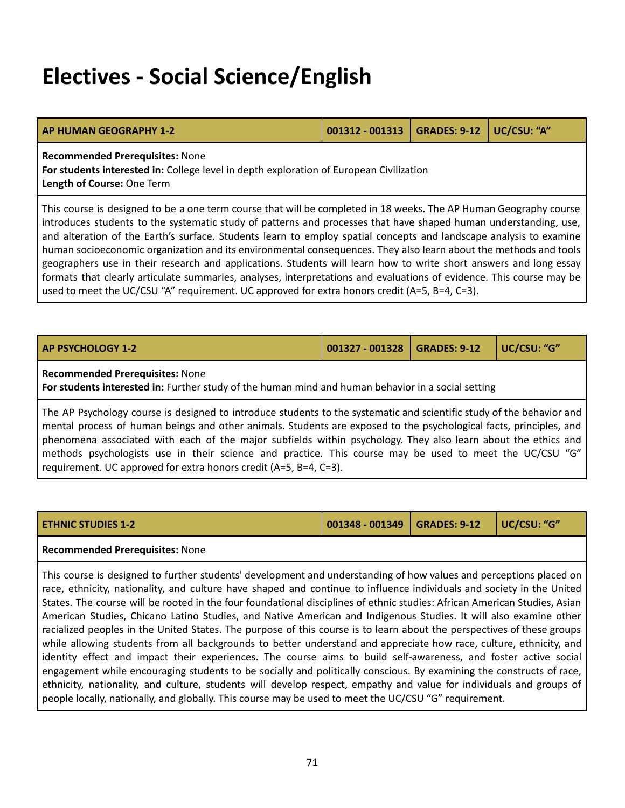## **Electives - Social Science/English**

| AP HUMAN GEOGRAPHY 1-2                 | 001312 - 001313   GRADES: 9-12   UC/CSU: "A" |  |  |
|----------------------------------------|----------------------------------------------|--|--|
| <b>Recommended Prerequisites: None</b> |                                              |  |  |

**For students interested in:** College level in depth exploration of European Civilization **Length of Course:** One Term

This course is designed to be a one term course that will be completed in 18 weeks. The AP Human Geography course introduces students to the systematic study of patterns and processes that have shaped human understanding, use, and alteration of the Earth's surface. Students learn to employ spatial concepts and landscape analysis to examine human socioeconomic organization and its environmental consequences. They also learn about the methods and tools geographers use in their research and applications. Students will learn how to write short answers and long essay formats that clearly articulate summaries, analyses, interpretations and evaluations of evidence. This course may be used to meet the UC/CSU "A" requirement. UC approved for extra honors credit (A=5, B=4, C=3).

| <b>AP PSYCHOLOGY 1-2</b>                                                                                                                                                                                                                                                                                                                                      | UC/CSU: "G"<br>001327 - 001328   GRADES: 9-12 |  |  |  |  |  |  |
|---------------------------------------------------------------------------------------------------------------------------------------------------------------------------------------------------------------------------------------------------------------------------------------------------------------------------------------------------------------|-----------------------------------------------|--|--|--|--|--|--|
| <b>Recommended Prerequisites: None</b><br>For students interested in: Further study of the human mind and human behavior in a social setting                                                                                                                                                                                                                  |                                               |  |  |  |  |  |  |
| The AP Psychology course is designed to introduce students to the systematic and scientific study of the behavior and<br>mental process of human beings and other animals. Students are exposed to the psychological facts, principles, and<br>nhenomena associated with each of the major subfields within psychology They also learn about the ethics and l |                                               |  |  |  |  |  |  |

| THEIRG DIVELSS OF HUMINI DEMES UND VEREI UMMUUS. SEUULNES UNE EXPOSEU EO ENE DSYCHOLOGICUM NUES, DIMODICS, UNU |
|----------------------------------------------------------------------------------------------------------------|
| phenomena associated with each of the major subfields within psychology. They also learn about the ethics and  |
| methods psychologists use in their science and practice. This course may be used to meet the UC/CSU "G"        |
| requirement. UC approved for extra honors credit (A=5, B=4, C=3).                                              |

| <b>ETHNIC STUDIES 1-2</b> | 001348 - 001349   GRADES: 9-12   UC/CSU: "G" |  |  |
|---------------------------|----------------------------------------------|--|--|
|---------------------------|----------------------------------------------|--|--|

### **Recommended Prerequisites:** None

This course is designed to further students' development and understanding of how values and perceptions placed on race, ethnicity, nationality, and culture have shaped and continue to influence individuals and society in the United States. The course will be rooted in the four foundational disciplines of ethnic studies: African American Studies, Asian American Studies, Chicano Latino Studies, and Native American and Indigenous Studies. It will also examine other racialized peoples in the United States. The purpose of this course is to learn about the perspectives of these groups while allowing students from all backgrounds to better understand and appreciate how race, culture, ethnicity, and identity effect and impact their experiences. The course aims to build self-awareness, and foster active social engagement while encouraging students to be socially and politically conscious. By examining the constructs of race, ethnicity, nationality, and culture, students will develop respect, empathy and value for individuals and groups of people locally, nationally, and globally. This course may be used to meet the UC/CSU "G" requirement.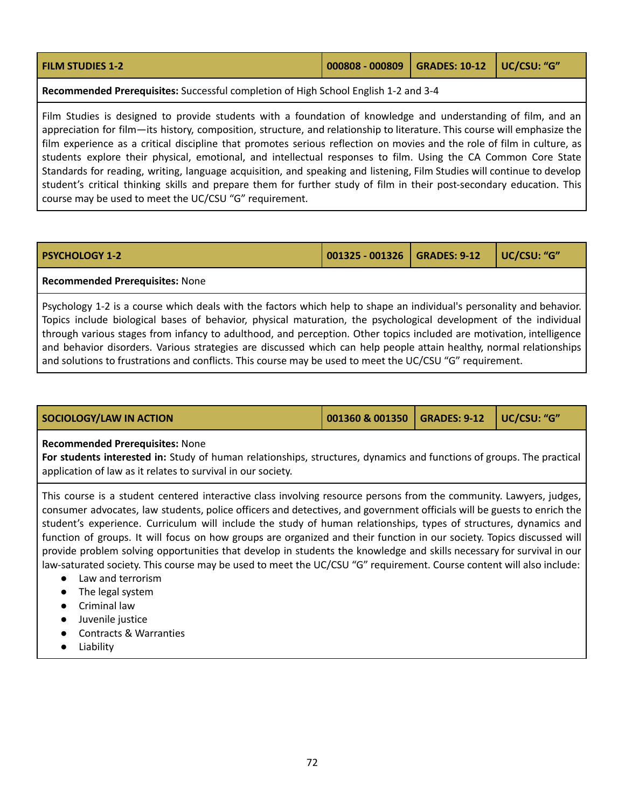| <b>FILM STUDIES 1-2</b> | 000808 - 000809   GRADES: 10-12   UC/CSU: "G" |  |  |  |
|-------------------------|-----------------------------------------------|--|--|--|
|-------------------------|-----------------------------------------------|--|--|--|

**Recommended Prerequisites:** Successful completion of High School English 1-2 and 3-4

Film Studies is designed to provide students with a foundation of knowledge and understanding of film, and an appreciation for film—its history, composition, structure, and relationship to literature. This course will emphasize the film experience as a critical discipline that promotes serious reflection on movies and the role of film in culture, as students explore their physical, emotional, and intellectual responses to film. Using the CA Common Core State Standards for reading, writing, language acquisition, and speaking and listening, Film Studies will continue to develop student's critical thinking skills and prepare them for further study of film in their post-secondary education. This course may be used to meet the UC/CSU "G" requirement.

| <b>PSYCHOLOGY 1-2</b> |  |  |  |  |  |  |
|-----------------------|--|--|--|--|--|--|

**PSYCHOLOGY 1-2 001325 - 001326 GRADES: 9-12 UC/CSU: "G"**

#### **Recommended Prerequisites:** None

Psychology 1-2 is a course which deals with the factors which help to shape an individual's personality and behavior. Topics include biological bases of behavior, physical maturation, the psychological development of the individual through various stages from infancy to adulthood, and perception. Other topics included are motivation, intelligence and behavior disorders. Various strategies are discussed which can help people attain healthy, normal relationships and solutions to frustrations and conflicts. This course may be used to meet the UC/CSU "G" requirement.

| SOCIOLOGY/LAW IN ACTION | 001360 & 001350   GRADES: 9-12   UC/CSU: "G" |  |
|-------------------------|----------------------------------------------|--|
|                         |                                              |  |

#### **Recommended Prerequisites:** None

**For students interested in:** Study of human relationships, structures, dynamics and functions of groups. The practical application of law as it relates to survival in our society.

This course is a student centered interactive class involving resource persons from the community. Lawyers, judges, consumer advocates, law students, police officers and detectives, and government officials will be guests to enrich the student's experience. Curriculum will include the study of human relationships, types of structures, dynamics and function of groups. It will focus on how groups are organized and their function in our society. Topics discussed will provide problem solving opportunities that develop in students the knowledge and skills necessary for survival in our law-saturated society. This course may be used to meet the UC/CSU "G" requirement. Course content will also include:

- Law and terrorism
- The legal system
- Criminal law
- Juvenile justice
- Contracts & Warranties
- Liability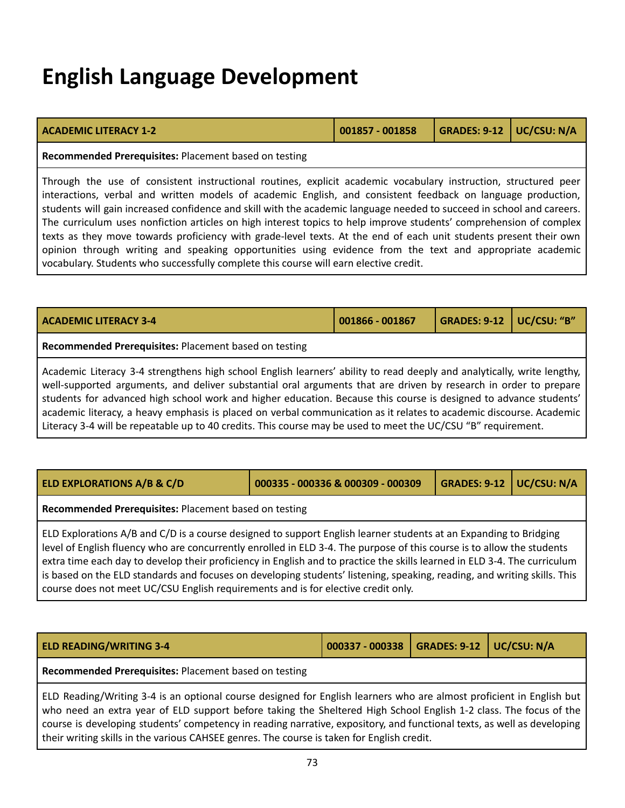## **English Language Development**

| <b>ACADEMIC LITERACY 1-2</b> | $\mid$ 001857 - 001858 | GRADES: 9-12   UC/CSU: N/A |  |
|------------------------------|------------------------|----------------------------|--|

**Recommended Prerequisites:** Placement based on testing

Through the use of consistent instructional routines, explicit academic vocabulary instruction, structured peer interactions, verbal and written models of academic English, and consistent feedback on language production, students will gain increased confidence and skill with the academic language needed to succeed in school and careers. The curriculum uses nonfiction articles on high interest topics to help improve students' comprehension of complex texts as they move towards proficiency with grade-level texts. At the end of each unit students present their own opinion through writing and speaking opportunities using evidence from the text and appropriate academic vocabulary. Students who successfully complete this course will earn elective credit.

| <b>ACADEMIC LITERACY 3-4</b>                                                                                                                                                                                                            | $001866 - 001867$ | GRADES: 9-12   UC/CSU: "B" |  |
|-----------------------------------------------------------------------------------------------------------------------------------------------------------------------------------------------------------------------------------------|-------------------|----------------------------|--|
| <b>Recommended Prerequisites: Placement based on testing</b>                                                                                                                                                                            |                   |                            |  |
| Academic Literacy 3-4 strengthens high school English learners' ability to read deeply and analytically, write lengthy,                                                                                                                 |                   |                            |  |
| well-supported arguments, and deliver substantial oral arguments that are driven by research in order to prepare<br>l students for advanced high school work and higher education. Because this course is designed to advance students' |                   |                            |  |

students for advanced high school work and higher education. Because this course is designed to advance students' academic literacy, a heavy emphasis is placed on verbal communication as it relates to academic discourse. Academic Literacy 3-4 will be repeatable up to 40 credits. This course may be used to meet the UC/CSU "B" requirement.

| <b>ELD EXPLORATIONS A/B &amp; C/D</b>                                                                                                                                                                                                                                                                                                                                                                                                                                                                                                                                                     | 000335 - 000336 & 000309 - 000309 | <b>GRADES: 9-12 UC/CSU: N/A</b> |  |  |
|-------------------------------------------------------------------------------------------------------------------------------------------------------------------------------------------------------------------------------------------------------------------------------------------------------------------------------------------------------------------------------------------------------------------------------------------------------------------------------------------------------------------------------------------------------------------------------------------|-----------------------------------|---------------------------------|--|--|
| Recommended Prerequisites: Placement based on testing                                                                                                                                                                                                                                                                                                                                                                                                                                                                                                                                     |                                   |                                 |  |  |
| ELD Explorations A/B and C/D is a course designed to support English learner students at an Expanding to Bridging<br>level of English fluency who are concurrently enrolled in ELD 3-4. The purpose of this course is to allow the students<br>extra time each day to develop their proficiency in English and to practice the skills learned in ELD 3-4. The curriculum<br>is based on the ELD standards and focuses on developing students' listening, speaking, reading, and writing skills. This<br>course does not meet UC/CSU English requirements and is for elective credit only. |                                   |                                 |  |  |

**Recommended Prerequisites:** Placement based on testing

ELD Reading/Writing 3-4 is an optional course designed for English learners who are almost proficient in English but who need an extra year of ELD support before taking the Sheltered High School English 1-2 class. The focus of the course is developing students' competency in reading narrative, expository, and functional texts, as well as developing their writing skills in the various CAHSEE genres. The course is taken for English credit.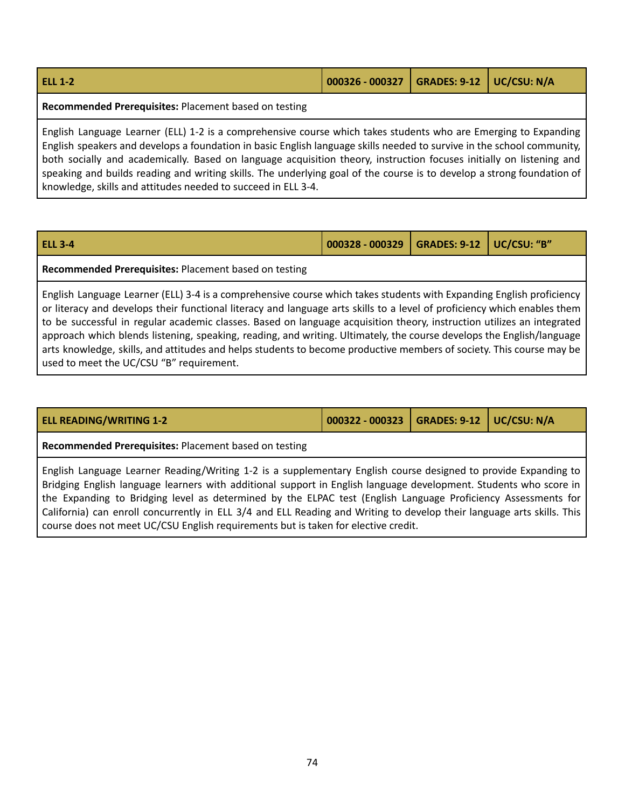| <b>ELL 1-2</b> | 000326 - 000327   GRADES: 9-12   UC/CSU: N/A |  |
|----------------|----------------------------------------------|--|
|                |                                              |  |

**Recommended Prerequisites:** Placement based on testing

English Language Learner (ELL) 1-2 is a comprehensive course which takes students who are Emerging to Expanding English speakers and develops a foundation in basic English language skills needed to survive in the school community, both socially and academically. Based on language acquisition theory, instruction focuses initially on listening and speaking and builds reading and writing skills. The underlying goal of the course is to develop a strong foundation of knowledge, skills and attitudes needed to succeed in ELL 3-4.

| <b>ELL 3-4</b> | 000328 - 000329   GRADES: 9-12   UC/CSU: "B" |  |
|----------------|----------------------------------------------|--|
|                |                                              |  |

**Recommended Prerequisites:** Placement based on testing

English Language Learner (ELL) 3-4 is a comprehensive course which takes students with Expanding English proficiency or literacy and develops their functional literacy and language arts skills to a level of proficiency which enables them to be successful in regular academic classes. Based on language acquisition theory, instruction utilizes an integrated approach which blends listening, speaking, reading, and writing. Ultimately, the course develops the English/language arts knowledge, skills, and attitudes and helps students to become productive members of society. This course may be used to meet the UC/CSU "B" requirement.

| <b>ELL READING/WRITING 1-2</b>                                                                                                                                                                                                                                                                                                                                                                                                                                                                                                                                        | 000322 - 000323   GRADES: 9-12   UC/CSU: N/A |  |
|-----------------------------------------------------------------------------------------------------------------------------------------------------------------------------------------------------------------------------------------------------------------------------------------------------------------------------------------------------------------------------------------------------------------------------------------------------------------------------------------------------------------------------------------------------------------------|----------------------------------------------|--|
| Recommended Prerequisites: Placement based on testing                                                                                                                                                                                                                                                                                                                                                                                                                                                                                                                 |                                              |  |
| English Language Learner Reading/Writing 1-2 is a supplementary English course designed to provide Expanding to<br>Bridging English language learners with additional support in English language development. Students who score in<br>the Expanding to Bridging level as determined by the ELPAC test (English Language Proficiency Assessments for<br>California) can enroll concurrently in ELL 3/4 and ELL Reading and Writing to develop their language arts skills. This<br>course does not meet UC/CSU English requirements but is taken for elective credit. |                                              |  |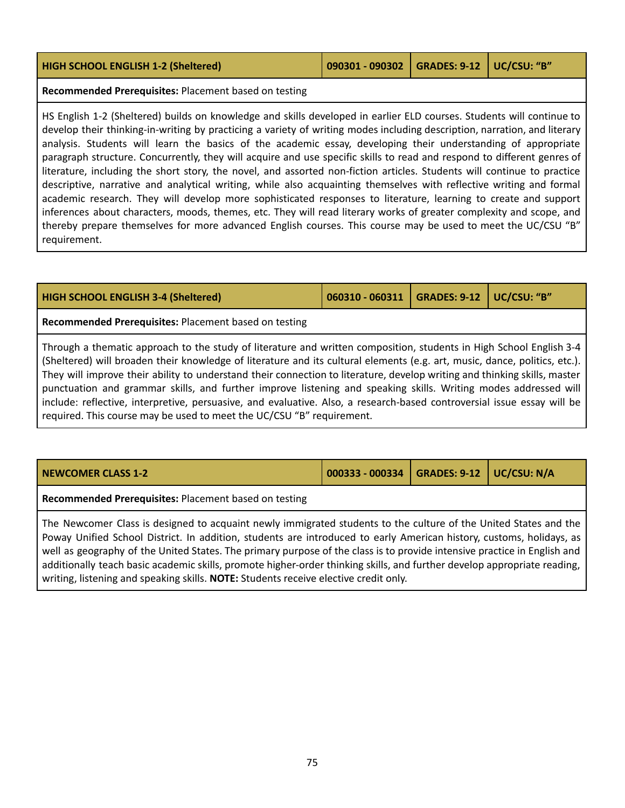| <b>HIGH SCHOOL ENGLISH 1-2 (Sheltered)</b>            | 090301 - 090302   GRADES: 9-12   UC/CSU: "B" |  |
|-------------------------------------------------------|----------------------------------------------|--|
| Recommended Prerequisites: Placement based on testing |                                              |  |

HS English 1-2 (Sheltered) builds on knowledge and skills developed in earlier ELD courses. Students will continue to develop their thinking-in-writing by practicing a variety of writing modes including description, narration, and literary analysis. Students will learn the basics of the academic essay, developing their understanding of appropriate paragraph structure. Concurrently, they will acquire and use specific skills to read and respond to different genres of literature, including the short story, the novel, and assorted non-fiction articles. Students will continue to practice descriptive, narrative and analytical writing, while also acquainting themselves with reflective writing and formal academic research. They will develop more sophisticated responses to literature, learning to create and support inferences about characters, moods, themes, etc. They will read literary works of greater complexity and scope, and thereby prepare themselves for more advanced English courses. This course may be used to meet the UC/CSU "B" requirement.

| <b>HIGH SCHOOL ENGLISH 3-4 (Sheltered)</b>                                                                                                                                                                                                                                                                                                                                                                                                                                                                                                                                                                                   | 060310 - 060311   GRADES: 9-12   UC/CSU: "B" |  |
|------------------------------------------------------------------------------------------------------------------------------------------------------------------------------------------------------------------------------------------------------------------------------------------------------------------------------------------------------------------------------------------------------------------------------------------------------------------------------------------------------------------------------------------------------------------------------------------------------------------------------|----------------------------------------------|--|
| Recommended Prerequisites: Placement based on testing                                                                                                                                                                                                                                                                                                                                                                                                                                                                                                                                                                        |                                              |  |
| Through a thematic approach to the study of literature and written composition, students in High School English 3-4<br>(Sheltered) will broaden their knowledge of literature and its cultural elements (e.g. art, music, dance, politics, etc.).<br>They will improve their ability to understand their connection to literature, develop writing and thinking skills, master<br>punctuation and grammar skills, and further improve listening and speaking skills. Writing modes addressed will<br>include: reflective, interpretive, persuasive, and evaluative. Also, a research-based controversial issue essay will be |                                              |  |

required. This course may be used to meet the UC/CSU "B" requirement.

| NEWCOMER CLASS 1-2                                                                                               | 000333 - 000334   GRADES: 9-12   UC/CSU: N/A |  |
|------------------------------------------------------------------------------------------------------------------|----------------------------------------------|--|
| Recommended Prerequisites: Placement based on testing                                                            |                                              |  |
| The Newcomer Class is designed to acquaint newly immigrated students to the culture of the United States and the |                                              |  |

Poway Unified School District. In addition, students are introduced to early American history, customs, holidays, as well as geography of the United States. The primary purpose of the class is to provide intensive practice in English and additionally teach basic academic skills, promote higher-order thinking skills, and further develop appropriate reading, writing, listening and speaking skills. **NOTE:** Students receive elective credit only.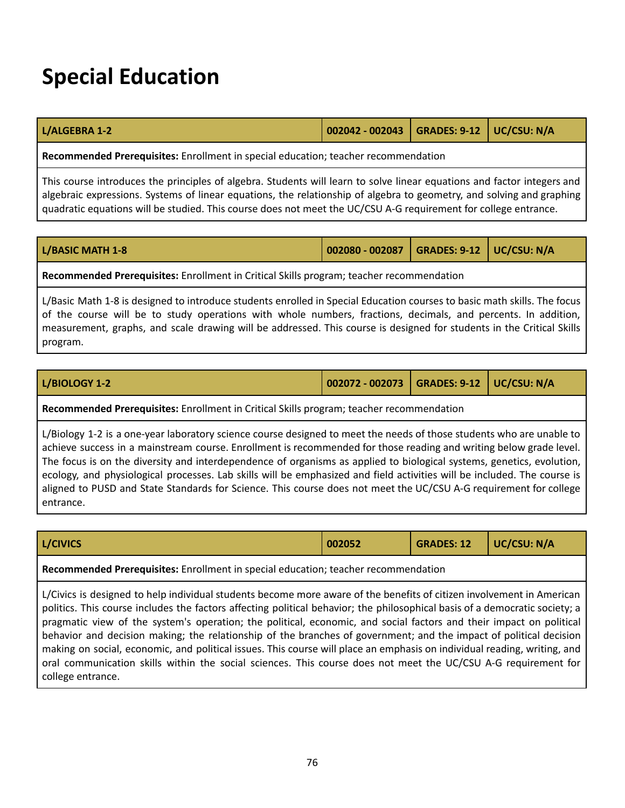## **Special Education**

|  | 002042 - 002043   GRADES: 9-12   UC/CSU: N/A<br>L/ALGEBRA 1-2 |  |
|--|---------------------------------------------------------------|--|
|--|---------------------------------------------------------------|--|

**Recommended Prerequisites:** Enrollment in special education; teacher recommendation

This course introduces the principles of algebra. Students will learn to solve linear equations and factor integers and algebraic expressions. Systems of linear equations, the relationship of algebra to geometry, and solving and graphing quadratic equations will be studied. This course does not meet the UC/CSU A-G requirement for college entrance.

| <b>L/BASIC MATH 1-8</b> | 002080 - 002087   GRADES: 9-12   UC/CSU: N/A |  |
|-------------------------|----------------------------------------------|--|
|                         |                                              |  |

**Recommended Prerequisites:** Enrollment in Critical Skills program; teacher recommendation

L/Basic Math 1-8 is designed to introduce students enrolled in Special Education courses to basic math skills. The focus of the course will be to study operations with whole numbers, fractions, decimals, and percents. In addition, measurement, graphs, and scale drawing will be addressed. This course is designed for students in the Critical Skills program.

| L/BIOLOGY 1-2 | 002072 - 002073   GRADES: 9-12   UC/CSU: N/A |  |
|---------------|----------------------------------------------|--|
|               |                                              |  |

**Recommended Prerequisites:** Enrollment in Critical Skills program; teacher recommendation

L/Biology 1-2 is a one-year laboratory science course designed to meet the needs of those students who are unable to achieve success in a mainstream course. Enrollment is recommended for those reading and writing below grade level. The focus is on the diversity and interdependence of organisms as applied to biological systems, genetics, evolution, ecology, and physiological processes. Lab skills will be emphasized and field activities will be included. The course is aligned to PUSD and State Standards for Science. This course does not meet the UC/CSU A-G requirement for college entrance.

|  | <b>L/CIVICS</b> | 002052 |  |  |
|--|-----------------|--------|--|--|
|--|-----------------|--------|--|--|

**Recommended Prerequisites:** Enrollment in special education; teacher recommendation

L/Civics is designed to help individual students become more aware of the benefits of citizen involvement in American politics. This course includes the factors affecting political behavior; the philosophical basis of a democratic society; a pragmatic view of the system's operation; the political, economic, and social factors and their impact on political behavior and decision making; the relationship of the branches of government; and the impact of political decision making on social, economic, and political issues. This course will place an emphasis on individual reading, writing, and oral communication skills within the social sciences. This course does not meet the UC/CSU A-G requirement for college entrance.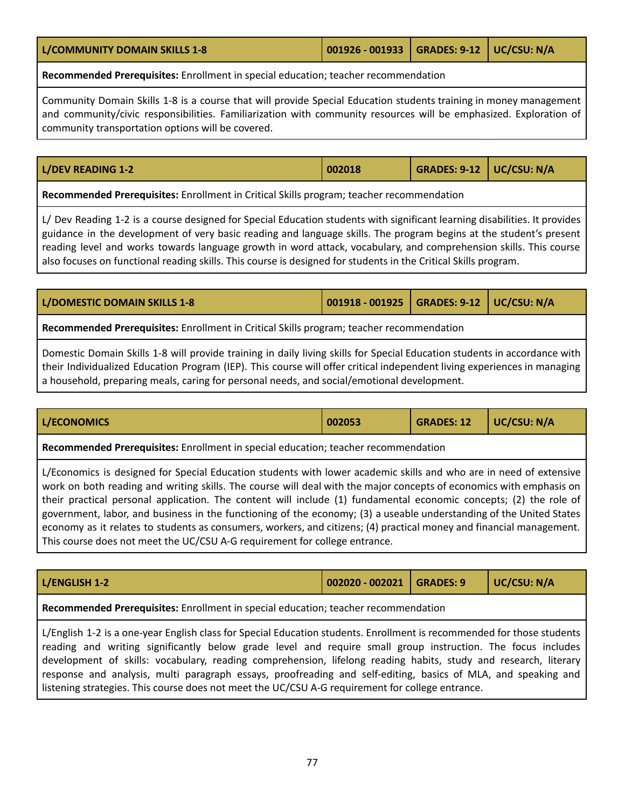**L/COMMUNITY DOMAIN SKILLS 1-8 001926 - 001933 GRADES: 9-12 UC/CSU: N/A**

**Recommended Prerequisites:** Enrollment in special education; teacher recommendation

Community Domain Skills 1-8 is a course that will provide Special Education students training in money management and community/civic responsibilities. Familiarization with community resources will be emphasized. Exploration of community transportation options will be covered.

## **L/DEV READING 1-2 002018 GRADES: 9-12 UC/CSU: N/A**

**Recommended Prerequisites:** Enrollment in Critical Skills program; teacher recommendation

L/ Dev Reading 1-2 is a course designed for Special Education students with significant learning disabilities. It provides guidance in the development of very basic reading and language skills. The program begins at the student's present reading level and works towards language growth in word attack, vocabulary, and comprehension skills. This course also focuses on functional reading skills. This course is designed for students in the Critical Skills program.

| L/DOMESTIC DOMAIN SKILLS 1-8                                                             | 001918 - 001925   GRADES: 9-12   UC/CSU: N/A |  |  |  |
|------------------------------------------------------------------------------------------|----------------------------------------------|--|--|--|
| Recommended Prerequisites: Enrollment in Critical Skills program; teacher recommendation |                                              |  |  |  |

Domestic Domain Skills 1-8 will provide training in daily living skills for Special Education students in accordance with their Individualized Education Program (IEP). This course will offer critical independent living experiences in managing a household, preparing meals, caring for personal needs, and social/emotional development.

| UC/CSU: N/A<br>L/ECONOMICS<br><b>GRADES: 12</b><br>002053 |  |
|-----------------------------------------------------------|--|
|-----------------------------------------------------------|--|

**Recommended Prerequisites:** Enrollment in special education; teacher recommendation

L/Economics is designed for Special Education students with lower academic skills and who are in need of extensive work on both reading and writing skills. The course will deal with the major concepts of economics with emphasis on their practical personal application. The content will include (1) fundamental economic concepts; (2) the role of government, labor, and business in the functioning of the economy; (3) a useable understanding of the United States economy as it relates to students as consumers, workers, and citizens; (4) practical money and financial management. This course does not meet the UC/CSU A-G requirement for college entrance.

| L/ENGLISH 1-2 | 002020 - 002021   GRADES: 9 | $\vert$ UC/CSU: N/A |
|---------------|-----------------------------|---------------------|
|               |                             |                     |

**Recommended Prerequisites:** Enrollment in special education; teacher recommendation

L/English 1-2 is a one-year English class for Special Education students. Enrollment is recommended for those students reading and writing significantly below grade level and require small group instruction. The focus includes development of skills: vocabulary, reading comprehension, lifelong reading habits, study and research, literary response and analysis, multi paragraph essays, proofreading and self-editing, basics of MLA, and speaking and listening strategies. This course does not meet the UC/CSU A-G requirement for college entrance.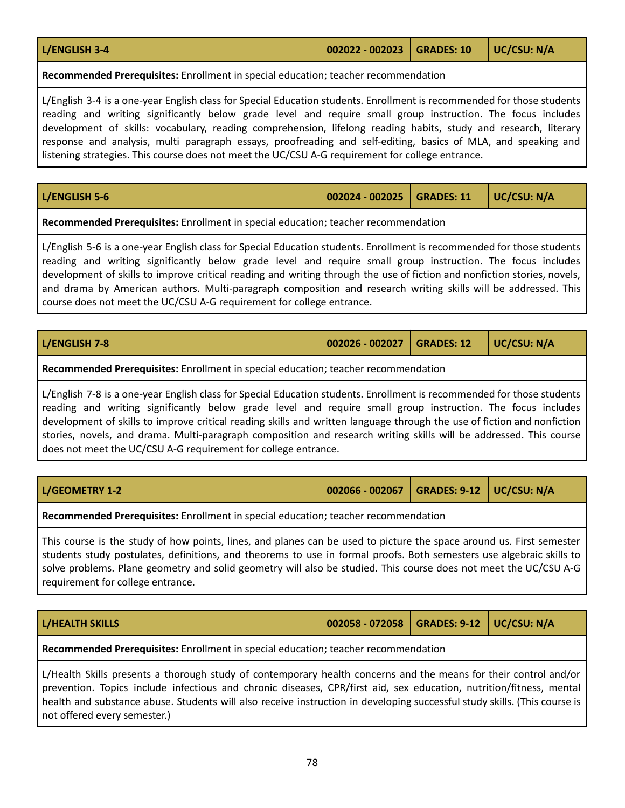| L/ENGLISH 3-4 | $\vert$ 002022 - 002023 $\vert$ GRADES: 10 $\vert$ UC/CSU: N/A |  |
|---------------|----------------------------------------------------------------|--|
|               |                                                                |  |

**Recommended Prerequisites:** Enrollment in special education; teacher recommendation

L/English 3-4 is a one-year English class for Special Education students. Enrollment is recommended for those students reading and writing significantly below grade level and require small group instruction. The focus includes development of skills: vocabulary, reading comprehension, lifelong reading habits, study and research, literary response and analysis, multi paragraph essays, proofreading and self-editing, basics of MLA, and speaking and listening strategies. This course does not meet the UC/CSU A-G requirement for college entrance.

| L/ENGLISH 5-6 | 002024 - 002025   GRADES: 11   UC/CSU: N/A |  |
|---------------|--------------------------------------------|--|
|               |                                            |  |

**Recommended Prerequisites:** Enrollment in special education; teacher recommendation

L/English 5-6 is a one-year English class for Special Education students. Enrollment is recommended for those students reading and writing significantly below grade level and require small group instruction. The focus includes development of skills to improve critical reading and writing through the use of fiction and nonfiction stories, novels, and drama by American authors. Multi-paragraph composition and research writing skills will be addressed. This course does not meet the UC/CSU A-G requirement for college entrance.

| L/ENGLISH 7-8 | 002026 - 002027   GRADES: 12   UC/CSU: N/A |  |
|---------------|--------------------------------------------|--|
|               |                                            |  |

**Recommended Prerequisites:** Enrollment in special education; teacher recommendation

L/English 7-8 is a one-year English class for Special Education students. Enrollment is recommended for those students reading and writing significantly below grade level and require small group instruction. The focus includes development of skills to improve critical reading skills and written language through the use of fiction and nonfiction stories, novels, and drama. Multi-paragraph composition and research writing skills will be addressed. This course does not meet the UC/CSU A-G requirement for college entrance.

| L/GEOMETRY 1-2 | 002066 - 002067   GRADES: 9-12   UC/CSU: N/A |  |  |
|----------------|----------------------------------------------|--|--|
|                |                                              |  |  |

**Recommended Prerequisites:** Enrollment in special education; teacher recommendation

This course is the study of how points, lines, and planes can be used to picture the space around us. First semester students study postulates, definitions, and theorems to use in formal proofs. Both semesters use algebraic skills to solve problems. Plane geometry and solid geometry will also be studied. This course does not meet the UC/CSU A-G requirement for college entrance.

| <b>L/HEALTH SKILLS</b>                                                             | 002058 - 072058   GRADES: 9-12   UC/CSU: N/A |  |  |  |
|------------------------------------------------------------------------------------|----------------------------------------------|--|--|--|
| Recommended Prerequisites: Enrollment in special education; teacher recommendation |                                              |  |  |  |

L/Health Skills presents a thorough study of contemporary health concerns and the means for their control and/or prevention. Topics include infectious and chronic diseases, CPR/first aid, sex education, nutrition/fitness, mental health and substance abuse. Students will also receive instruction in developing successful study skills. (This course is not offered every semester.)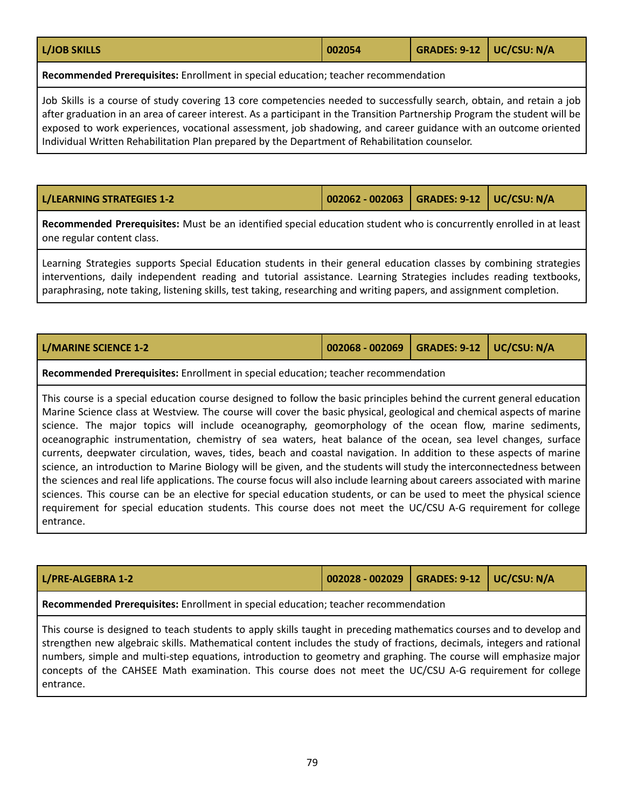| <b>L/JOB SKILLS</b> | 002054 | GRADES: 9-12   UC/CSU: N/A |  |
|---------------------|--------|----------------------------|--|
|                     |        |                            |  |

**Recommended Prerequisites:** Enrollment in special education; teacher recommendation

Job Skills is a course of study covering 13 core competencies needed to successfully search, obtain, and retain a job after graduation in an area of career interest. As a participant in the Transition Partnership Program the student will be exposed to work experiences, vocational assessment, job shadowing, and career guidance with an outcome oriented Individual Written Rehabilitation Plan prepared by the Department of Rehabilitation counselor.

**L/LEARNING STRATEGIES 1-2 002062 - 002063 GRADES: 9-12 UC/CSU: N/A**

**Recommended Prerequisites:** Must be an identified special education student who is concurrently enrolled in at least one regular content class.

Learning Strategies supports Special Education students in their general education classes by combining strategies interventions, daily independent reading and tutorial assistance. Learning Strategies includes reading textbooks, paraphrasing, note taking, listening skills, test taking, researching and writing papers, and assignment completion.

| L/MARINE SCIENCE 1-2 | $\vert$ 002068 - 002069 $\vert$ GRADES: 9-12 $\vert$ UC/CSU: N/A |  |
|----------------------|------------------------------------------------------------------|--|
|                      |                                                                  |  |

## **Recommended Prerequisites:** Enrollment in special education; teacher recommendation

This course is a special education course designed to follow the basic principles behind the current general education Marine Science class at Westview. The course will cover the basic physical, geological and chemical aspects of marine science. The major topics will include oceanography, geomorphology of the ocean flow, marine sediments, oceanographic instrumentation, chemistry of sea waters, heat balance of the ocean, sea level changes, surface currents, deepwater circulation, waves, tides, beach and coastal navigation. In addition to these aspects of marine science, an introduction to Marine Biology will be given, and the students will study the interconnectedness between the sciences and real life applications. The course focus will also include learning about careers associated with marine sciences. This course can be an elective for special education students, or can be used to meet the physical science requirement for special education students. This course does not meet the UC/CSU A-G requirement for college entrance.

| L/PRE-ALGEBRA 1-2                                                                                                                                                                                                                                                                                                                                                                  | 002028 - 002029   GRADES: 9-12   UC/CSU: N/A |  |  |  |
|------------------------------------------------------------------------------------------------------------------------------------------------------------------------------------------------------------------------------------------------------------------------------------------------------------------------------------------------------------------------------------|----------------------------------------------|--|--|--|
| Recommended Prerequisites: Enrollment in special education; teacher recommendation                                                                                                                                                                                                                                                                                                 |                                              |  |  |  |
| This course is designed to teach students to apply skills taught in preceding mathematics courses and to develop and<br>  strengthen new algebraic skills. Mathematical content includes the study of fractions, decimals, integers and rational<br>الموزومة وبإمصامهم الزبر ووسيوم وواح ومراواهمة والمواسطومومو وللمواسط ووالمساور والمستواد والمستقاس والموارد والمستور والمستور |                                              |  |  |  |

numbers, simple and multi-step equations, introduction to geometry and graphing. The course will emphasize major concepts of the CAHSEE Math examination. This course does not meet the UC/CSU A-G requirement for college entrance.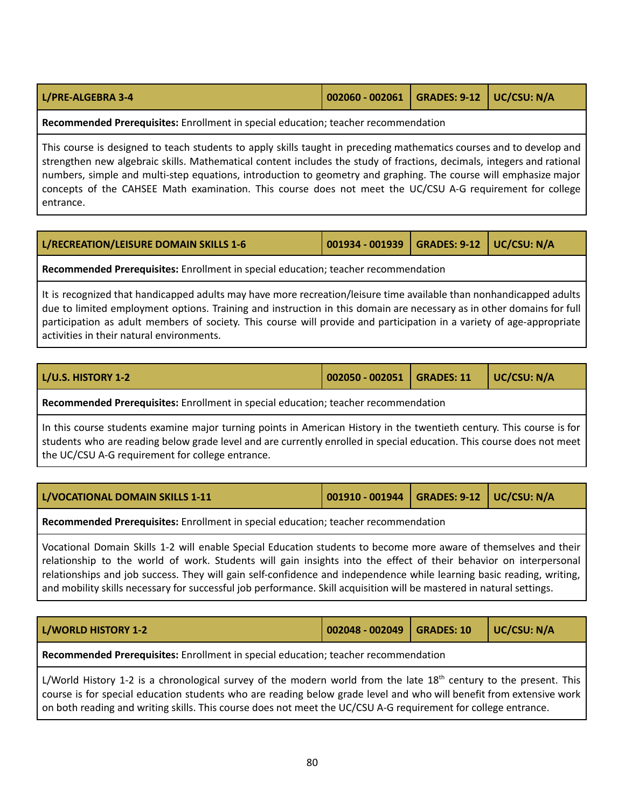| L/PRE-ALGEBRA 3-4 | $\vert$ 002060 - 002061 $\vert$ GRADES: 9-12 $\vert$ UC/CSU: N/A |  |  |
|-------------------|------------------------------------------------------------------|--|--|
|-------------------|------------------------------------------------------------------|--|--|

**Recommended Prerequisites:** Enrollment in special education; teacher recommendation

This course is designed to teach students to apply skills taught in preceding mathematics courses and to develop and strengthen new algebraic skills. Mathematical content includes the study of fractions, decimals, integers and rational numbers, simple and multi-step equations, introduction to geometry and graphing. The course will emphasize major concepts of the CAHSEE Math examination. This course does not meet the UC/CSU A-G requirement for college entrance.

| L/RECREATION/LEISURE DOMAIN SKILLS 1-6 | $\vert$ 001934 - 001939 $\vert$ GRADES: 9-12 $\vert$ UC/CSU: N/A |  |
|----------------------------------------|------------------------------------------------------------------|--|
|                                        |                                                                  |  |

**Recommended Prerequisites:** Enrollment in special education; teacher recommendation

It is recognized that handicapped adults may have more recreation/leisure time available than nonhandicapped adults due to limited employment options. Training and instruction in this domain are necessary as in other domains for full participation as adult members of society. This course will provide and participation in a variety of age-appropriate activities in their natural environments.

| L/U.S. HISTORY 1-2 | 002050 - 002051   GRADES: 11   UC/CSU: N/A |  |
|--------------------|--------------------------------------------|--|
|                    |                                            |  |

**Recommended Prerequisites:** Enrollment in special education; teacher recommendation

In this course students examine major turning points in American History in the twentieth century. This course is for students who are reading below grade level and are currently enrolled in special education. This course does not meet the UC/CSU A-G requirement for college entrance.

| L/VOCATIONAL DOMAIN SKILLS 1-11                                                                                                                                                                                                                                                                                                                                                                                                                                                         | 001910 - 001944   GRADES: 9-12   UC/CSU: N/A |  |  |  |
|-----------------------------------------------------------------------------------------------------------------------------------------------------------------------------------------------------------------------------------------------------------------------------------------------------------------------------------------------------------------------------------------------------------------------------------------------------------------------------------------|----------------------------------------------|--|--|--|
| Recommended Prerequisites: Enrollment in special education; teacher recommendation                                                                                                                                                                                                                                                                                                                                                                                                      |                                              |  |  |  |
| Vocational Domain Skills 1-2 will enable Special Education students to become more aware of themselves and their<br>relationship to the world of work. Students will gain insights into the effect of their behavior on interpersonal<br>relationships and job success. They will gain self-confidence and independence while learning basic reading, writing,<br>and mobility skills necessary for successful job performance. Skill acquisition will be mastered in natural settings. |                                              |  |  |  |

| L/WORLD HISTORY 1-2                                                                                                                                                                                                                                   | $002048 - 002049$ GRADES: 10 |  | $\vert$ UC/CSU: N/A |  |
|-------------------------------------------------------------------------------------------------------------------------------------------------------------------------------------------------------------------------------------------------------|------------------------------|--|---------------------|--|
| Recommended Prerequisites: Enrollment in special education; teacher recommendation                                                                                                                                                                    |                              |  |                     |  |
| L/World History 1-2 is a chronological survey of the modern world from the late 18 <sup>th</sup> century to the present. This<br>course is for special education students who are reading below grade level and who will benefit from extensive work. |                              |  |                     |  |

course is for special education students who are reading below grade level and who will benefit from extensive work on both reading and writing skills. This course does not meet the UC/CSU A-G requirement for college entrance.